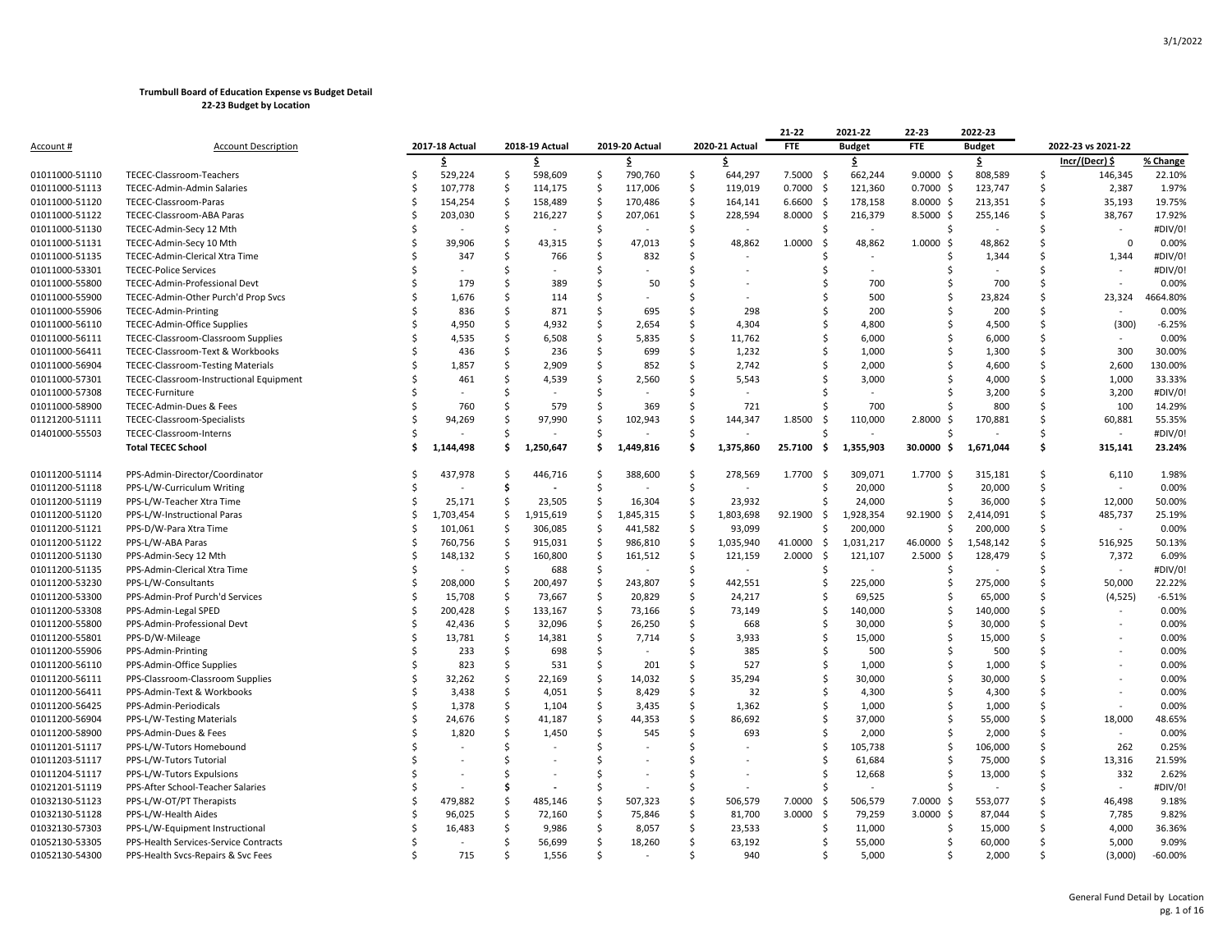|                  |                                          |    |                |                    |                |                     |                |                     |                | 21-22          | 2021-22                  | 22-23          | 2022-23       |    |                                 |           |
|------------------|------------------------------------------|----|----------------|--------------------|----------------|---------------------|----------------|---------------------|----------------|----------------|--------------------------|----------------|---------------|----|---------------------------------|-----------|
| <u>Account #</u> | <b>Account Description</b>               |    | 2017-18 Actual |                    | 2018-19 Actual |                     | 2019-20 Actual |                     | 2020-21 Actual | <b>FTE</b>     | <b>Budget</b>            | <b>FTE</b>     | <b>Budget</b> |    | 2022-23 vs 2021-22              |           |
|                  |                                          |    | \$             |                    | \$             |                     | \$.            |                     | \$.            |                | \$                       |                | \$            |    | Incr/(Decr) \$                  | % Change  |
| 01011000-51110   | TECEC-Classroom-Teachers                 | Ś  | 529,224        | \$                 | 598,609        | $\mathsf{\hat{S}}$  | 790,760        | \$                  | 644,297        | 7.5000<br>-\$  | 662,244                  | 9.0000<br>-\$  | 808,589       | Ś  | 146,345                         | 22.10%    |
| 01011000-51113   | TECEC-Admin-Admin Salaries               | S  | 107,778        | \$                 | 114,175        | -\$                 | 117,006        | \$                  | 119,019        | $0.7000$ \$    | 121,360                  | $0.7000 \,$ \$ | 123,747       | Ś  | 2,387                           | 1.97%     |
| 01011000-51120   | TECEC-Classroom-Paras                    | Ś  | 154,254        | <b>S</b>           | 158,489        | \$                  | 170,486        | $\mathsf{\hat{S}}$  | 164,141        | 6.6600<br>-\$  | 178,158                  | $8.0000 \,$ \$ | 213,351       | Ś  | 35,193                          | 19.75%    |
| 01011000-51122   | TECEC-Classroom-ABA Paras                | Ś  | 203,030        | -\$                | 216,227        | -\$                 | 207,061        | \$                  | 228,594        | 8.0000<br>-\$  | 216,379                  | $8.5000$ \$    | 255,146       | Ś  | 38,767                          | 17.92%    |
| 01011000-51130   | TECEC-Admin-Secy 12 Mth                  | Ś  |                | Ŝ                  |                | -\$                 |                | \$                  | $\sim$         |                | $\overline{\phantom{a}}$ | Ś              |               | Ś  | $\centering \label{eq:reduced}$ | #DIV/0!   |
| 01011000-51131   | TECEC-Admin-Secy 10 Mth                  | Ś  | 39,906         | \$                 | 43,315         | \$                  | 47,013         | \$                  | 48,862         | 1.0000<br>-\$  | 48,862                   | 1.0000<br>-\$  | 48,862        | Ś  | $\mathsf 0$                     | 0.00%     |
| 01011000-51135   | TECEC-Admin-Clerical Xtra Time           |    | 347            | Ś                  | 766            | Ś                   | 832            | Ś                   |                |                |                          |                | 1,344         | Ś  | 1,344                           | #DIV/0!   |
| 01011000-53301   | <b>TECEC-Police Services</b>             |    |                | Ś                  |                | Ś                   |                | Ś                   |                |                | $\overline{\phantom{a}}$ | Ś              |               | Ś  |                                 | #DIV/0!   |
| 01011000-55800   | TECEC-Admin-Professional Devt            | Ś  | 179            | Ś                  | 389            | Ś                   | 50             | Ś                   |                |                | 700                      | Ś              | 700           | Ś  |                                 | 0.00%     |
| 01011000-55900   | TECEC-Admin-Other Purch'd Prop Svcs      |    | 1,676          | Ś                  | 114            | Ś                   |                | Ś                   |                |                | 500                      | Ś              | 23,824        | Ś  | 23,324                          | 4664.80%  |
| 01011000-55906   | TECEC-Admin-Printing                     |    | 836            | Ś                  | 871            | \$                  | 695            | \$                  | 298            |                | 200                      | Ś              | 200           | Ś  |                                 | 0.00%     |
| 01011000-56110   | TECEC-Admin-Office Supplies              |    | 4,950          | Ś                  | 4,932          | Ś                   | 2,654          | Ś                   | 4,304          |                | 4,800                    | Ś              | 4,500         | Ś  | (300)                           | $-6.25%$  |
| 01011000-56111   | TECEC-Classroom-Classroom Supplies       |    | 4,535          | Ŝ                  | 6,508          | Ś                   | 5,835          | Ś                   | 11,762         | Ŝ              | 6,000                    | Ś              | 6,000         | Ś  |                                 | 0.00%     |
| 01011000-56411   | TECEC-Classroom-Text & Workbooks         |    | 436            | Ś                  | 236            | Ś                   | 699            | Ś                   | 1,232          |                | 1,000                    |                | 1,300         | Ś  | 300                             | 30.00%    |
| 01011000-56904   | <b>TECEC-Classroom-Testing Materials</b> |    | 1,857          | Ś                  | 2,909          | \$                  | 852            | \$                  | 2,742          |                | 2,000                    | Ś              | 4,600         | \$ | 2,600                           | 130.00%   |
| 01011000-57301   | TECEC-Classroom-Instructional Equipment  |    | 461            | Ś                  | 4,539          | Ś                   | 2,560          | \$                  | 5,543          |                | 3,000                    |                | 4,000         | Ś  | 1,000                           | 33.33%    |
| 01011000-57308   | TECEC-Furniture                          |    |                | Ś                  |                | Ś                   |                | Ś                   |                |                |                          |                | 3,200         | Ś  | 3,200                           | #DIV/0!   |
| 01011000-58900   | TECEC-Admin-Dues & Fees                  |    | 760            | Ś                  | 579            | Ś                   | 369            | Ś                   | 721            |                | 700                      |                | 800           | Ś  | 100                             | 14.29%    |
| 01121200-51111   | TECEC-Classroom-Specialists              | Ś  | 94,269         | Ś                  | 97,990         | Ś                   | 102,943        | Ś                   | 144,347        | 1.8500<br>-Ŝ   | 110,000                  | 2.8000<br>-\$  | 170,881       | Ś  | 60,881                          | 55.35%    |
| 01401000-55503   | TECEC-Classroom-Interns                  |    |                | Ś                  |                | Ś                   |                | \$                  |                |                |                          |                |               | Ś  |                                 | #DIV/0!   |
|                  | <b>Total TECEC School</b>                |    | 1,144,498      | Ś                  | 1,250,647      | Ś                   | 1,449,816      | Ś                   | 1,375,860      | 25.7100<br>\$. | 1,355,903                | 30.0000<br>-\$ | 1,671,044     | \$ | 315,141                         | 23.24%    |
| 01011200-51114   | PPS-Admin-Director/Coordinator           | Ś  | 437,978        | Ś                  | 446,716        | Ś                   | 388,600        | -\$                 | 278,569        | 1.7700 \$      | 309,071                  | 1.7700 \$      | 315,181       | Ś  | 6,110                           | 1.98%     |
| 01011200-51118   | PPS-L/W-Curriculum Writing               | Ś  |                | Ś                  |                | \$                  |                | \$                  |                | S              | 20,000                   | Ŝ              | 20,000        | \$ |                                 | 0.00%     |
| 01011200-51119   | PPS-L/W-Teacher Xtra Time                | Ś  | 25,171         | Ŝ.                 | 23,505         | Ŝ.                  | 16,304         | \$                  | 23,932         |                | 24,000                   | Ś              | 36,000        | Ś  | 12,000                          | 50.00%    |
| 01011200-51120   | PPS-L/W-Instructional Paras              | Ś  | 1,703,454      | \$                 | 1,915,619      | \$                  | 1,845,315      | `\$                 | 1,803,698      | 92.1900 \$     | 1,928,354                | 92.1900 \$     | 2,414,091     | \$ | 485,737                         | 25.19%    |
| 01011200-51121   | PPS-D/W-Para Xtra Time                   | Ś  | 101,061        | $\mathsf{\hat{S}}$ | 306,085        | $\ddot{\mathsf{S}}$ | 441,582        | $\ddot{\mathsf{S}}$ | 93,099         | Ŝ              | 200,000                  | Ś              | 200,000       | Ś  |                                 | 0.00%     |
| 01011200-51122   | PPS-L/W-ABA Paras                        |    | 760,756        | <b>S</b>           | 915,031        | \$                  | 986,810        | \$                  | 1,035,940      | 41.0000 \$     | 1,031,217                | 46.0000 \$     | 1,548,142     | Ś  | 516,925                         | 50.13%    |
| 01011200-51130   | PPS-Admin-Secy 12 Mth                    | S  | 148,132        | <b>S</b>           | 160,800        | \$                  | 161,512        | $\mathsf{\hat{S}}$  | 121,159        | 2.0000<br>-\$  | 121,107                  | 2.5000<br>-\$  | 128,479       | Ś  | 7,372                           | 6.09%     |
| 01011200-51135   | PPS-Admin-Clerical Xtra Time             | Ś  |                | Ś                  | 688            | S.                  |                | Ś                   |                |                |                          | Ś              |               | Ś  |                                 | #DIV/0!   |
| 01011200-53230   | PPS-L/W-Consultants                      | Ś  | 208,000        | Ŝ                  | 200,497        | -\$                 | 243,807        | \$                  | 442,551        | Ŝ.             | 225,000                  | Ś              | 275,000       | \$ | 50,000                          | 22.22%    |
| 01011200-53300   | PPS-Admin-Prof Purch'd Services          | Ś  | 15,708         | $\mathsf{\hat{S}}$ | 73,667         | $\mathsf{\hat{S}}$  | 20,829         | $\mathsf{\hat{S}}$  | 24,217         |                | 69,525                   | Ś              | 65,000        | Ś  | (4, 525)                        | $-6.51%$  |
| 01011200-53308   | PPS-Admin-Legal SPED                     | Ś  | 200,428        | Ŝ                  | 133,167        | \$                  | 73,166         | \$                  | 73,149         | \$.            | 140,000                  | \$             | 140,000       | Ś  |                                 | 0.00%     |
| 01011200-55800   | PPS-Admin-Professional Devt              |    | 42,436         | \$                 | 32,096         | $\mathsf{\hat{S}}$  | 26,250         | $\mathsf{\hat{S}}$  | 668            |                | 30,000                   | Ś              | 30,000        | Ś  |                                 | 0.00%     |
| 01011200-55801   | PPS-D/W-Mileage                          | Ś  | 13,781         | Ś                  | 14,381         | .\$                 | 7,714          | Ś                   | 3,933          | Ŝ              | 15,000                   | Ś              | 15,000        | Ś  |                                 | 0.00%     |
| 01011200-55906   | PPS-Admin-Printing                       |    | 233            | Ś                  | 698            | .\$                 |                | Ś                   | 385            |                | 500                      |                | 500           | Ś  |                                 | 0.00%     |
| 01011200-56110   | PPS-Admin-Office Supplies                | Ś  | 823            | Ŝ                  | 531            | \$                  | 201            | \$                  | 527            |                | 1,000                    | Ś              | 1,000         | Ś  |                                 | 0.00%     |
| 01011200-56111   | PPS-Classroom-Classroom Supplies         | Ś  | 32,262         | \$                 | 22,169         | \$                  | 14,032         | Ś                   | 35,294         | Ŝ.             | 30,000                   | Ś              | 30,000        | Ś  |                                 | 0.00%     |
| 01011200-56411   | PPS-Admin-Text & Workbooks               | Ś  | 3,438          | Ś                  | 4,051          | Ś                   | 8,429          | Ŝ.                  | 32             |                | 4,300                    | Ś              | 4,300         | Ś  |                                 | 0.00%     |
| 01011200-56425   | PPS-Admin-Periodicals                    | Ś  | 1,378          | Ś                  | 1,104          | Ś                   | 3,435          | Ŝ.                  | 1,362          | -S             | 1,000                    | Ś              | 1,000         | Ś  |                                 | 0.00%     |
| 01011200-56904   | PPS-L/W-Testing Materials                |    | 24,676         | Ś                  | 41,187         | Ś                   | 44,353         | Ś                   | 86,692         |                | 37,000                   | Ś              | 55,000        | Ś  | 18,000                          | 48.65%    |
| 01011200-58900   | PPS-Admin-Dues & Fees                    | Ś  | 1,820          | \$                 | 1,450          | \$                  | 545            | \$                  | 693            | S.             | 2,000                    | Ś              | 2,000         | \$ |                                 | 0.00%     |
| 01011201-51117   | PPS-L/W-Tutors Homebound                 |    |                | Ś                  |                | Ś                   |                | Ś                   |                | Ŝ.             | 105,738                  | Ś              | 106,000       | Ś  | 262                             | 0.25%     |
| 01011203-51117   | PPS-L/W-Tutors Tutorial                  |    |                | Ś                  |                | Ś                   |                | Ś                   |                | -S             | 61,684                   | Ś              | 75,000        | Ś  | 13,316                          | 21.59%    |
| 01011204-51117   | PPS-L/W-Tutors Expulsions                |    |                | Ś                  |                | Ś                   |                | Ś                   |                |                | 12,668                   |                | 13,000        | Ś  | 332                             | 2.62%     |
| 01021201-51119   | PPS-After School-Teacher Salaries        |    |                | s                  |                | Ś                   |                | Ŝ                   |                |                |                          |                |               | Ś  | ÷,                              | #DIV/0!   |
| 01032130-51123   | PPS-L/W-OT/PT Therapists                 |    | 479,882        | Ś                  | 485,146        | Ś                   | 507,323        | Ś                   | 506,579        | 7.0000<br>-Ŝ   | 506,579                  | 7.0000<br>-\$  | 553,077       | Ś  | 46,498                          | 9.18%     |
| 01032130-51128   | PPS-L/W-Health Aides                     |    | 96,025         | \$                 | 72,160         | \$                  | 75,846         | \$                  | 81,700         | 3.0000<br>-\$  | 79,259                   | $3.0000$ \$    | 87,044        | Ś  | 7,785                           | 9.82%     |
| 01032130-57303   | PPS-L/W-Equipment Instructional          |    | 16,483         | Ś                  | 9,986          | Ś                   | 8,057          | Ś                   | 23,533         |                | 11,000                   | S              | 15,000        | Ś  | 4,000                           | 36.36%    |
| 01052130-53305   | PPS-Health Services-Service Contracts    |    |                | Ś                  | 56,699         | \$                  | 18,260         | Ś                   | 63,192         |                | 55,000                   | Ś              | 60,000        | Ś  | 5,000                           | 9.09%     |
| 01052130-54300   | PPS-Health Svcs-Repairs & Svc Fees       | ς. | 715            | Ś                  | 1.556          | $\zeta$             |                | $\zeta$             | 940            | $\zeta$        | 5.000                    | ς              | 2.000         |    | (3,000)                         | $-60.00%$ |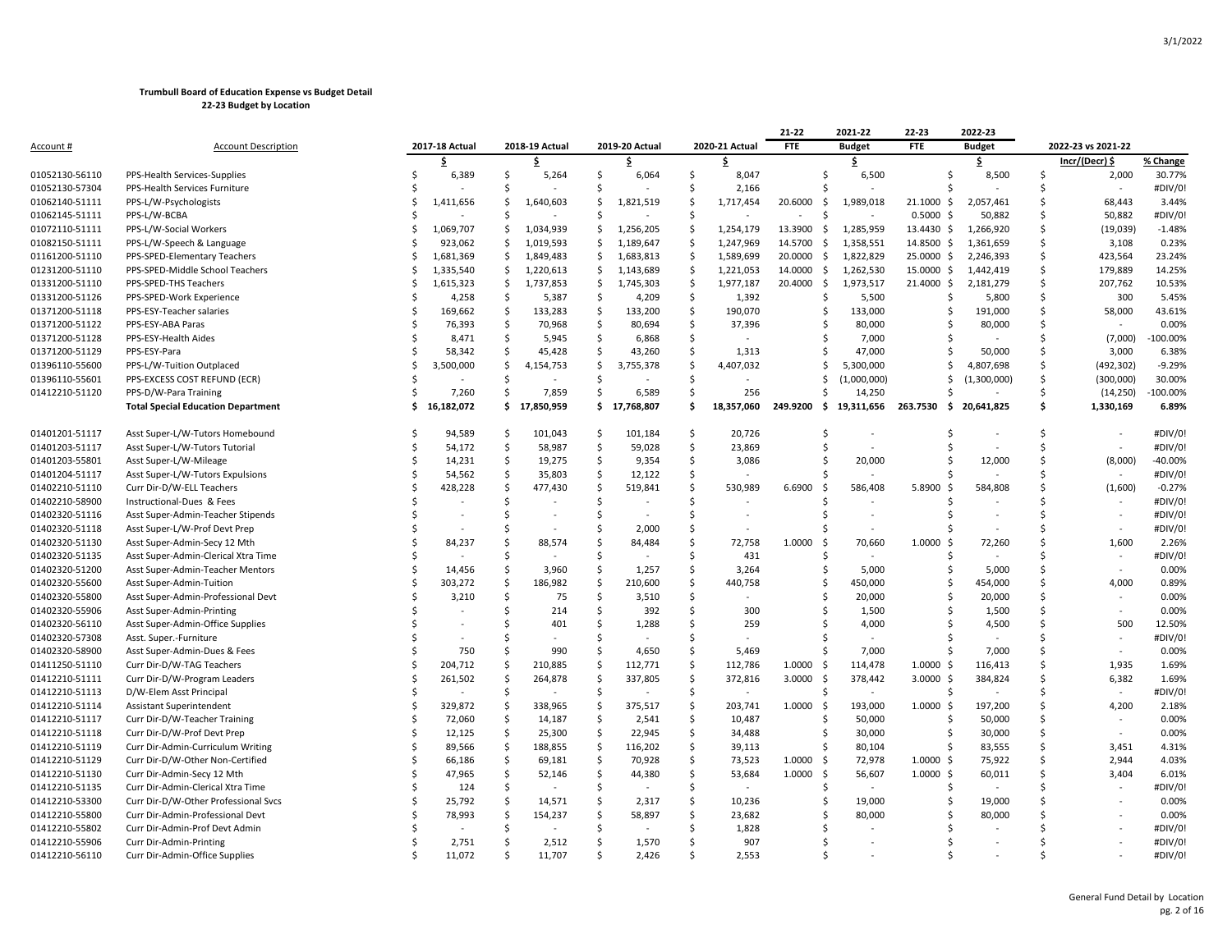|                  |                                           |               |                |         |                |    |                |                    |                | 21-22           | 2021-22                  | 22-23              | 2022-23                       |    |                           |                    |
|------------------|-------------------------------------------|---------------|----------------|---------|----------------|----|----------------|--------------------|----------------|-----------------|--------------------------|--------------------|-------------------------------|----|---------------------------|--------------------|
| <u>Account #</u> | <b>Account Description</b>                |               | 2017-18 Actual |         | 2018-19 Actual |    | 2019-20 Actual |                    | 2020-21 Actual | <b>FTE</b>      | <b>Budget</b>            | FTE                | <b>Budget</b>                 |    | 2022-23 vs 2021-22        |                    |
|                  |                                           |               | Ś              |         | \$             |    | \$             |                    | Ŝ              |                 | \$                       |                    | \$                            |    | Incr/(Decr) \$            | % Change           |
| 01052130-56110   | PPS-Health Services-Supplies              |               | 6,389          | Ŝ       | 5,264          | Ś  | 6,064          | Ś                  | 8,047          | $\zeta$         | 6,500                    |                    | 8,500<br>Ś                    | Ś  | 2,000                     | 30.77%             |
| 01052130-57304   | PPS-Health Services Furniture             |               |                | Ŝ       |                | Š. |                | Ś                  | 2,166          |                 |                          |                    |                               | Ś  | ÷,                        | #DIV/0!            |
| 01062140-51111   | PPS-L/W-Psychologists                     |               | 1,411,656      | Ŝ       | 1,640,603      | Ś. | 1,821,519      | Ś                  | 1,717,454      | 20.6000<br>\$   | 1,989,018                | $21.1000 \text{ }$ | 2,057,461                     | Ś  | 68,443                    | 3.44%              |
| 01062145-51111   | PPS-L/W-BCBA                              | S,            |                | Ŝ       |                | Ŝ  |                | Ś                  |                | - \$            |                          | 0.5000S            | 50,882                        | Ś  | 50,882                    | #DIV/0!            |
| 01072110-51111   | PPS-L/W-Social Workers                    |               | 1,069,707      | Ŝ.      | 1,034,939      | Ś. | 1,256,205      | Ś                  | 1,254,179      | 13.3900<br>\$   | 1,285,959                | 13.4430 \$         | 1,266,920                     | Ś  | (19, 039)                 | $-1.48%$           |
| 01082150-51111   | PPS-L/W-Speech & Language                 | .s            | 923,062        | Ŝ.      | 1,019,593      | \$ | 1,189,647      | \$                 | 1,247,969      | 14.5700<br>\$   | 1,358,551                | 14.8500 \$         | 1,361,659                     | \$ | 3,108                     | 0.23%              |
| 01161200-51110   | PPS-SPED-Elementary Teachers              | Ŝ.            | 1,681,369      | Ŝ.      | 1,849,483      | Ś. | 1,683,813      | Ś                  | 1,589,699      | 20.0000<br>- \$ | 1,822,829                | 25.0000 \$         | 2,246,393                     | Ś  | 423,564                   | 23.24%             |
| 01231200-51110   | PPS-SPED-Middle School Teachers           | .S            | 1,335,540      | Ŝ.      | 1,220,613      | Ŝ. | 1,143,689      | \$                 | 1,221,053      | 14.0000<br>-\$  | 1,262,530                | 15.0000 \$         | 1,442,419                     | Ś  | 179,889                   | 14.25%             |
| 01331200-51110   | PPS-SPED-THS Teachers                     | .S            | 1,615,323      | \$      | 1,737,853      | \$ | 1,745,303      | Ś                  | 1,977,187      | 20.4000<br>\$   | 1,973,517                | 21.4000 \$         | 2,181,279                     | Ś  | 207,762                   | 10.53%             |
| 01331200-51126   | PPS-SPED-Work Experience                  |               | 4,258          | Ŝ       | 5,387          | Ŝ  | 4,209          | Ŝ.                 | 1,392          | Ŝ.              | 5,500                    |                    | Ś<br>5,800                    | Ś  | 300                       | 5.45%              |
| 01371200-51118   | PPS-ESY-Teacher salaries                  | .s            | 169,662        | \$      | 133,283        | \$ | 133,200        | \$                 | 190,070        | Ŝ               | 133,000                  |                    | Ś<br>191,000                  | \$ | 58,000                    | 43.61%             |
| 01371200-51122   | PPS-ESY-ABA Paras                         | <sup>\$</sup> | 76,393         | Ś       | 70,968         | Ś  | 80,694         | Ś.                 | 37,396         | \$              | 80,000                   |                    | Ś<br>80,000                   | Ś  |                           | 0.00%              |
| 01371200-51128   | PPS-ESY-Health Aides                      |               | 8,471          | Ŝ       | 5,945          | Ś. | 6,868          | Ś                  |                |                 | 7,000                    |                    | Ś                             | Ś  | (7,000)                   | 100.00%            |
| 01371200-51129   | PPS-ESY-Para                              |               | 58,342         | Ŝ       | 45,428         | Ś  | 43,260         | Ś                  | 1,313          |                 | 47,000                   |                    | 50,000                        | Ś  | 3,000                     | 6.38%              |
| 01396110-55600   | PPS-L/W-Tuition Outplaced                 |               | 3,500,000      | Ŝ       | 4,154,753      | Ŝ  | 3,755,378      | Ś                  | 4,407,032      | Ŝ               | 5,300,000                |                    | Ś<br>4,807,698                | Ś  | (492, 302)                | $-9.29%$           |
| 01396110-55601   | PPS-EXCESS COST REFUND (ECR)              |               |                | Ŝ       |                | Ś  |                | Ś                  |                | Ŝ               | (1,000,000)              |                    | Ś<br>(1,300,000)              | Ś  | (300,000)                 | 30.00%             |
| 01412210-51120   | PPS-D/W-Para Training                     | S,            | 7,260          | Ŝ       | 7,859          | Ś. | 6,589          | \$                 | 256            | Š.              | 14,250                   |                    |                               | \$ | (14, 250)                 | 100.00%            |
|                  | <b>Total Special Education Department</b> | Ŝ             | 16,182,072     |         | \$17,850,959   |    | \$17,768,807   | Ś                  | 18,357,060     | 249.9200<br>\$. | 19,311,656               | 263.7530<br>-\$    | 20,641,825                    | \$ | 1,330,169                 | 6.89%              |
| 01401201-51117   | Asst Super-L/W-Tutors Homebound           | -S            | 94,589         | Ś       | 101,043        | Ś. | 101,184        | Ś                  | 20,726         | Ŝ.              |                          |                    | Ś                             | Ś  |                           | #DIV/0!            |
| 01401203-51117   | Asst Super-L/W-Tutors Tutorial            | .S            | 54,172         | Ŝ       | 58,987         | Ś. | 59,028         | \$                 | 23,869         | \$              | $\overline{\phantom{a}}$ |                    | Ś<br>$\overline{\phantom{a}}$ | Ś  |                           | #DIV/0!            |
| 01401203-55801   | Asst Super-L/W-Mileage                    | .S            | 14,231         | Ś       | 19,275         | Ŝ. | 9,354          | Ŝ.                 | 3,086          | Ŝ.              | 20,000                   | Ś                  | 12,000                        | Ś  | (8,000)                   | $-40.00%$          |
|                  |                                           |               |                | \$      |                | \$ |                | \$                 |                |                 |                          |                    |                               | Ś  | $\sim$                    | #DIV/0!            |
| 01401204-51117   | Asst Super-L/W-Tutors Expulsions          |               | 54,562         | \$      | 35,803         | \$ | 12,122         | \$                 |                | 6.6900          |                          | 5.8900             |                               | Ś  |                           | $-0.27%$           |
| 01402210-51110   | Curr Dir-D/W-ELL Teachers                 |               | 428,228        | \$      | 477,430        | Ś  | 519,841        | Ś                  | 530,989        | -\$             | 586,408                  | - \$               | 584,808<br>Ś                  | Ś  | (1,600)<br>$\blacksquare$ | #DIV/0!            |
| 01402210-58900   | Instructional-Dues & Fees                 |               |                | Ŝ       |                | Š. |                | Ś                  |                |                 |                          |                    |                               | Ś  |                           |                    |
| 01402320-51116   | Asst Super-Admin-Teacher Stipends         |               |                |         |                |    |                |                    |                |                 | $\overline{\phantom{a}}$ |                    | $\overline{\phantom{a}}$      | Ś  | $\blacksquare$            | #DIV/0!<br>#DIV/0! |
| 01402320-51118   | Asst Super-L/W-Prof Devt Prep             |               |                | S       |                | Ś  | 2,000          | Ś                  |                |                 |                          |                    |                               |    | $\ddot{\phantom{1}}$      |                    |
| 01402320-51130   | Asst Super-Admin-Secy 12 Mth              |               | 84,237         | .S      | 88,574         | S  | 84,484         | Ś                  | 72,758         | 1.0000<br>- \$  | 70,660                   | 1.0000<br>-Ś       | 72,260                        | Ś  | 1,600                     | 2.26%              |
| 01402320-51135   | Asst Super-Admin-Clerical Xtra Time       |               |                | Ŝ       |                | Ś  |                | Ś                  | 431            |                 | ÷,                       |                    | ς                             | Ś  | ä,                        | #DIV/0!            |
| 01402320-51200   | Asst Super-Admin-Teacher Mentors          | .S            | 14,456         | Ś       | 3,960          | \$ | 1,257          | \$                 | 3,264          | Ś               | 5,000                    |                    | 5,000<br>Ś                    | \$ | $\blacksquare$            | 0.00%              |
| 01402320-55600   | Asst Super-Admin-Tuition                  |               | 303,272        | Ś       | 186,982        | Ś  | 210,600        | Ś                  | 440,758        | \$              | 450,000                  |                    | Ś<br>454,000                  | Ś  | 4,000                     | 0.89%              |
| 01402320-55800   | Asst Super-Admin-Professional Devt        |               | 3,210          | Ś       | 75             | Ś  | 3,510          | Ś                  |                | $\zeta$         | 20,000                   |                    | Ś<br>20,000                   | Ś  |                           | 0.00%              |
| 01402320-55906   | Asst Super-Admin-Printing                 |               |                | Ŝ       | 214            | Ś. | 392            | Ś                  | 300            | Ŝ.              | 1,500                    |                    | 1,500                         | Ś  | ä,                        | 0.00%              |
| 01402320-56110   | Asst Super-Admin-Office Supplies          |               |                | Ŝ       | 401            | Ś  | 1,288          | Ś                  | 259            |                 | 4,000                    |                    | 4,500                         | Ś  | 500                       | 12.50%             |
| 01402320-57308   | Asst. Super.-Furniture                    |               |                | S,      |                | Ŝ. |                | Ś                  |                |                 |                          |                    |                               | ς  |                           | #DIV/0!            |
| 01402320-58900   | Asst Super-Admin-Dues & Fees              |               | 750            | Ŝ       | 990            | Ś  | 4,650          | Ś                  | 5,469          | Š.              | 7,000                    |                    | 7,000<br>Ś                    | Ś  | $\overline{a}$            | 0.00%              |
| 01411250-51110   | Curr Dir-D/W-TAG Teachers                 |               | 204,712        | \$      | 210,885        | \$ | 112,771        | \$                 | 112,786        | 1.0000<br>-\$   | 114,478                  | 1.0000<br>-\$      | 116,413                       | \$ | 1,935                     | 1.69%              |
| 01412210-51111   | Curr Dir-D/W-Program Leaders              |               | 261,502        | Ś       | 264,878        | Ś  | 337,805        | Ś                  | 372,816        | 3.0000<br>-\$   | 378,442                  | $3.0000$ \$        | 384,824                       | Ś  | 6,382                     | 1.69%              |
| 01412210-51113   | D/W-Elem Asst Principal                   | S.            |                | Ś       |                | Ś. |                | Ś                  |                |                 |                          | Ś                  |                               | Ś  |                           | #DIV/0!            |
| 01412210-51114   | Assistant Superintendent                  | .S            | 329,872        | Ś       | 338,965        | Ŝ. | 375,517        | Ś                  | 203,741        | 1.0000<br>- Ś   | 193,000                  | $1.0000 \;$ \$     | 197,200                       | Ś  | 4,200                     | 2.18%              |
| 01412210-51117   | Curr Dir-D/W-Teacher Training             |               | 72,060         | \$      | 14,187         | \$ | 2,541          | \$                 | 10,487         | Ŝ.              | 50,000                   | Ś                  | 50,000                        | \$ | $\sim$                    | 0.00%              |
| 01412210-51118   | Curr Dir-D/W-Prof Devt Prep               | .S            | 12,125         | $\zeta$ | 25,300         | \$ | 22,945         | $\mathsf{\hat{S}}$ | 34,488         | Ŝ               | 30,000                   |                    | 30,000<br>Ś                   | \$ |                           | 0.00%              |
| 01412210-51119   | Curr Dir-Admin-Curriculum Writing         | .S            | 89,566         | Ś       | 188,855        | Ś  | 116,202        | Ś                  | 39,113         | -Ś              | 80,104                   |                    | 83,555<br>Ś                   | Ś  | 3,451                     | 4.31%              |
| 01412210-51129   | Curr Dir-D/W-Other Non-Certified          | .S            | 66,186         | Ś       | 69,181         | Ŝ. | 70,928         | Ś                  | 73,523         | 1.0000<br>-\$   | 72,978                   | $1.0000$ \$        | 75,922                        | Ś  | 2,944                     | 4.03%              |
| 01412210-51130   | Curr Dir-Admin-Secy 12 Mth                |               | 47,965         | Ś       | 52,146         | Ś  | 44,380         | Ś                  | 53,684         | 1.0000<br>- Ś   | 56,607                   | $1.0000$ \$        | 60,011                        | Ś  | 3,404                     | 6.01%              |
| 01412210-51135   | Curr Dir-Admin-Clerical Xtra Time         |               | 124            | Ŝ       |                | Ŝ  |                | Ś                  |                |                 |                          |                    |                               | ς  |                           | #DIV/0!            |
| 01412210-53300   | Curr Dir-D/W-Other Professional Svcs      |               | 25,792         | \$      | 14,571         | \$ | 2,317          | \$                 | 10,236         | \$              | 19,000                   |                    | 19,000<br>Ŝ                   | Ś  |                           | 0.00%              |
| 01412210-55800   | Curr Dir-Admin-Professional Devt          |               | 78,993         | Ś       | 154,237        | Ś. | 58,897         | Ś                  | 23,682         | \$              | 80,000                   |                    | 80,000                        | Ś  |                           | 0.00%              |
| 01412210-55802   | Curr Dir-Admin-Prof Devt Admin            |               |                | S       |                | Ś  |                |                    | 1,828          |                 |                          |                    |                               |    |                           | #DIV/0!            |
| 01412210-55906   | Curr Dir-Admin-Printing                   |               | 2,751          | Ŝ       | 2,512          | Ŝ  | 1,570          | Ś                  | 907            |                 |                          |                    |                               |    |                           | #DIV/0!            |
| 01412210-56110   | Curr Dir-Admin-Office Supplies            |               | 11.072         |         | 11.707         |    | 2.426          |                    | 2,553          |                 |                          |                    |                               |    |                           | #DIV/0!            |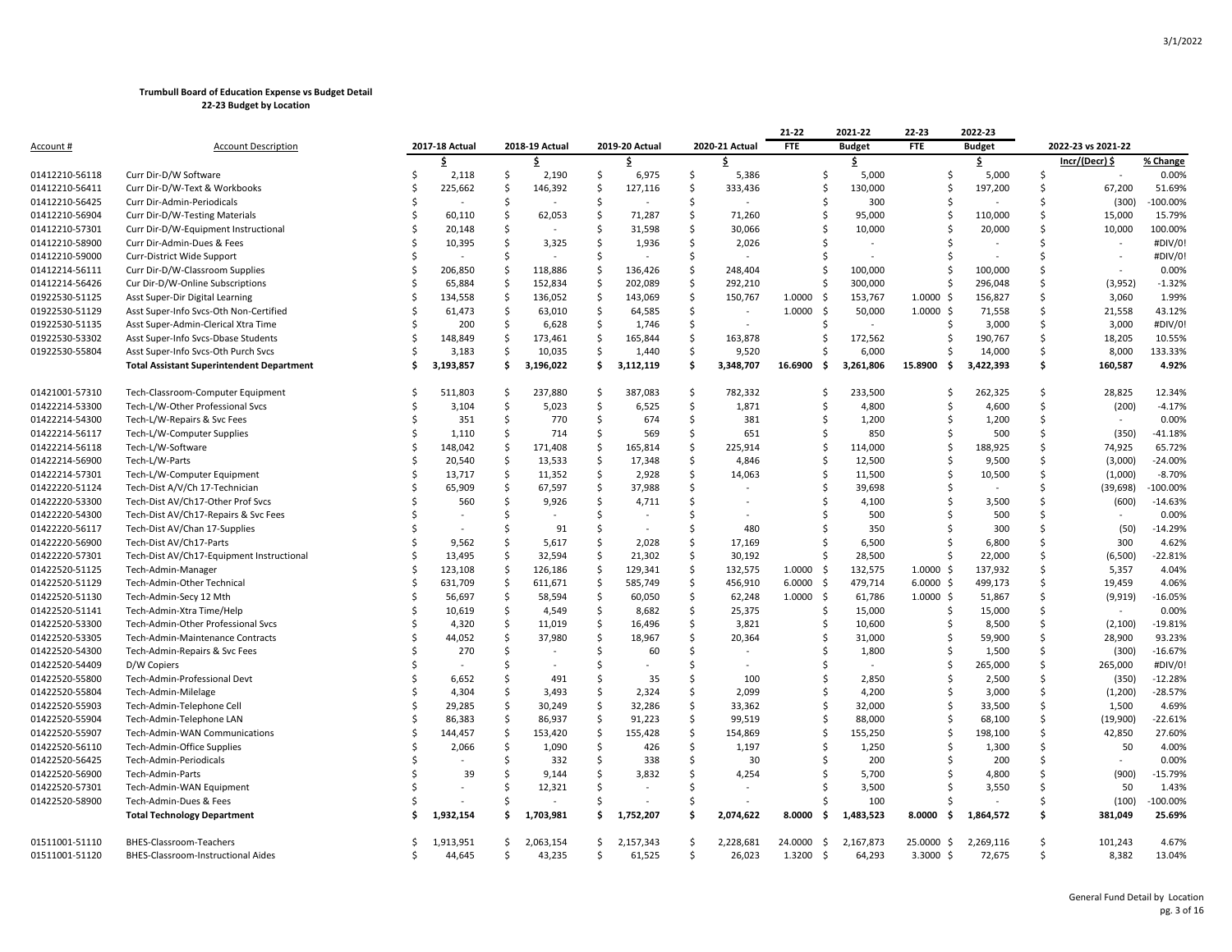|                                  |                                                               |     |                     |                     |                     |                     |                     |                          |                     | 21-22                           | 2021-22       | 22-23                   | 2022-23             |               |                          |                 |
|----------------------------------|---------------------------------------------------------------|-----|---------------------|---------------------|---------------------|---------------------|---------------------|--------------------------|---------------------|---------------------------------|---------------|-------------------------|---------------------|---------------|--------------------------|-----------------|
| <u>Account #</u>                 | <b>Account Description</b>                                    |     | 2017-18 Actual      |                     | 2018-19 Actual      |                     | 2019-20 Actual      |                          | 2020-21 Actual      | <b>FTE</b>                      | <b>Budget</b> | <b>FTE</b>              | <b>Budget</b>       |               | 2022-23 vs 2021-22       |                 |
|                                  |                                                               |     | \$                  |                     | \$                  |                     | \$                  |                          | Ś                   |                                 | \$            |                         | \$                  |               | Incr/(Decr) \$           | % Change        |
| 01412210-56118                   | Curr Dir-D/W Software                                         | .\$ | 2,118               | \$                  | 2,190               | \$                  | 6,975               | \$                       | 5,386               | \$                              | 5,000         | \$                      | 5,000               | \$            |                          | 0.00%           |
| 01412210-56411                   | Curr Dir-D/W-Text & Workbooks                                 | Ś   | 225,662             | -\$                 | 146,392             | Ś.                  | 127,116             | \$                       | 333,436             | Ś                               | 130,000       | Ś                       | 197,200             | Ś             | 67,200                   | 51.69%          |
| 01412210-56425                   | Curr Dir-Admin-Periodicals                                    |     |                     | .S                  |                     | -Ś                  |                     | Ŝ.                       |                     |                                 | Ś<br>300      | Ś                       |                     | Ś             | (300)                    | $-100.00%$      |
| 01412210-56904                   | Curr Dir-D/W-Testing Materials                                | Ś   | 60,110              | \$                  | 62,053              | $\mathsf{S}$        | 71,287              | $\mathsf{\hat{S}}$       | 71,260              | Ŝ                               | 95,000        | Ś                       | 110,000             | \$            | 15,000                   | 15.79%          |
| 01412210-57301                   | Curr Dir-D/W-Equipment Instructional                          |     | 20,148              | \$                  |                     | $\mathsf{S}$        | 31,598              | $\mathsf{\hat{S}}$       | 30,066              | Ś                               | 10,000        | Ś                       | 20,000              | Ś             | 10,000                   | 100.00%         |
| 01412210-58900                   | Curr Dir-Admin-Dues & Fees                                    |     | 10,395              | Ś                   | 3,325               | Ś.                  | 1,936               | \$                       | 2,026               |                                 |               |                         |                     | Ś             |                          | #DIV/0!         |
| 01412210-59000                   | Curr-District Wide Support                                    | Ś   |                     | Ś                   |                     | -Ś                  |                     | Ŝ.                       |                     |                                 |               | S                       |                     | Ś             |                          | #DIV/0!         |
| 01412214-56111                   | Curr Dir-D/W-Classroom Supplies                               | Ś   | 206,850             | <sup>5</sup>        | 118,886             | -Ś                  | 136,426             | Ŝ.                       | 248,404             | Ŝ.                              | 100,000       | S                       | 100,000             | Ś             |                          | 0.00%           |
| 01412214-56426                   | Cur Dir-D/W-Online Subscriptions                              | \$  | 65,884              | <sub>\$</sub>       | 152,834             | $\mathsf{S}$        | 202,089             | $\mathsf{\hat{S}}$       | 292,210             | Ś                               | 300,000       | \$                      | 296,048             | \$            | (3,952)                  | $-1.32%$        |
| 01922530-51125                   | Asst Super-Dir Digital Learning                               | Ś   | 134,558             | <sub>\$</sub>       | 136,052             | $\mathsf{S}$        | 143,069             | \$                       | 150,767             | 1.0000<br>-\$                   | 153,767       | $1.0000 \,$ \$          | 156,827             | Ś             | 3,060                    | 1.99%           |
| 01922530-51129                   | Asst Super-Info Svcs-Oth Non-Certified                        |     | 61,473              | \$                  | 63,010              | \$                  | 64,585              | \$                       |                     | 1.0000<br>-\$                   | 50,000        | $1.0000$ \$             | 71,558              | Ś             | 21,558                   | 43.12%          |
| 01922530-51135                   | Asst Super-Admin-Clerical Xtra Time                           | Ś   | 200                 | -\$                 | 6,628               | $\mathsf{S}$        | 1,746               | $\mathsf{\hat{S}}$       |                     | Ŝ.                              |               | S                       | 3,000               | Ś             | 3,000                    | #DIV/0!         |
| 01922530-53302                   | Asst Super-Info Svcs-Dbase Students                           | Ś   | 148,849             | -\$                 | 173,461             | -Ś                  | 165,844             | Ŝ.                       | 163,878             | Ŝ                               | 172,562       | Ś                       | 190,767             | Ŝ.            | 18,205                   | 10.55%          |
| 01922530-55804                   | Asst Super-Info Svcs-Oth Purch Svcs                           | ς   | 3,183               | $\ddot{\mathsf{S}}$ | 10,035              | $\ddot{\mathsf{S}}$ | 1,440               | \$                       | 9,520               | Ś                               | 6,000         | S                       | 14,000              | $\zeta$       | 8,000                    | 133.33%         |
|                                  | <b>Total Assistant Superintendent Department</b>              | Ś   | 3,193,857           | \$.                 | 3,196,022           | \$                  | 3,112,119           | \$                       | 3,348,707           | 16.6900<br>-\$                  | 3,261,806     | 15.8900<br>-\$          | 3,422,393           | Ś             | 160,587                  | 4.92%           |
|                                  |                                                               |     |                     |                     |                     |                     |                     |                          |                     |                                 |               |                         |                     |               |                          |                 |
| 01421001-57310                   | Tech-Classroom-Computer Equipment                             |     | 511,803             | -\$                 | 237,880             | Ś.                  | 387,083             | Ŝ.                       | 782,332             | Ś                               | 233,500       | Ś                       | 262,325             | Ś.            | 28,825                   | 12.34%          |
| 01422214-53300                   | Tech-L/W-Other Professional Svcs                              |     | 3,104               | -\$                 | 5,023               | -Ś                  | 6,525               | \$                       | 1,871               | Ŝ                               | 4,800         | S                       | 4,600               | Ŝ.            | (200)                    | $-4.17%$        |
| 01422214-54300                   | Tech-L/W-Repairs & Svc Fees                                   | Ś   | 351                 | $\ddot{\mathsf{S}}$ | 770                 | \$                  | 674                 | \$                       | 381                 |                                 | 1,200<br>Ś    | Ś                       | 1,200               | \$            | $\overline{\phantom{a}}$ | 0.00%           |
| 01422214-56117                   | Tech-L/W-Computer Supplies                                    | Ś   | 1,110               | <sub>\$</sub>       | 714                 | Ś.                  | 569                 | $\mathsf{\hat{S}}$       | 651                 | Ś                               | 850           | Ś                       | 500                 | Ś             | (350)                    | $-41.18%$       |
| 01422214-56118                   | Tech-L/W-Software                                             |     | 148,042             | Ś                   | 171,408             | -Ś                  | 165,814             | Ŝ.                       | 225,914             | Ś                               | 114,000       | Ś                       | 188,925             | Ś             | 74,925                   | 65.72%          |
| 01422214-56900                   | Tech-L/W-Parts                                                | Ś   | 20,540              | $\ddot{\mathsf{S}}$ | 13,533              | \$                  | 17,348              | $\mathsf{\hat{S}}$       | 4,846               | Ś                               | 12,500        | S                       | 9,500               | Ś             | (3,000)                  | $-24.00%$       |
| 01422214-57301                   | Tech-L/W-Computer Equipment                                   | Ś   | 13,717              | $\ddot{\mathsf{S}}$ | 11,352              | Ś.                  | 2,928               | Ŝ.                       | 14,063              | Ś                               | 11,500        | Ś                       | 10,500              | Ś             | (1,000)                  | $-8.70%$        |
| 01422220-51124                   | Tech-Dist A/V/Ch 17-Technician                                |     | 65,909              | \$                  | 67,597              | \$                  | 37,988              | $\mathsf{\hat{S}}$       |                     | Ś                               | 39,698        | Ś                       |                     | Ś             | (39, 698)                | $-100.00%$      |
| 01422220-53300                   | Tech-Dist AV/Ch17-Other Prof Svcs                             |     | 560                 | -\$                 | 9,926               | Ś.                  | 4,711               | Ŝ.                       |                     | Ś                               | 4,100         | Ś                       | 3,500               | Ś             | (600)                    | $-14.63%$       |
| 01422220-54300                   | Tech-Dist AV/Ch17-Repairs & Svc Fees                          |     |                     | Ś                   |                     | Ś.                  |                     | Ŝ.                       |                     | Ś                               | 500           |                         | 500                 | Ś             |                          | 0.00%           |
| 01422220-56117                   | Tech-Dist AV/Chan 17-Supplies                                 |     |                     | Ś                   | 91                  | <sub>S</sub>        |                     | Ŝ.                       | 480                 | S                               | 350           | S                       | 300                 | Ś             | (50)                     | $-14.29%$       |
| 01422220-56900                   | Tech-Dist AV/Ch17-Parts                                       | Ś   | 9,562               | Ś                   | 5,617               | Ś.                  | 2,028               | Ŝ.                       | 17,169              | Ś                               | 6,500         | Ś                       | 6,800               | <sup>\$</sup> | 300                      | 4.62%           |
| 01422220-57301                   | Tech-Dist AV/Ch17-Equipment Instructional                     |     | 13,495              | Ś                   | 32,594              | -\$                 | 21,302              | S.                       | 30,192              | Š.                              | 28,500        | Ś                       | 22,000              | \$            | (6,500)                  | $-22.81%$       |
| 01422520-51125                   | Tech-Admin-Manager                                            | Ś   | 123,108             | $\ddot{\mathsf{S}}$ | 126,186             | $\mathsf{S}$        | 129,341             | $\mathsf{\hat{S}}$       | 132,575             | 1.0000<br>-\$                   | 132,575       | $1.0000$ \$             | 137,932             | $\zeta$       | 5,357                    | 4.04%           |
| 01422520-51129                   | Tech-Admin-Other Technical                                    | Ś   | 631,709             | <sub>\$</sub>       | 611,671             | $\mathsf{S}$        | 585,749             | $\mathsf{\hat{S}}$       | 456,910             | 6.0000<br>-\$                   | 479,714       | $6.0000$ \$             | 499,173             | \$            | 19,459                   | 4.06%           |
| 01422520-51130                   | Tech-Admin-Secy 12 Mth                                        |     | 56,697              | $\ddot{\mathsf{S}}$ | 58,594              | $\ddot{\mathsf{S}}$ | 60,050              | \$                       | 62,248              | 1.0000<br>-\$                   | 61,786        | $1.0000 \,$ \$          | 51,867              | Ś             | (9, 919)                 | $-16.05%$       |
| 01422520-51141                   | Tech-Admin-Xtra Time/Help                                     | ς   | 10,619              | \$                  | 4,549               | S.                  | 8,682               | Ŝ.                       | 25,375              |                                 | Ś.<br>15,000  | Ś                       | 15,000              | Ŝ             |                          | 0.00%           |
| 01422520-53300                   | Tech-Admin-Other Professional Svcs                            |     | 4,320               | Ś                   | 11,019              | $\mathsf{S}$        | 16,496              | $\mathsf{\hat{S}}$       | 3,821               | \$                              | 10,600        | Ś                       | 8,500               | \$            | (2, 100)                 | $-19.81%$       |
| 01422520-53305                   | Tech-Admin-Maintenance Contracts                              | Ś   | 44,052              | $\ddot{\mathsf{S}}$ | 37,980              | \$                  | 18,967              | $\mathsf{\hat{S}}$       | 20,364              | \$                              | 31,000        | Ś                       | 59,900              | \$            | 28,900                   | 93.23%          |
| 01422520-54300                   | Tech-Admin-Repairs & Svc Fees                                 |     | 270                 | Ś                   |                     | S.                  | 60                  | Ŝ.                       |                     |                                 | Ś<br>1,800    | Ś                       | 1,500               | Ś             | (300)                    | $-16.67%$       |
| 01422520-54409                   | D/W Copiers                                                   |     |                     | Ś                   |                     | S.                  |                     | Ŝ.                       |                     | Ŝ                               |               | Ś                       | 265,000             | Ś.            | 265,000                  | #DIV/0!         |
| 01422520-55800                   | Tech-Admin-Professional Devt                                  |     | 6,652               | <sup>5</sup>        | 491                 | -Ś                  | 35                  | -Ś                       | 100                 | Ś                               | 2,850         | Ś                       | 2,500               | Ś             | (350)                    | $-12.28%$       |
| 01422520-55804                   | Tech-Admin-Milelage                                           |     | 4,304               | Ś                   | 3,493               | S.                  | 2,324               | Ŝ.                       | 2,099               | Ś                               | 4,200         | Ś                       | 3,000               | \$            | (1,200)                  | $-28.57%$       |
| 01422520-55903                   | Tech-Admin-Telephone Cell                                     | Ś   | 29,285              | $\ddot{\mathsf{S}}$ | 30,249              | $\mathsf{S}$        | 32,286              | $\mathsf{\hat{S}}$       | 33,362              | Ś                               | 32,000        | Ś                       | 33,500              | \$            | 1,500                    | 4.69%           |
| 01422520-55904                   | Tech-Admin-Telephone LAN                                      | Ś   | 86,383              | $\ddot{\mathsf{S}}$ | 86,937              | \$                  | 91,223              | Ŝ.                       | 99,519              |                                 | Ś<br>88,000   | Ś                       | 68,100              | Ś             | (19,900)                 | $-22.61%$       |
| 01422520-55907                   | Tech-Admin-WAN Communications                                 |     | 144,457             | <sub>\$</sub>       | 153,420             | $\mathsf{S}$        | 155,428             | Ŝ.                       | 154,869             | Ŝ                               | 155,250       | Ś                       | 198,100             | Ś             | 42,850                   | 27.60%          |
| 01422520-56110                   | Tech-Admin-Office Supplies                                    |     | 2,066               | -\$                 | 1,090               | Ś.                  | 426                 | <sup>\$</sup>            | 1,197               |                                 | 1,250<br>Ś    |                         | 1,300               | Ŝ             | 50                       | 4.00%           |
| 01422520-56425                   | Tech-Admin-Periodicals                                        |     |                     | \$                  | 332                 | -\$                 | 338                 | \$                       | 30                  |                                 | 200<br>Ś      | S                       | 200                 | Ś             |                          | 0.00%           |
| 01422520-56900                   | Tech-Admin-Parts                                              |     | 39                  | Ś                   | 9,144               | Ś                   | 3,832               | Ŝ.                       | 4,254               |                                 | 5,700         |                         | 4,800               | \$            | (900)                    | $-15.79%$       |
| 01422520-57301                   | Tech-Admin-WAN Equipment                                      |     |                     | Ś                   | 12,321              | <sup>5</sup>        |                     | <sup>\$</sup>            |                     |                                 | 3,500         | Ś                       | 3,550               | Ś             | 50                       | 1.43%           |
| 01422520-58900                   | Tech-Admin-Dues & Fees                                        |     |                     | Ś                   |                     |                     |                     | -Ś                       |                     |                                 | 100           |                         |                     | Ś             | (100)                    | -100.00%        |
|                                  | <b>Total Technology Department</b>                            | S   | 1,932,154           | Ŝ                   | 1,703,981           | Ŝ                   | 1,752,207           | Ŝ.                       | 2,074,622           | 8.0000<br>-\$                   | 1,483,523     | 8.0000<br>\$.           | 1,864,572           | Ś             | 381,049                  | 25.69%          |
|                                  |                                                               |     |                     |                     |                     |                     |                     |                          |                     |                                 |               |                         |                     | \$            |                          |                 |
| 01511001-51110<br>01511001-51120 | BHES-Classroom-Teachers<br>BHES-Classroom-Instructional Aides | Ś   | 1,913,951<br>44,645 | \$<br><sup>5</sup>  | 2,063,154<br>43,235 | \$<br><sup>5</sup>  | 2,157,343<br>61,525 | $\mathsf{\hat{S}}$<br>Ŝ. | 2,228,681<br>26,023 | 24.0000<br>-\$<br>1.3200<br>- Ś | 2,167,873     | 25.0000 \$<br>3.3000 \$ | 2,269,116<br>72,675 | Ŝ.            | 101,243<br>8,382         | 4.67%<br>13.04% |
|                                  |                                                               |     |                     |                     |                     |                     |                     |                          |                     |                                 | 64,293        |                         |                     |               |                          |                 |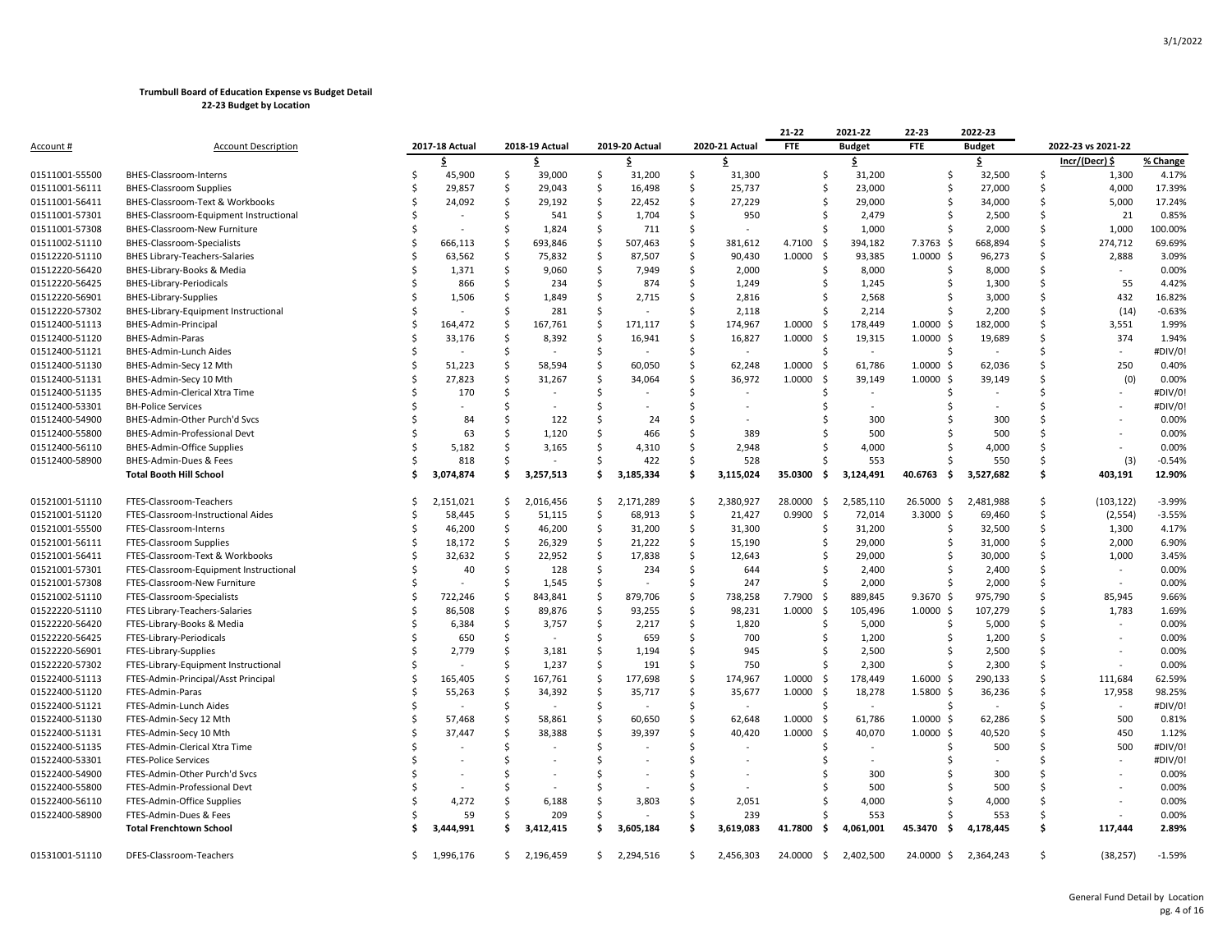|                                  |                                        |    |                |     |                |     |                |                     |                | 21-22           | 2021-22       | 22-23          | 2022-23       |               |                    |          |
|----------------------------------|----------------------------------------|----|----------------|-----|----------------|-----|----------------|---------------------|----------------|-----------------|---------------|----------------|---------------|---------------|--------------------|----------|
| <u>Account #</u>                 | <b>Account Description</b>             |    | 2017-18 Actual |     | 2018-19 Actual |     | 2019-20 Actual |                     | 2020-21 Actual | <b>FTE</b>      | <b>Budget</b> | <b>FTE</b>     | <b>Budget</b> |               | 2022-23 vs 2021-22 |          |
|                                  |                                        |    | Ś              |     | Ŝ.             |     |                |                     |                |                 | \$            |                | \$            |               | Incr/(Decr) \$     | % Change |
| 01511001-55500                   | BHES-Classroom-Interns                 |    | 45,900         | \$  | 39,000         | \$  | 31,200         | \$                  | 31,300         | Ŝ               | 31,200        | Ŝ              | 32,500        | .s            | 1,300              | 4.17%    |
| 01511001-56111                   | <b>BHES-Classroom Supplies</b>         |    | 29,857         | Š.  | 29,043         | Ŝ.  | 16,498         | Ŝ.                  | 25,737         | S               | 23,000        | Ŝ.             | 27,000        | Ś             | 4,000              | 17.39%   |
| 01511001-56411                   | BHES-Classroom-Text & Workbooks        |    | 24,092         | .s  | 29,192         | -Ś  | 22,452         | -Ś                  | 27,229         |                 | 29,000        | .S             | 34,000        | Ŝ             | 5,000              | 17.24%   |
| 01511001-57301                   | BHES-Classroom-Equipment Instructional |    |                | .s  | 541            | \$  | 1,704          | -\$                 | 950            |                 | 2,479         |                | 2,500         | Ś             | 21                 | 0.85%    |
| 01511001-57308                   | BHES-Classroom-New Furniture           |    |                | S.  | 1,824          | -\$ | 711            | Ŝ                   |                |                 | 1,000         | Ŝ              | 2,000         | \$            | 1,000              | 100.00%  |
| 01511002-51110                   | <b>BHES-Classroom-Specialists</b>      |    | 666,113        | S.  | 693,846        | \$  | 507,463        | Ś                   | 381,612        | 4.7100<br>\$    | 394,182       | 7.3763 \$      | 668,894       | Ś             | 274,712            | 69.69%   |
| 01512220-51110                   | <b>BHES Library-Teachers-Salaries</b>  |    | 63,562         | Š.  | 75,832         | \$  | 87,507         | Ś                   | 90,430         | 1.0000<br>\$    | 93,385        | $1.0000 \,$ \$ | 96,273        | Ś             | 2,888              | 3.09%    |
| 01512220-56420                   | BHES-Library-Books & Media             |    | 1,371          | -S  | 9,060          | -S  | 7,949          | .s                  | 2,000          | -S              | 8,000         | .S             | 8,000         | Ś             |                    | 0.00%    |
| 01512220-56425                   | <b>BHES-Library-Periodicals</b>        |    | 866            | -\$ | 234            | \$  | 874            | -\$                 | 1,249          | -S              | 1,245         | Ŝ              | 1,300         | \$            | 55                 | 4.42%    |
| 01512220-56901                   | <b>BHES-Library-Supplies</b>           |    | 1,506          | .s  | 1,849          | Ŝ   | 2,715          | Ŝ.                  | 2,816          |                 | 2,568         |                | 3,000         | Ś             | 432                | 16.82%   |
| 01512220-57302                   | BHES-Library-Equipment Instructional   |    |                | .s  | 281            | Ŝ.  |                | Ŝ.                  | 2,118          |                 | 2,214         |                | 2,200         | Ś             | (14)               | $-0.63%$ |
| 01512400-51113                   | BHES-Admin-Principal                   |    | 164,472        | .s  | 167,761        | -\$ | 171,117        | .s                  | 174,967        | 1.0000<br>-S    | 178,449       | $1.0000 \;$ \$ | 182,000       | Ŝ             | 3,551              | 1.99%    |
| 01512400-51120                   | BHES-Admin-Paras                       |    | 33,176         | -S  | 8,392          | -S  | 16,941         | .S                  | 16,827         | 1.0000<br>- \$  | 19,315        | $1.0000 \,$ \$ | 19,689        | Ś             | 374                | 1.94%    |
| 01512400-51121                   | BHES-Admin-Lunch Aides                 |    |                | -\$ |                | \$  |                | -\$                 | $\sim$         | S               | $\sim$        | Ŝ              |               | \$            |                    | #DIV/0!  |
| 01512400-51130                   | BHES-Admin-Secy 12 Mth                 |    | 51,223         | \$  | 58,594         | \$. | 60,050         | Ŝ.                  | 62,248         | 1.0000<br>- \$  | 61,786        | $1.0000 \,$ \$ | 62,036        | Ś             | 250                | 0.40%    |
| 01512400-51131                   | BHES-Admin-Secy 10 Mth                 |    | 27,823         | .s  | 31,267         | -Ś  | 34,064         | Ŝ.                  | 36,972         | 1.0000<br>\$    | 39,149        | $1.0000 \,$ \$ | 39,149        | Ś             | (0)                | 0.00%    |
| 01512400-51135                   | BHES-Admin-Clerical Xtra Time          |    | 170            | Ś   |                | .S  |                |                     |                |                 |               |                |               |               |                    | #DIV/0!  |
| 01512400-53301                   | <b>BH-Police Services</b>              |    |                |     |                |     |                |                     |                |                 |               |                |               |               |                    | #DIV/0!  |
| 01512400-54900                   | BHES-Admin-Other Purch'd Svcs          |    | 84             | Ŝ   | 122            | S   | 24             | S                   |                |                 | 300           |                | 300           | Ś             |                    | 0.00%    |
| 01512400-55800                   | BHES-Admin-Professional Devt           |    | 63             | Ŝ   | 1,120          | Ś   | 466            | Ś                   | 389            |                 | 500           |                | 500           | Ś             |                    | 0.00%    |
| 01512400-56110                   | <b>BHES-Admin-Office Supplies</b>      |    | 5,182          |     | 3,165          |     | 4,310          | Ŝ                   | 2,948          |                 | 4,000         |                | 4,000         | Ś             |                    | 0.00%    |
| 01512400-58900                   | BHES-Admin-Dues & Fees                 |    | 818            | S   |                | S   | 422            | . Ś                 | 528            |                 | 553           |                | 550           | Ś             | (3)                | $-0.54%$ |
|                                  | <b>Total Booth Hill School</b>         |    | 3,074,874      | Ŝ.  | 3,257,513      | Ŝ.  | 3,185,334      | -\$                 | 3,115,024      | 35.0300<br>- \$ | 3,124,491     | 40.6763<br>- Ś | 3,527,682     | \$            | 403.191            | 12.90%   |
|                                  |                                        |    |                |     |                |     |                |                     |                |                 |               |                |               |               |                    |          |
| 01521001-51110                   | FTES-Classroom-Teachers                | S  | 2,151,021      | -\$ | 2,016,456      | \$. | 2,171,289      | -\$                 | 2,380,927      | 28.0000<br>- \$ | 2,585,110     | 26.5000 \$     | 2,481,988     | Ŝ.            | (103, 122)         | $-3.99%$ |
| 01521001-51120                   | FTES-Classroom-Instructional Aides     |    | 58,445         | Ŝ.  | 51,115         | Ŝ.  | 68,913         | -Ś                  | 21,427         | 0.9900<br>- \$  | 72,014        | $3.3000$ \$    | 69,460        | Ś             | (2, 554)           | $-3.55%$ |
| 01521001-55500                   | FTES-Classroom-Interns                 |    | 46,200         | \$  | 46,200         | \$  | 31,200         | $\ddot{\mathsf{S}}$ | 31,300         | S               | 31,200        | S              | 32,500        | \$            | 1,300              | 4.17%    |
| 01521001-56111                   | <b>FTES-Classroom Supplies</b>         |    | 18,172         | .s  | 26,329         | -Ś  | 21,222         | Ś                   | 15,190         |                 | 29,000        | Ŝ.             | 31,000        | Ś             | 2,000              | 6.90%    |
| 01521001-56411                   | FTES-Classroom-Text & Workbooks        |    | 32,632         | -\$ | 22,952         | -\$ | 17,838         | \$.                 | 12,643         |                 | 29,000        | S              | 30,000        | \$            | 1,000              | 3.45%    |
| 01521001-57301                   | FTES-Classroom-Equipment Instructional |    | 40             | Ŝ.  | 128            | Ŝ.  | 234            | . Ś                 | 644            |                 | 2,400         |                | 2,400         | Ś             |                    | 0.00%    |
| 01521001-57308                   | FTES-Classroom-New Furniture           |    |                | S.  | 1,545          | -\$ |                | Ŝ                   | 247            |                 | 2,000         | Ŝ.             | 2,000         | Ś             | $\sim$             | 0.00%    |
| 01521002-51110                   | FTES-Classroom-Specialists             |    | 722,246        | S   | 843,841        | -Ś  | 879,706        | Ŝ.                  | 738,258        | 7.7900<br>-S    | 889,845       | $9.3670 \;$ \$ | 975,790       | Ś             | 85,945             | 9.66%    |
| 01522220-51110                   | FTES Library-Teachers-Salaries         |    | 86,508         | .s  | 89,876         | Ŝ.  | 93,255         | Ŝ.                  | 98,231         | 1.0000<br>\$    | 105,496       | $1.0000 \;$ \$ | 107,279       | Ś             | 1,783              | 1.69%    |
| 01522220-56420                   | FTES-Library-Books & Media             |    | 6,384          | .s  | 3,757          | -\$ | 2,217          | -Ś                  | 1,820          | -S              | 5,000         | S              | 5,000         | Ś             |                    | 0.00%    |
| 01522220-56425                   | FTES-Library-Periodicals               |    | 650            | -\$ |                | \$  | 659            | -\$                 | 700            | -S              | 1,200         | S              | 1,200         | Ś             |                    | 0.00%    |
| 01522220-56901                   | FTES-Library-Supplies                  |    | 2,779          | \$  | 3,181          | \$. | 1,194          | -Ś                  | 945            |                 | 2,500         |                | 2,500         | Ś             |                    | 0.00%    |
| 01522220-57302                   | FTES-Library-Equipment Instructional   |    |                | .s  | 1,237          | -Ś  | 191            | -Ś                  | 750            |                 | 2,300         | Ś              | 2,300         | Ś             |                    | 0.00%    |
| 01522400-51113                   | FTES-Admin-Principal/Asst Principal    |    | 165,405        | -S  | 167,761        | -\$ | 177,698        | Ŝ.                  | 174,967        | 1.0000<br>-S    | 178,449       | $1.6000 \;$ \$ | 290,133       | Ŝ             | 111,684            | 62.59%   |
| 01522400-51120                   | FTES-Admin-Paras                       |    | 55,263         | -\$ | 34,392         | -\$ | 35,717         | -\$                 | 35,677         | 1.0000<br>-\$   | 18,278        | $1.5800$ \$    | 36,236        | Ś             | 17,958             | 98.25%   |
| 01522400-51121                   | FTES-Admin-Lunch Aides                 |    |                | \$  |                | \$  |                | Ŝ.                  |                | -S              |               | -Ś             |               | Ś             |                    | #DIV/0!  |
| 01522400-51130                   | FTES-Admin-Secy 12 Mth                 |    | 57,468         | Ŝ   | 58,861         | Ŝ.  | 60,650         | Ś                   | 62,648         | 1.0000<br>- \$  | 61,786        | $1.0000 \,$ \$ | 62,286        | Ś             | 500                | 0.81%    |
| 01522400-51131                   | FTES-Admin-Secy 10 Mth                 |    | 37,447         | .s  | 38,388         | Ŝ.  | 39,397         | S                   | 40,420         | 1.0000<br>Ŝ.    | 40,070        | $1.0000$ \$    | 40,520        | Ś             | 450                | 1.12%    |
| 01522400-51135                   | FTES-Admin-Clerical Xtra Time          |    |                | Ŝ   |                | -Ś  |                | Ś                   |                |                 |               |                | 500           | Ś             | 500                | #DIV/0!  |
| 01522400-53301                   | <b>FTES-Police Services</b>            |    |                |     |                |     |                |                     |                |                 |               |                |               |               |                    | #DIV/0!  |
|                                  | FTES-Admin-Other Purch'd Svcs          |    |                | Ś   |                |     |                | Ś                   |                |                 | 300           |                | 300           | Ś             |                    | 0.00%    |
| 01522400-54900<br>01522400-55800 | FTES-Admin-Professional Devt           |    |                |     |                |     |                |                     |                |                 | 500           |                | 500           | Ś             |                    | 0.00%    |
| 01522400-56110                   | FTES-Admin-Office Supplies             |    | 4,272          |     | 6,188          |     | 3,803          | S                   | 2,051          |                 | 4,000         |                | 4,000         | Ś             |                    | 0.00%    |
| 01522400-58900                   |                                        |    | 59             |     |                | .S  |                | Ŝ.                  | 239            |                 |               |                | 553           | Ś             |                    | 0.00%    |
|                                  | FTES-Admin-Dues & Fees                 |    | 3,444,991      | Ŝ   | 209            | Ŝ   |                | . Ś                 | 3,619,083      | 41.7800<br>- \$ | 553           | 45.3470<br>-\$ | 4,178,445     | \$            | 117,444            | 2.89%    |
|                                  | <b>Total Frenchtown School</b>         |    |                |     | 3,412,415      |     | 3,605,184      |                     |                |                 | 4,061,001     |                |               |               |                    |          |
| 01531001-51110                   | DFES-Classroom-Teachers                | Ś. | 1,996,176      |     | \$2,196,459    |     | \$2,294,516    | Ŝ.                  | 2,456,303      | 24.0000 \$      | 2,402,500     | 24.0000 \$     | 2,364,243     | <sup>\$</sup> | (38, 257)          | $-1.59%$ |
|                                  |                                        |    |                |     |                |     |                |                     |                |                 |               |                |               |               |                    |          |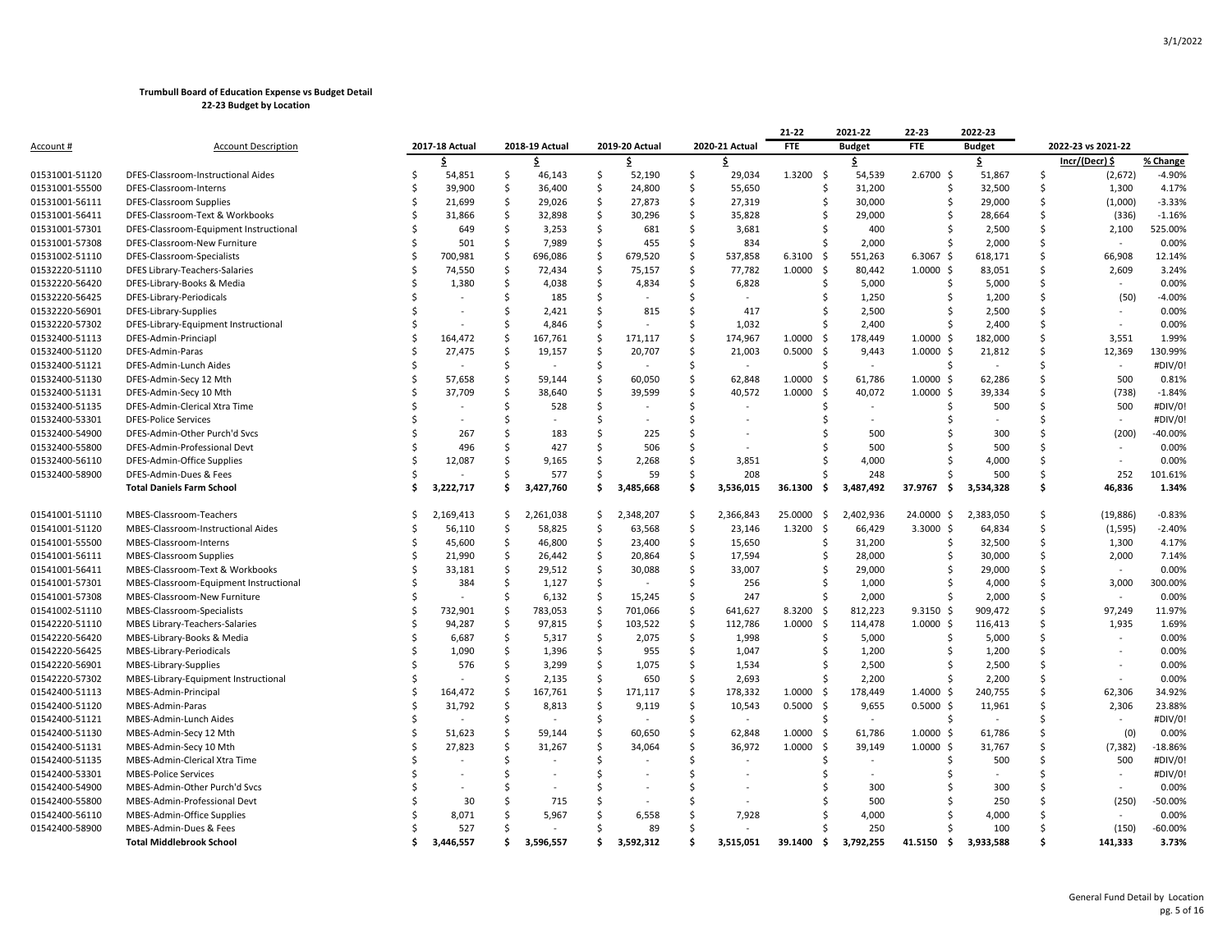|                  |                                        |    |                |                    |                |                     |                |                     |                          | 21-22           | 2021-22       | 22-23                | 2022-23       |    |                    |           |
|------------------|----------------------------------------|----|----------------|--------------------|----------------|---------------------|----------------|---------------------|--------------------------|-----------------|---------------|----------------------|---------------|----|--------------------|-----------|
| <u>Account #</u> | <b>Account Description</b>             |    | 2017-18 Actual |                    | 2018-19 Actual |                     | 2019-20 Actual |                     | 2020-21 Actual           | <b>FTE</b>      | <b>Budget</b> | <b>FTE</b>           | <b>Budget</b> |    | 2022-23 vs 2021-22 |           |
|                  |                                        |    | Ś.             |                    | Ŝ.             |                     | Ŝ              |                     | Ŝ                        |                 | \$            |                      | \$            |    | Incr/(Decr) \$     | % Change  |
| 01531001-51120   | DFES-Classroom-Instructional Aides     | Ś  | 54,851         | -\$                | 46,143         | -\$                 | 52,190         | -\$                 | 29,034                   | 1.3200<br>- \$  | 54,539        | 2.6700 \$            | 51,867        | \$ | (2,672)            | $-4.90%$  |
| 01531001-55500   | DFES-Classroom-Interns                 | Ŝ  | 39,900         | -\$                | 36,400         | $\ddot{\mathsf{S}}$ | 24,800         | $\ddot{\mathsf{S}}$ | 55,650                   | \$              | 31,200        | \$                   | 32,500        | \$ | 1,300              | 4.17%     |
| 01531001-56111   | DFES-Classroom Supplies                | Ś  | 21,699         | $\mathsf{\hat{S}}$ | 29,026         | $\ddot{\mathsf{S}}$ | 27,873         | $\mathsf{\$}$       | 27,319                   | Ś               | 30,000        | Ś                    | 29,000        | Ś  | (1,000)            | $-3.33%$  |
| 01531001-56411   | DFES-Classroom-Text & Workbooks        | Ś  | 31,866         | Ŝ.                 | 32,898         | -\$                 | 30,296         | Ŝ.                  | 35,828                   | Ś               | 29,000        | Ŝ                    | 28,664        | Ś  | (336)              | $-1.16%$  |
| 01531001-57301   | DFES-Classroom-Equipment Instructional | Ś  | 649            | Ŝ.                 | 3,253          | $\ddot{\mathsf{S}}$ | 681            | Ŝ.                  | 3,681                    | Ŝ.              | 400           | Ŝ.                   | 2,500         | Ś  | 2,100              | 525.00%   |
| 01531001-57308   | DFES-Classroom-New Furniture           | Ś  | 501            | <sub>S</sub>       | 7,989          | <sub>S</sub>        | 455            | <b>S</b>            | 834                      | Ś               | 2,000         | Ś                    | 2,000         | Ś  |                    | 0.00%     |
| 01531002-51110   | DFES-Classroom-Specialists             | Ŝ  | 700,981        | Ś                  | 696,086        | -Ś                  | 679,520        | . Ś                 | 537,858                  | 6.3100<br>-\$   | 551,263       | 6.3067 \$            | 618,171       | Ś  | 66,908             | 12.14%    |
| 01532220-51110   | DFES Library-Teachers-Salaries         | Ŝ  | 74,550         | $\mathsf{\hat{S}}$ | 72,434         | $\ddot{\mathsf{S}}$ | 75,157         | $\mathsf{\hat{S}}$  | 77,782                   | - \$<br>1.0000  | 80,442        | $1.0000 \,$ \$       | 83,051        | \$ | 2,609              | 3.24%     |
| 01532220-56420   | DFES-Library-Books & Media             | Ś  | 1,380          | Ś                  | 4,038          | S.                  | 4,834          | Ŝ.                  | 6,828                    | Ś               | 5,000         | Ŝ                    | 5,000         | Ś  |                    | 0.00%     |
| 01532220-56425   | DFES-Library-Periodicals               | Ś  |                | Ś                  | 185            | -\$                 |                | . Ś                 | $\sim$                   | Ŝ               | 1,250         | Ŝ                    | 1,200         | Ś  | (50)               | $-4.00%$  |
| 01532220-56901   | DFES-Library-Supplies                  | Ś  |                | Ś                  | 2,421          | S.                  | 815            | Ŝ.                  | 417                      | Ś               | 2,500         | Ŝ                    | 2,500         | Ś  |                    | 0.00%     |
| 01532220-57302   | DFES-Library-Equipment Instructional   | Ś  |                | Ś                  | 4,846          | -Ś                  |                | <b>S</b>            | 1,032                    | Ś               | 2,400         | S                    | 2,400         | Ś  | $\sim$             | 0.00%     |
| 01532400-51113   | DFES-Admin-Princiapl                   | Ŝ  | 164,472        | Ś                  | 167,761        | $\ddot{\varsigma}$  | 171,117        | . Ś                 | 174,967                  | 1.0000<br>-\$   | 178,449       | $1.0000 \;$ \$       | 182,000       | Ś  | 3,551              | 1.99%     |
| 01532400-51120   | DFES-Admin-Paras                       | Ś  | 27,475         | -S                 | 19,157         | $\mathsf{S}$        | 20,707         | $\mathsf{\hat{S}}$  | 21,003                   | 0.5000<br>- \$  | 9,443         | $1.0000 \; \text{S}$ | 21,812        | \$ | 12,369             | 130.99%   |
| 01532400-51121   | DFES-Admin-Lunch Aides                 | Ś  |                | <sub>S</sub>       |                | \$                  |                | Ŝ.                  | $\overline{\phantom{a}}$ | Ŝ.              | $\sim$        | Ś.                   |               | Ś  | $\sim$             | #DIV/0!   |
| 01532400-51130   | DFES-Admin-Secy 12 Mth                 | Ŝ  | 57,658         | $\mathsf{\hat{S}}$ | 59,144         | $\ddot{\mathsf{S}}$ | 60,050         | $\mathsf{\hat{S}}$  | 62,848                   | 1.0000<br>\$    | 61,786        | $1.0000 \,$ \$       | 62,286        | Ś  | 500                | 0.81%     |
| 01532400-51131   | DFES-Admin-Secy 10 Mth                 | Ś  | 37,709         | Ŝ                  | 38,640         | $\mathsf{S}$        | 39,599         | Ŝ.                  | 40,572                   | 1.0000<br>-\$   | 40,072        | $1.0000$ \$          | 39,334        | Ś  | (738)              | $-1.84%$  |
| 01532400-51135   | DFES-Admin-Clerical Xtra Time          | Ś  |                | Ś                  | 528            | Ŝ.                  |                | <b>S</b>            |                          | Ŝ.              | $\sim$        | Ŝ.                   | 500           | Ś  | 500                | #DIV/0!   |
| 01532400-53301   | <b>DFES-Police Services</b>            |    |                | Ś                  |                | Ś                   |                | Ś                   |                          |                 |               |                      |               | Ś  | $\sim$             | #DIV/0!   |
| 01532400-54900   | DFES-Admin-Other Purch'd Svcs          | Ś  | 267            | Ś                  | 183            | Ś                   | 225            | Ś                   |                          |                 | 500           |                      | 300           | \$ | (200)              | $-40.00%$ |
| 01532400-55800   | DFES-Admin-Professional Devt           | Ś  | 496            | Ś                  | 427            | -Ś                  | 506            | Ś                   |                          | S               | 500           |                      | 500           | Ś  |                    | 0.00%     |
| 01532400-56110   | DFES-Admin-Office Supplies             | Ś  | 12,087         | Ś                  | 9,165          | Ś                   | 2,268          | Ŝ.                  | 3,851                    | Ś               | 4,000         |                      | 4,000         | Ś. | $\sim$             | 0.00%     |
| 01532400-58900   | DFES-Admin-Dues & Fees                 | Ś, |                | Ś                  | 577            | S.                  | 59             | Ŝ.                  | 208                      |                 | 248           |                      | 500           | Ś  | 252                | 101.61%   |
|                  | <b>Total Daniels Farm School</b>       |    | 3,222,717      | Ŝ                  | 3,427,760      | Ś.                  | 3,485,668      | -Ś                  | 3,536,015                | 36.1300<br>- \$ | 3,487,492     | 37.9767<br>- Ś       | 3,534,328     | Ś  | 46,836             | 1.34%     |
| 01541001-51110   | MBES-Classroom-Teachers                | \$ | 2,169,413      | \$                 | 2,261,038      | -Ś                  | 2,348,207      | -\$                 | 2,366,843                | 25.0000<br>-\$  | 2,402,936     | 24.0000 \$           | 2,383,050     | \$ | (19, 886)          | $-0.83%$  |
| 01541001-51120   | MBES-Classroom-Instructional Aides     | Ś  | 56,110         | $\mathsf{\hat{S}}$ | 58,825         | $\ddot{\mathsf{S}}$ | 63,568         | \$                  | 23,146                   | \$<br>1.3200    | 66,429        | $3.3000$ \$          | 64,834        | \$ | (1, 595)           | $-2.40%$  |
| 01541001-55500   | MBES-Classroom-Interns                 | Ś  | 45,600         | $\mathsf{\hat{S}}$ | 46,800         | $\ddot{\varsigma}$  | 23,400         | \$                  | 15,650                   | \$              | 31,200        | Ś.                   | 32,500        | Ś  | 1,300              | 4.17%     |
| 01541001-56111   | <b>MBES-Classroom Supplies</b>         | Ś  | 21,990         | Ŝ.                 | 26,442         | $\ddot{\mathsf{S}}$ | 20,864         | $\ddot{\mathsf{S}}$ | 17,594                   | Ś               | 28,000        | Š.                   | 30,000        | Ś  | 2,000              | 7.14%     |
| 01541001-56411   | MBES-Classroom-Text & Workbooks        | Ś  | 33,181         | Ŝ.                 | 29,512         | \$                  | 30,088         | Ŝ.                  | 33,007                   | Ŝ               | 29,000        | Ŝ                    | 29,000        | Ś  | $\sim$             | 0.00%     |
| 01541001-57301   | MBES-Classroom-Equipment Instructional | Ś  | 384            | Ś                  | 1,127          | $\mathsf{S}$        |                | Ŝ.                  | 256                      | Ś               | 1,000         | Ŝ                    | 4,000         | Ś  | 3,000              | 300.00%   |
| 01541001-57308   | MBES-Classroom-New Furniture           | Ś  |                | Ś                  | 6,132          | $\ddot{\mathsf{S}}$ | 15,245         | Ŝ.                  | 247                      | Ś               | 2,000         | Ŝ.                   | 2,000         | Ś  |                    | 0.00%     |
| 01541002-51110   | MBES-Classroom-Specialists             | Ś  | 732,901        | .S                 | 783,053        | $\mathsf{S}$        | 701,066        | $\mathsf{\hat{S}}$  | 641,627                  | - \$<br>8.3200  | 812,223       | $9.3150 \;$ \$       | 909,472       | Ś  | 97,249             | 11.97%    |
| 01542220-51110   | MBES Library-Teachers-Salaries         |    | 94,287         | \$                 | 97,815         | $\ddot{\varsigma}$  | 103,522        | \$                  | 112,786                  | 1.0000<br>-\$   | 114,478       | $1.0000 \,$ \$       | 116,413       | Ś  | 1,935              | 1.69%     |
| 01542220-56420   | MBES-Library-Books & Media             | Ś  | 6,687          | Ś                  | 5,317          | \$                  | 2,075          | \$                  | 1,998                    | Ś               | 5,000         | Ŝ                    | 5,000         | Ś  | $\sim$             | 0.00%     |
| 01542220-56425   | MBES-Library-Periodicals               |    | 1,090          | Ŝ.                 | 1,396          | -\$                 | 955            | . Ś                 | 1,047                    | Ŝ.              | 1,200         | Ŝ.                   | 1,200         | Ś  | $\sim$             | 0.00%     |
| 01542220-56901   | MBES-Library-Supplies                  | Ś  | 576            | Ś                  | 3,299          | <sub>S</sub>        | 1,075          | Ś                   | 1,534                    | Ś               | 2,500         | Ś                    | 2,500         | Ś  |                    | 0.00%     |
| 01542220-57302   | MBES-Library-Equipment Instructional   |    |                | Ś                  | 2,135          | -\$                 | 650            | -Ś                  | 2,693                    | Ś               | 2,200         | Ŝ.                   | 2,200         | Ś  |                    | 0.00%     |
| 01542400-51113   | MBES-Admin-Principal                   | Ś  | 164,472        | Ŝ                  | 167,761        | $\ddot{\mathsf{S}}$ | 171,117        | $\mathsf{\hat{S}}$  | 178,332                  | 1.0000<br>-\$   | 178,449       | 1.4000S              | 240,755       | Ś  | 62,306             | 34.92%    |
| 01542400-51120   | MBES-Admin-Paras                       | Ś  | 31,792         | Ś                  | 8,813          | S.                  | 9,119          | Ŝ.                  | 10,543                   | - \$<br>0.5000  | 9,655         | $0.5000$ \$          | 11,961        | Ś  | 2,306              | 23.88%    |
| 01542400-51121   | MBES-Admin-Lunch Aides                 | Ś  |                | Ś                  |                | -\$                 |                | -Ś                  | $\sim$                   | Ś               | $\sim$        | Š.                   |               | Ś  | $\sim$             | #DIV/0!   |
| 01542400-51130   | MBES-Admin-Secy 12 Mth                 | Ś  | 51,623         | Ś                  | 59,144         | S.                  | 60,650         | Ŝ.                  | 62,848                   | 1.0000<br>- \$  | 61,786        | $1.0000 \;$ \$       | 61,786        | Ś  | (0)                | 0.00%     |
| 01542400-51131   | MBES-Admin-Secy 10 Mth                 |    | 27,823         | Ś                  | 31,267         | Ś                   | 34,064         | Ŝ.                  | 36,972                   | 1.0000<br>-\$   | 39,149        | $1.0000$ \$          | 31,767        | Ś  | (7, 382)           | $-18.86%$ |
| 01542400-51135   | MBES-Admin-Clerical Xtra Time          |    |                | Ś                  |                | <sup>\$</sup>       |                | <b>S</b>            |                          | Ŝ.              | $\sim$        | Ŝ.                   | 500           | Ś  | 500                | #DIV/0!   |
| 01542400-53301   | <b>MBES-Police Services</b>            |    |                | Ś                  |                | Ŝ.                  |                | -Ś                  |                          |                 |               |                      |               | Ś  | $\sim$             | #DIV/0!   |
| 01542400-54900   | MBES-Admin-Other Purch'd Svcs          |    |                |                    |                | Ś                   |                | <sup>5</sup>        |                          |                 | 300           |                      | 300           | Ś  | $\sim$             | 0.00%     |
| 01542400-55800   | MBES-Admin-Professional Devt           |    | 30             |                    | 715            | Ŝ.                  |                | $\varsigma$         |                          |                 | 500           | Ś                    | 250           | Ś  | (250)              | -50.00%   |
| 01542400-56110   | MBES-Admin-Office Supplies             |    | 8,071          |                    | 5,967          | Ŝ.                  | 6,558          | .S                  | 7,928                    |                 | 4,000         |                      | 4,000         | ς  |                    | 0.00%     |
| 01542400-58900   | MBES-Admin-Dues & Fees                 |    | 527            |                    |                | Ś                   | 89             | <sup>\$</sup>       |                          |                 | 250           |                      | 100           | Ś  | (150)              | $-60.00%$ |
|                  | <b>Total Middlebrook School</b>        | ¢  | 3.446.557      | \$.                | 3,596,557      | ¢                   | 3.592.312      |                     | 3.515.051                | 39.1400<br>- \$ | 3,792,255     | 41.5150<br>s.        | 3,933,588     |    | 141,333            | 3.73%     |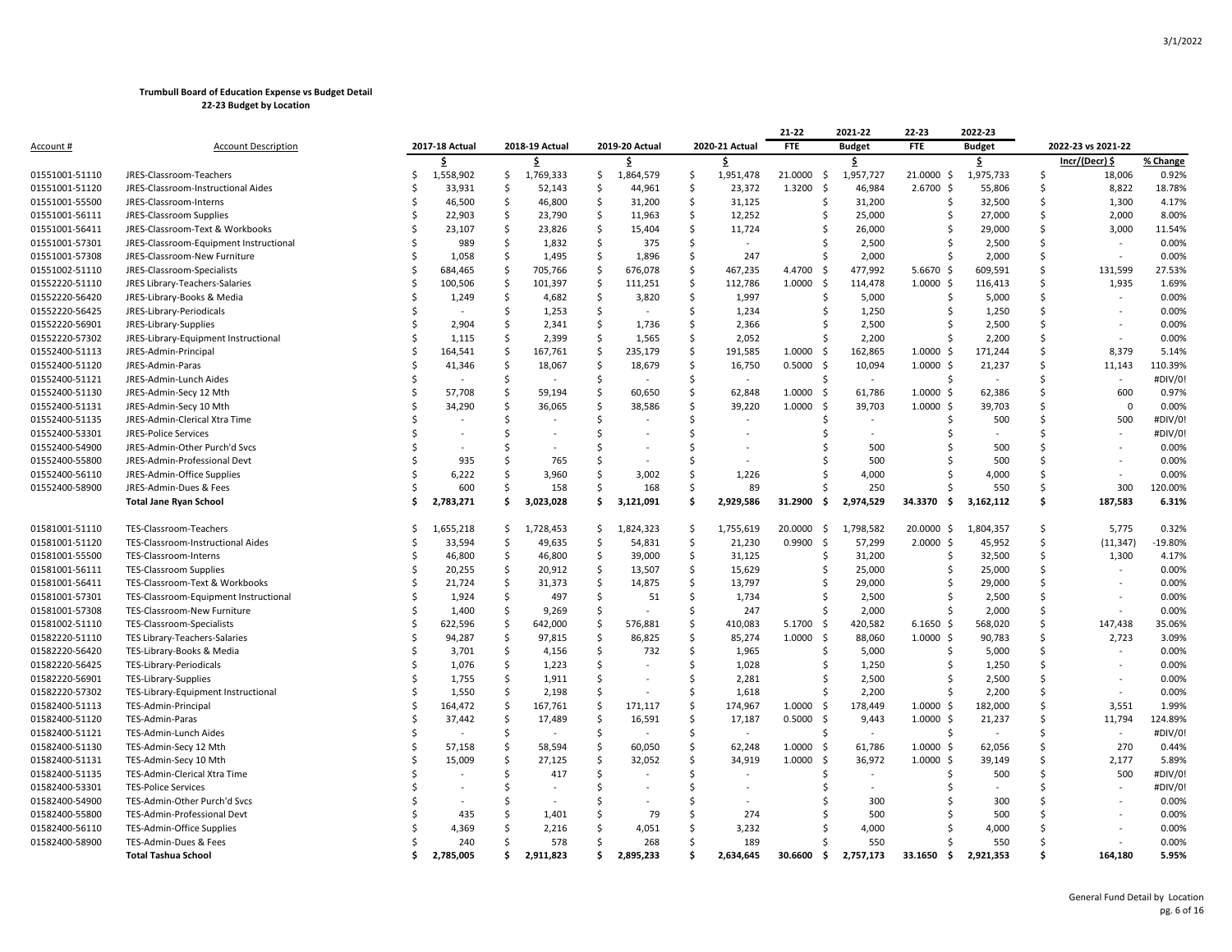|                  |                                        |    |                |                     |                |                     |                |                    |                | 21-22          | 2021-22                  | 22-23                | 2022-23       |    |                          |          |
|------------------|----------------------------------------|----|----------------|---------------------|----------------|---------------------|----------------|--------------------|----------------|----------------|--------------------------|----------------------|---------------|----|--------------------------|----------|
| <u>Account #</u> | <b>Account Description</b>             |    | 2017-18 Actual |                     | 2018-19 Actual |                     | 2019-20 Actual |                    | 2020-21 Actual | <b>FTE</b>     | <b>Budget</b>            | <b>FTE</b>           | <b>Budget</b> |    | 2022-23 vs 2021-22       |          |
|                  |                                        |    | \$.            |                     | \$             |                     | \$             |                    | \$             |                | \$                       |                      | \$            |    | Incr/(Decr) \$           | % Change |
| 01551001-51110   | JRES-Classroom-Teachers                | Ś  | 1,558,902      | \$                  | 1,769,333      | \$                  | 1,864,579      | \$                 | 1,951,478      | 21.0000<br>-\$ | 1,957,727                | 21.0000 \$           | 1,975,733     | S. | 18,006                   | 0.92%    |
| 01551001-51120   | JRES-Classroom-Instructional Aides     | Ś  | 33,931         | Ŝ                   | 52,143         | \$                  | 44,961         | Ś                  | 23,372         | 1.3200<br>-\$  | 46,984                   | $2.6700 \text{ }$    | 55,806        | Ś  | 8,822                    | 18.78%   |
| 01551001-55500   | JRES-Classroom-Interns                 | Ś  | 46,500         | Ŝ                   | 46,800         | Ŝ.                  | 31,200         | Ŝ.                 | 31,125         | Ŝ.             | 31,200                   | -Ś                   | 32,500        | Ś  | 1,300                    | 4.17%    |
| 01551001-56111   | JRES-Classroom Supplies                | Ś  | 22,903         | $\zeta$             | 23,790         | \$                  | 11,963         | $\zeta$            | 12,252         | Ŝ              | 25,000                   | Ŝ                    | 27,000        | Ś  | 2,000                    | 8.00%    |
| 01551001-56411   | JRES-Classroom-Text & Workbooks        | Ś  | 23,107         | \$                  | 23,826         | -\$                 | 15,404         | \$                 | 11,724         |                | 26,000                   | Ś                    | 29,000        | \$ | 3,000                    | 11.54%   |
| 01551001-57301   | JRES-Classroom-Equipment Instructional | Ś  | 989            | $\mathsf{S}$        | 1,832          | $\dot{\mathsf{s}}$  | 375            | Ś                  |                |                | 2,500                    | ς                    | 2,500         | Ś  |                          | 0.00%    |
| 01551001-57308   | JRES-Classroom-New Furniture           | Ś  | 1,058          | S.                  | 1,495          | Ś.                  | 1,896          | Ś                  | 247            |                | 2,000                    | Ŝ.                   | 2,000         | Ś  | ٠                        | 0.00%    |
| 01551002-51110   | JRES-Classroom-Specialists             | Ś  | 684,465        | Ś                   | 705,766        | Ś                   | 676,078        | Ŝ                  | 467,235        | 4.4700<br>-Ŝ   | 477,992                  | 5.6670 \$            | 609,591       | Ś  | 131,599                  | 27.53%   |
| 01552220-51110   | JRES Library-Teachers-Salaries         | Ś  | 100,506        | <sub>\$</sub>       | 101,397        | $\mathsf{S}$        | 111,251        | $\mathsf{\hat{S}}$ | 112,786        | 1.0000<br>-\$  | 114,478                  | $1.0000 \; \text{S}$ | 116,413       | Ś  | 1,935                    | 1.69%    |
| 01552220-56420   | JRES-Library-Books & Media             | Ś  | 1,249          | \$                  | 4,682          | \$                  | 3,820          | \$                 | 1,997          |                | 5,000                    | Ś                    | 5,000         | Ś  |                          | 0.00%    |
| 01552220-56425   | JRES-Library-Periodicals               | Ś  |                | Ś                   | 1,253          | $\ddot{\mathsf{S}}$ |                | Ś                  | 1,234          | Ŝ.             | 1,250                    | Ś                    | 1,250         | Ś  | $\overline{\phantom{a}}$ | 0.00%    |
| 01552220-56901   | JRES-Library-Supplies                  | Ś  | 2,904          | Ś                   | 2,341          | Ś                   | 1,736          | Ś                  | 2,366          |                | 2,500                    | Ś                    | 2,500         | Ś  |                          | 0.00%    |
| 01552220-57302   | JRES-Library-Equipment Instructional   | Ś  | 1,115          | .S                  | 2,399          | Ś                   | 1,565          | Ś                  | 2,052          |                | 2,200                    |                      | 2,200         | Ś  | $\overline{\phantom{a}}$ | 0.00%    |
| 01552400-51113   | JRES-Admin-Principal                   | \$ | 164,541        | <sub>\$</sub>       | 167,761        | $\zeta$             | 235,179        | $\mathsf{\hat{S}}$ | 191,585        | 1.0000<br>-\$  | 162,865                  | 1.0000<br>-\$        | 171,244       | \$ | 8,379                    | 5.14%    |
| 01552400-51120   | JRES-Admin-Paras                       | Ś  | 41,346         | $\mathsf{S}$        | 18,067         | $\mathsf{\hat{S}}$  | 18,679         | Ś                  | 16,750         | 0.5000<br>-\$  | 10,094                   | $1.0000 \,$ \$       | 21,237        | Ś  | 11,143                   | 110.39%  |
| 01552400-51121   | JRES-Admin-Lunch Aides                 | Ś  |                | Ś                   |                | Ś                   |                | Ś                  | $\sim$         | Ŝ.             | $\bar{a}$                | Ś                    |               | Ś  | ÷,                       | #DIV/0!  |
| 01552400-51130   | JRES-Admin-Secy 12 Mth                 | Ś  | 57,708         | \$                  | 59,194         | \$                  | 60,650         | \$                 | 62,848         | 1.0000<br>-\$  | 61,786                   | $1.0000 \,$ \$       | 62,386        | Ś  | 600                      | 0.97%    |
| 01552400-51131   | JRES-Admin-Secy 10 Mth                 | Ś  | 34,290         | Ś                   | 36,065         | Ś                   | 38,586         | Ś                  | 39,220         | 1.0000<br>-Ŝ   | 39,703                   | $1.0000 \,$ \$       | 39,703        | Ś  | $\mathbf{0}$             | 0.00%    |
| 01552400-51135   | JRES-Admin-Clerical Xtra Time          |    |                | \$                  |                | \$                  |                | Ś                  |                |                | $\sim$                   | S                    | 500           | Ś  | 500                      | #DIV/0!  |
| 01552400-53301   | <b>JRES-Police Services</b>            | Ś  |                | Ś                   |                | Ś                   |                | Ś                  |                |                |                          | Ś                    |               | Ś  |                          | #DIV/0!  |
| 01552400-54900   | JRES-Admin-Other Purch'd Svcs          | Ś  |                | Ś                   |                | Ś                   |                | Ś                  |                |                | 500                      |                      | 500           | Ś  |                          | 0.00%    |
| 01552400-55800   | JRES-Admin-Professional Devt           | Ś  | 935            | Ś                   | 765            | Ŝ                   |                | Ŝ                  |                |                | 500                      | Ś                    | 500           | Ś  |                          | 0.00%    |
| 01552400-56110   | JRES-Admin-Office Supplies             | Ś  | 6,222          | Ś                   | 3,960          | Ś                   | 3,002          | Ś                  | 1,226          |                | 4,000                    | ς                    | 4,000         | Ś  |                          | 0.00%    |
| 01552400-58900   | JRES-Admin-Dues & Fees                 | Ŝ  | 600            | Ś                   | 158            | Ś.                  | 168            | Ś                  | 89             |                | 250                      |                      | 550           | Ś  | 300                      | 120.00%  |
|                  | <b>Total Jane Ryan School</b>          | Ś  | 2,783,271      | \$                  | 3,023,028      | \$                  | 3,121,091      | Ś.                 | 2,929,586      | 31.2900<br>\$. | 2,974,529                | 34.3370<br>\$.       | 3,162,112     | \$ | 187,583                  | 6.31%    |
|                  |                                        |    |                |                     |                |                     |                |                    |                |                |                          |                      |               |    |                          |          |
| 01581001-51110   | TES-Classroom-Teachers                 | Ŝ  | 1,655,218      | -S                  | 1,728,453      | \$.                 | 1,824,323      | $\mathsf{S}$       | 1,755,619      | 20.0000<br>-\$ | 1,798,582                | 20.0000 \$           | 1,804,357     | \$ | 5,775                    | 0.32%    |
| 01581001-51120   | TES-Classroom-Instructional Aides      | Ś  | 33,594         | Ŝ                   | 49,635         | -\$                 | 54,831         | Ŝ.                 | 21,230         | 0.9900<br>-Ś   | 57,299                   | 2.0000 \$            | 45,952        | Ś  | (11, 347)                | -19.80%  |
| 01581001-55500   | TES-Classroom-Interns                  | Ś  | 46,800         | \$                  | 46,800         | \$                  | 39,000         | \$                 | 31,125         | Ŝ              | 31,200                   | -\$                  | 32,500        | \$ | 1,300                    | 4.17%    |
| 01581001-56111   | <b>TES-Classroom Supplies</b>          | Ś  | 20,255         | $\zeta$             | 20,912         | \$                  | 13,507         | $\zeta$            | 15,629         | Ŝ              | 25,000                   | Ŝ                    | 25,000        | Ś  |                          | 0.00%    |
| 01581001-56411   | TES-Classroom-Text & Workbooks         | Ś  | 21,724         | Ś                   | 31,373         | Ś                   | 14,875         | Ś                  | 13,797         |                | 29,000                   | Ś                    | 29,000        | Ś  | $\sim$                   | 0.00%    |
| 01581001-57301   | TES-Classroom-Equipment Instructional  | Ŝ  | 1,924          | \$                  | 497            | $\dot{\mathsf{s}}$  | 51             | Ś                  | 1,734          | -S             | 2,500                    | ς                    | 2,500         | Ś  |                          | 0.00%    |
| 01581001-57308   | TES-Classroom-New Furniture            | Ś  | 1,400          | -Ś                  | 9,269          | -Ś                  |                | Ś                  | 247            | Ŝ.             | 2,000                    | Ŝ.                   | 2,000         | Ś  | ٠                        | 0.00%    |
| 01581002-51110   | TES-Classroom-Specialists              | Ś  | 622,596        | \$                  | 642,000        | Ś                   | 576,881        | Ś                  | 410,083        | 5.1700<br>-\$  | 420,582                  | $6.1650$ \$          | 568,020       | Ś  | 147,438                  | 35.06%   |
| 01582220-51110   | TES Library-Teachers-Salaries          | Ś  | 94,287         | $\ddot{\mathsf{S}}$ | 97,815         | $\ddot{\mathsf{S}}$ | 86,825         | Ś                  | 85,274         | 1.0000<br>-\$  | 88,060                   | $1.0000 \,$ \$       | 90,783        | Ś  | 2,723                    | 3.09%    |
| 01582220-56420   | TES-Library-Books & Media              | Ś  | 3,701          | Ś                   | 4,156          | Ś                   | 732            | Ś                  | 1,965          | Ŝ.             | 5,000                    | Ŝ.                   | 5,000         | Ś  |                          | 0.00%    |
| 01582220-56425   | TES-Library-Periodicals                | Ś  | 1,076          | Ŝ                   | 1,223          | Ś                   |                | Ś                  | 1,028          |                | 1,250                    | Ś                    | 1,250         | Ś  |                          | 0.00%    |
| 01582220-56901   | TES-Library-Supplies                   | Ś  | 1,755          | Ŝ                   | 1,911          | Ś                   |                | Ś                  | 2,281          | -S             | 2,500                    | Ś                    | 2,500         | Ś  |                          | 0.00%    |
| 01582220-57302   | TES-Library-Equipment Instructional    | Ŝ  | 1,550          | \$                  | 2,198          | Ś                   |                | Ś                  | 1,618          | -S             | 2,200                    |                      | 2,200         | Ś  |                          | 0.00%    |
| 01582400-51113   | TES-Admin-Principal                    | \$ | 164,472        | <sub>\$</sub>       | 167,761        | $\mathsf{S}$        | 171,117        | \$                 | 174,967        | 1.0000<br>\$   | 178,449                  | 1.0000<br>-\$        | 182,000       | \$ | 3,551                    | 1.99%    |
| 01582400-51120   | TES-Admin-Paras                        | Ś  | 37,442         | $\mathsf{S}$        | 17,489         | $\mathsf{\hat{S}}$  | 16,591         | Ś                  | 17,187         | 0.5000<br>-\$  | 9,443                    | $1.0000 \,$ \$       | 21,237        | Ś  | 11,794                   | 124.89%  |
| 01582400-51121   | TES-Admin-Lunch Aides                  | Ś  |                | Ś                   |                | Ś                   |                | Ś                  | $\sim$         | $\zeta$        | $\overline{\phantom{a}}$ | Ŝ.                   |               | Ś  | $\tilde{\phantom{a}}$    | #DIV/0!  |
| 01582400-51130   | TES-Admin-Secy 12 Mth                  | Ś  | 57,158         | \$                  | 58,594         | \$                  | 60,050         | Ś                  | 62,248         | 1.0000<br>-Ŝ   | 61,786                   | 1.0000S              | 62,056        | Ś  | 270                      | 0.44%    |
| 01582400-51131   | TES-Admin-Secy 10 Mth                  | Ŝ  | 15,009         | \$                  | 27,125         | \$                  | 32,052         | \$                 | 34,919         | 1.0000<br>-\$  | 36,972                   | $1.0000 \; \text{S}$ | 39,149        | Ś  | 2,177                    | 5.89%    |
| 01582400-51135   | TES-Admin-Clerical Xtra Time           | Ś  |                | Ś                   | 417            | $\mathsf{\hat{S}}$  |                | Ś                  |                |                |                          | Ś                    | 500           | Ś  | 500                      | #DIV/0!  |
| 01582400-53301   | <b>TES-Police Services</b>             | Ś  |                | Ś                   |                | Ś                   |                | Ś                  |                |                |                          | Ś                    |               | Ś  | $\sim$                   | #DIV/0!  |
| 01582400-54900   | TES-Admin-Other Purch'd Svcs           |    |                | .S                  |                | Ŝ.                  |                | Ŝ.                 |                |                | 300                      |                      | 300           | Ś  |                          | 0.00%    |
| 01582400-55800   | TES-Admin-Professional Devt            |    | 435            | Ś                   | 1,401          | Ś                   | 79             | Ś                  | 274            |                | 500                      |                      | 500           | Ś  |                          | 0.00%    |
| 01582400-56110   | TES-Admin-Office Supplies              |    | 4,369          | Ś                   | 2,216          | \$                  | 4,051          | Ŝ                  | 3,232          |                | 4,000                    | Ś                    | 4,000         | Ś  |                          | 0.00%    |
| 01582400-58900   | TES-Admin-Dues & Fees                  |    | 240            | Š.                  | 578            | Ś.                  | 268            | Ś                  | 189            |                | 550                      |                      | 550           | Ś  |                          | 0.00%    |
|                  | <b>Total Tashua School</b>             | Ś. | 2,785,005      | \$                  | 2,911,823      | \$.                 | 2,895,233      | Ś                  | 2,634,645      | 30.6600<br>-\$ | 2,757,173                | 33.1650<br>\$        | 2,921,353     | Ś  | 164,180                  | 5.95%    |
|                  |                                        |    |                |                     |                |                     |                |                    |                |                |                          |                      |               |    |                          |          |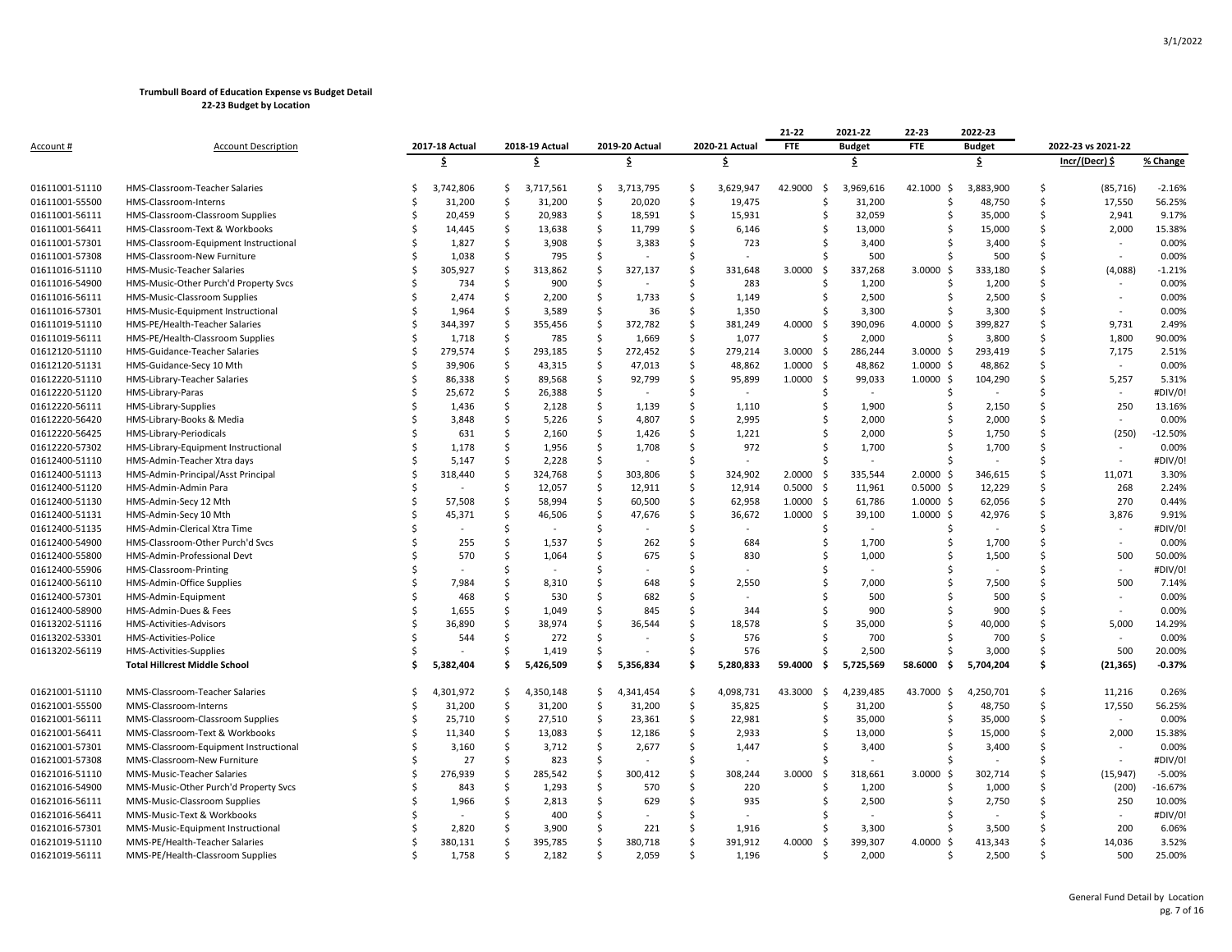|                  |                                       |    |                |              |                |                    |                |                     |                | 21-22                          | 2021-22       | 22-23                | 2022-23       |    |                    |           |
|------------------|---------------------------------------|----|----------------|--------------|----------------|--------------------|----------------|---------------------|----------------|--------------------------------|---------------|----------------------|---------------|----|--------------------|-----------|
| <u>Account #</u> | <b>Account Description</b>            |    | 2017-18 Actual |              | 2018-19 Actual |                    | 2019-20 Actual |                     | 2020-21 Actual | <b>FTE</b>                     | <b>Budget</b> | <b>FTE</b>           | <b>Budget</b> |    | 2022-23 vs 2021-22 |           |
|                  |                                       |    | \$             |              | \$             |                    | \$             |                     | Ś.             |                                | \$            |                      | \$            |    | Incr/(Decr) \$     | % Change  |
| 01611001-51110   | HMS-Classroom-Teacher Salaries        | Ŝ. | 3,742,806      | Ś.           | 3,717,561      | -Ś                 | 3,713,795      | \$                  | 3,629,947      | 42.9000<br>$\ddot{\mathsf{S}}$ | 3,969,616     | 42.1000 \$           | 3,883,900     | Ś  | (85, 716)          | $-2.16%$  |
| 01611001-55500   | HMS-Classroom-Interns                 | Ś  | 31,200         | \$           | 31,200         | Ŝ.                 | 20,020         | $\ddot{\mathsf{S}}$ | 19,475         | \$                             | 31,200        | Ŝ                    | 48,750        | \$ | 17,550             | 56.25%    |
| 01611001-56111   | HMS-Classroom-Classroom Supplies      | Ś  | 20,459         | $\zeta$      | 20,983         | $\mathsf{\hat{S}}$ | 18,591         | \$                  | 15,931         | Ś                              | 32,059        | Ś                    | 35,000        | Ś. | 2,941              | 9.17%     |
| 01611001-56411   | HMS-Classroom-Text & Workbooks        | Ś  | 14,445         | Ś            | 13,638         | -Ś                 | 11,799         | . Ś                 | 6,146          | Ś                              | 13,000        | S                    | 15,000        | Ś  | 2,000              | 15.38%    |
| 01611001-57301   | HMS-Classroom-Equipment Instructional | Ś  | 1,827          | \$           | 3,908          | $\mathsf{\hat{S}}$ | 3,383          | $\ddot{\mathsf{S}}$ | 723            | Ś                              | 3,400         |                      | 3,400         | Ś  |                    | 0.00%     |
| 01611001-57308   | HMS-Classroom-New Furniture           | Ś  | 1,038          | \$           | 795            | Ŝ.                 |                | Ŝ.                  |                | Ś                              | 500           | Ŝ                    | 500           | Ś  |                    | 0.00%     |
| 01611016-51110   | HMS-Music-Teacher Salaries            | Ś  | 305,927        | Ś            | 313,862        | .\$                | 327,137        | Ŝ.                  | 331,648        | 3.0000<br>-\$                  | 337,268       | 3.0000 \$            | 333,180       | Ś  | (4,088)            | $-1.21%$  |
| 01611016-54900   | HMS-Music-Other Purch'd Property Svcs | Ś  | 734            | Ś            | 900            | -\$                |                | . Ś                 | 283            | Ś                              | 1,200         | Ŝ                    | 1,200         | Ś  |                    | 0.00%     |
| 01611016-56111   | HMS-Music-Classroom Supplies          | Ś  | 2,474          | Ś            | 2,200          | Ś                  | 1,733          | $\ddot{\mathsf{S}}$ | 1,149          | Ś                              | 2,500         | Ŝ                    | 2,500         | Ś  | $\sim$             | 0.00%     |
| 01611016-57301   | HMS-Music-Equipment Instructional     | Ś  | 1,964          | Ś            | 3,589          | -\$                | 36             | -\$                 | 1,350          | Ś                              | 3,300         | Ŝ.                   | 3,300         | Ś  | $\sim$             | 0.00%     |
| 01611019-51110   | HMS-PE/Health-Teacher Salaries        | Ś  | 344,397        | Ś            | 355,456        | Ś                  | 372,782        | Ś                   | 381,249        | 4.0000<br>-\$                  | 390,096       | 4.0000 \$            | 399,827       | Ś  | 9,731              | 2.49%     |
| 01611019-56111   | HMS-PE/Health-Classroom Supplies      | Ŝ  | 1,718          | $\varsigma$  | 785            | .\$                | 1,669          | \$                  | 1,077          | Ś                              | 2,000         | Ŝ                    | 3,800         | Ś  | 1,800              | 90.00%    |
| 01612120-51110   | HMS-Guidance-Teacher Salaries         | Ś  | 279,574        | $\mathsf{S}$ | 293,185        | \$                 | 272,452        | $\ddot{\mathsf{S}}$ | 279,214        | 3.0000<br>-\$                  | 286,244       | $3.0000$ \$          | 293,419       | Ś  | 7,175              | 2.51%     |
| 01612120-51131   | HMS-Guidance-Secy 10 Mth              | Ś  | 39,906         | $\mathsf{S}$ | 43,315         | \$                 | 47,013         | $\ddot{\mathsf{S}}$ | 48,862         | 1.0000<br>-\$                  | 48,862        | $1.0000 \,$ \$       | 48,862        | Ś  | $\sim$             | 0.00%     |
| 01612220-51110   | HMS-Library-Teacher Salaries          |    | 86,338         | Ś            | 89,568         | .\$                | 92,799         | . Ś                 | 95,899         | 1.0000<br>- \$                 | 99,033        | $1.0000$ \$          | 104,290       | Ś  | 5,257              | 5.31%     |
| 01612220-51120   | HMS-Library-Paras                     | \$ | 25,672         | $\mathsf{S}$ | 26,388         | \$                 |                | $\ddot{\mathsf{S}}$ | $\sim$         | \$                             | $\sim$        | \$                   |               | \$ | $\sim$             | #DIV/0!   |
| 01612220-56111   | HMS-Library-Supplies                  | Ś  | 1,436          | \$           | 2,128          | Ś                  | 1,139          | Ś                   | 1,110          | Ś                              | 1,900         | Ŝ                    | 2,150         | Ś  | 250                | 13.16%    |
| 01612220-56420   | HMS-Library-Books & Media             | Ś  | 3,848          | Ś            | 5,226          | S.                 | 4,807          | Ŝ.                  | 2,995          | Ś                              | 2,000         | Ŝ.                   | 2,000         | Ś  |                    | 0.00%     |
| 01612220-56425   | HMS-Library-Periodicals               | Ś  | 631            | Ś            | 2,160          | Ŝ.                 | 1,426          | <sup>\$</sup>       | 1,221          | Ś                              | 2,000         | Ŝ.                   | 1,750         | Ś  | (250)              | $-12.50%$ |
| 01612220-57302   | HMS-Library-Equipment Instructional   | Ś  | 1,178          | \$           | 1,956          | -\$                | 1,708          | -\$                 | 972            | Ś                              | 1,700         | S                    | 1,700         | \$ |                    | 0.00%     |
| 01612400-51110   | HMS-Admin-Teacher Xtra days           |    | 5,147          | \$           | 2,228          | $\mathsf{\hat{S}}$ |                | Ś                   |                | S                              |               | S                    |               | Ś  |                    | #DIV/0!   |
| 01612400-51113   | HMS-Admin-Principal/Asst Principal    | Ś  | 318,440        | Ś            | 324,768        | \$                 | 303,806        | Ŝ.                  | 324,902        | 2.0000<br>\$                   | 335,544       | $2.0000$ \$          | 346,615       | Ś  | 11,071             | 3.30%     |
| 01612400-51120   | HMS-Admin-Admin Para                  | Ś  |                | Ś            | 12,057         | Ŝ.                 | 12,911         | -Ś                  | 12,914         | 0.5000<br>-\$                  | 11,961        | $0.5000$ \$          | 12,229        | Ś  | 268                | 2.24%     |
| 01612400-51130   | HMS-Admin-Secy 12 Mth                 | Ś  | 57,508         | \$           | 58,994         | S.                 | 60,500         | $\ddot{\mathsf{S}}$ | 62,958         | 1.0000<br>-\$                  | 61,786        | $1.0000 \; \text{S}$ | 62,056        | \$ | 270                | 0.44%     |
| 01612400-51131   | HMS-Admin-Secy 10 Mth                 | Ś  | 45,371         | \$           | 46,506         | \$                 | 47,676         | $\mathsf{\hat{S}}$  | 36,672         | 1.0000<br>- \$                 | 39,100        | $1.0000$ \$          | 42,976        | Ś  | 3,876              | 9.91%     |
| 01612400-51135   | HMS-Admin-Clerical Xtra Time          | Ś  |                | Ś            |                | Ŝ.                 |                | Ŝ.                  | $\sim$         | Ś                              | $\sim$        | Ŝ                    | $\sim$        | Ś  |                    | #DIV/0!   |
| 01612400-54900   | HMS-Classroom-Other Purch'd Svcs      | Ś  | 255            | \$           | 1,537          | Ś                  | 262            | -Ś                  | 684            | Ś                              | 1,700         | Ŝ.                   | 1,700         | Ś  | $\sim$             | 0.00%     |
| 01612400-55800   | HMS-Admin-Professional Devt           | Ś  | 570            | Ś            | 1,064          | Ś                  | 675            | Ŝ.                  | 830            | Ś                              | 1,000         | Ś                    | 1,500         | Ś  | 500                | 50.00%    |
| 01612400-55906   | HMS-Classroom-Printing                | Ś  |                | Ś            |                | Ś                  |                | Ŝ.                  |                | Ś                              |               | Ŝ.                   |               | Ś  | $\sim$             | #DIV/0!   |
| 01612400-56110   | HMS-Admin-Office Supplies             | Ś  | 7,984          | Ś            | 8,310          | Ś                  | 648            | Ŝ.                  | 2,550          | Ś                              | 7,000         |                      | 7,500         | Ś  | 500                | 7.14%     |
| 01612400-57301   | HMS-Admin-Equipment                   | ς  | 468            | Ś            | 530            | Ś                  | 682            | . Ś                 |                | \$                             | 500           | S                    | 500           | Ś  |                    | 0.00%     |
| 01612400-58900   | HMS-Admin-Dues & Fees                 | Ś  | 1,655          | Ś            | 1,049          | .\$                | 845            | Ŝ.                  | 344            | Ś                              | 900           | Ś                    | 900           | Ś  |                    | 0.00%     |
| 01613202-51116   | HMS-Activities-Advisors               | Ś  | 36,890         | Ś            | 38,974         | Ś                  | 36,544         | Ŝ.                  | 18,578         | Ś                              | 35,000        | S                    | 40,000        | Ś  | 5,000              | 14.29%    |
| 01613202-53301   | HMS-Activities-Police                 | Ś  | 544            | Ś            | 272            | \$                 |                | <b>S</b>            | 576            | Ś                              | 700           |                      | 700           | Ś  |                    | 0.00%     |
| 01613202-56119   | HMS-Activities-Supplies               | Ś  |                | Ś            | 1,419          | Ŝ.                 |                | -\$                 | 576            | Ś                              | 2,500         | Ŝ                    | 3,000         | \$ | 500                | 20.00%    |
|                  | <b>Total Hillcrest Middle School</b>  | Ś  | 5,382,404      | Ś            | 5,426,509      | \$                 | 5,356,834      | Ś                   | 5,280,833      | 59.4000<br>- Ś                 | 5,725,569     | 58.6000<br>Ś.        | 5,704,204     | Ś  | (21, 365)          | $-0.37%$  |
|                  |                                       |    |                |              |                |                    |                |                     |                |                                |               |                      |               |    |                    |           |
| 01621001-51110   | MMS-Classroom-Teacher Salaries        | Ś  | 4,301,972      | \$           | 4,350,148      | Ŝ.                 | 4,341,454      | \$                  | 4,098,731      | 43.3000<br>$\ddot{\mathsf{S}}$ | 4,239,485     | 43.7000 \$           | 4,250,701     | \$ | 11,216             | 0.26%     |
| 01621001-55500   | MMS-Classroom-Interns                 | Ś  | 31,200         | \$           | 31,200         | S.                 | 31,200         | $\ddot{\mathsf{S}}$ | 35,825         | \$                             | 31,200        | Ŝ                    | 48,750        | \$ | 17,550             | 56.25%    |
| 01621001-56111   | MMS-Classroom-Classroom Supplies      | Ś  | 25,710         | \$           | 27,510         | S.                 | 23,361         | $\mathsf{S}$        | 22,981         | Ś                              | 35,000        | Ŝ                    | 35,000        | Ś  |                    | 0.00%     |
| 01621001-56411   | MMS-Classroom-Text & Workbooks        |    | 11,340         | .S           | 13,083         | Ŝ.                 | 12,186         | -\$                 | 2,933          | Ś                              | 13,000        | S                    | 15,000        | Ś  | 2,000              | 15.38%    |
| 01621001-57301   | MMS-Classroom-Equipment Instructional | Ś  | 3,160          | $\varsigma$  | 3,712          | $\mathsf{\hat{S}}$ | 2,677          | $\mathsf{S}$        | 1,447          | Ś                              | 3,400         | S                    | 3,400         | Ś  |                    | 0.00%     |
| 01621001-57308   | MMS-Classroom-New Furniture           | Ś  | 27             | \$           | 823            | -\$                |                | Ŝ.                  |                | Ś                              |               | Ŝ.                   |               | Ś  |                    | #DIV/0!   |
| 01621016-51110   | MMS-Music-Teacher Salaries            | Ś  | 276,939        | Ś            | 285,542        | Ś                  | 300,412        | Ŝ.                  | 308,244        | 3.0000<br>-\$                  | 318,661       | $3.0000$ \$          | 302,714       | Ś  | (15, 947)          | $-5.00%$  |
| 01621016-54900   | MMS-Music-Other Purch'd Property Svcs | Ś  | 843            | Ś            | 1,293          | Ŝ.                 | 570            | \$                  | 220            | Ś                              | 1,200         | S                    | 1,000         | Ś  | (200)              | $-16.67%$ |
| 01621016-56111   | MMS-Music-Classroom Supplies          |    | 1,966          | \$           | 2,813          | -\$                | 629            | -Ś                  | 935            | Ś                              | 2,500         | S                    | 2,750         | Ś  | 250                | 10.00%    |
| 01621016-56411   | MMS-Music-Text & Workbooks            | Ś  |                | Ś            | 400            | Ŝ.                 |                | Ŝ.                  |                | Ś                              |               |                      |               | Ś  | $\sim$             | #DIV/0!   |
| 01621016-57301   | MMS-Music-Equipment Instructional     | Ś  | 2,820          | Ś            | 3,900          | Ŝ.                 | 221            | Ŝ.                  | 1,916          | Ś                              | 3,300         | \$                   | 3,500         | Ś  | 200                | 6.06%     |
| 01621019-51110   | MMS-PE/Health-Teacher Salaries        | Ś  | 380,131        | Ś            | 395,785        | Ś                  | 380,718        | Ŝ.                  | 391,912        | 4.0000<br>-\$                  | 399,307       | 4.0000<br>Ŝ.         | 413,343       | Ś  | 14,036             | 3.52%     |
| 01621019-56111   | MMS-PE/Health-Classroom Supplies      | Ś  | 1,758          | Ś            | 2,182          | Ś                  | 2,059          | Ŝ.                  | 1,196          | Ś                              | 2,000         | Ŝ.                   | 2,500         | Ś  | 500                | 25.00%    |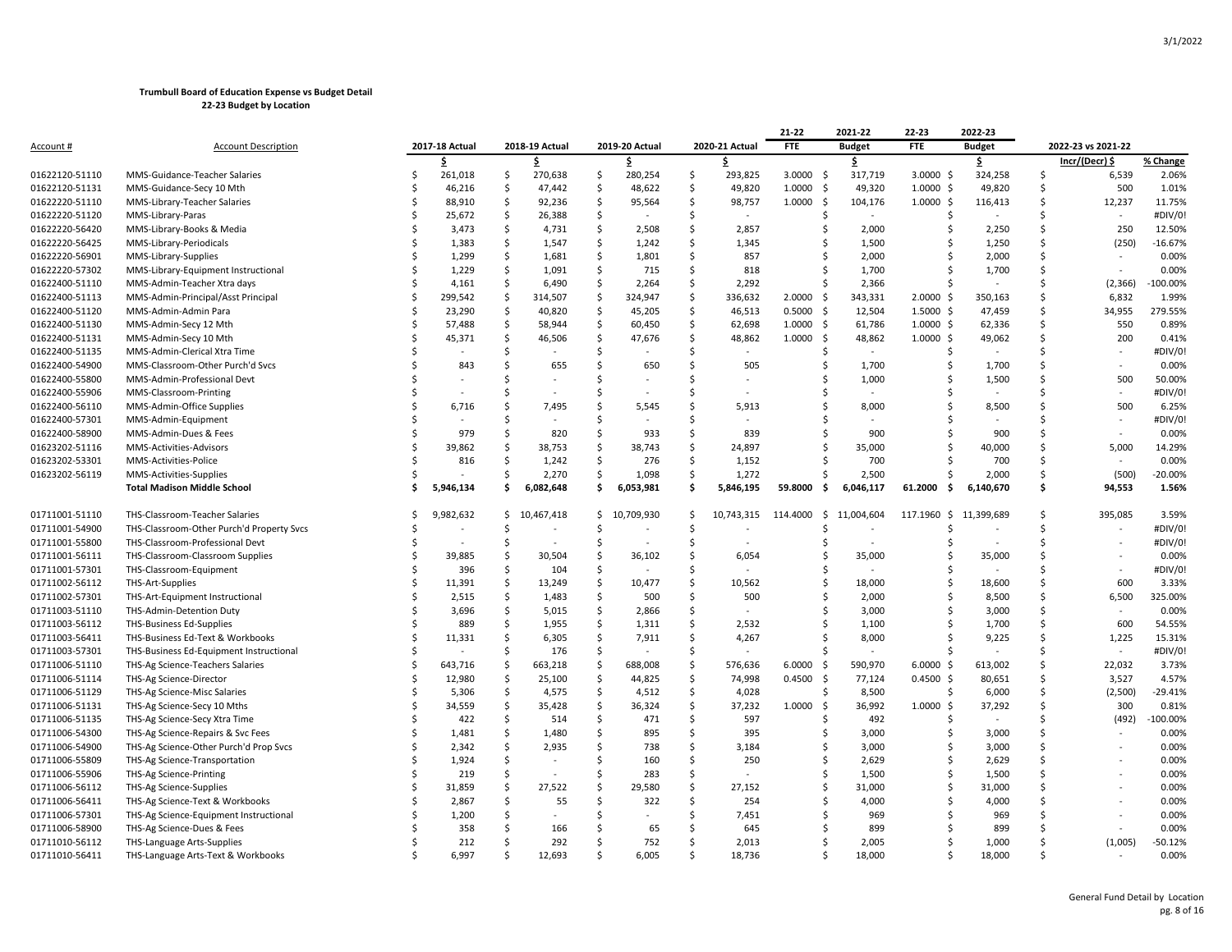|                  |                                           |     |                |    |                |                    |                |              |                | 21-22          | 2021-22        | 22-23             | 2022-23        |    |                          |            |
|------------------|-------------------------------------------|-----|----------------|----|----------------|--------------------|----------------|--------------|----------------|----------------|----------------|-------------------|----------------|----|--------------------------|------------|
| <u>Account #</u> | <b>Account Description</b>                |     | 2017-18 Actual |    | 2018-19 Actual |                    | 2019-20 Actual |              | 2020-21 Actual | FTE            | <b>Budget</b>  | FTE               | <b>Budget</b>  |    | 2022-23 vs 2021-22       |            |
|                  |                                           |     | Ś              |    | Ś.             |                    | Ś              |              |                |                | \$             |                   | \$             |    | Incr/(Decr) \$           | % Change   |
| 01622120-51110   | MMS-Guidance-Teacher Salaries             | Ś   | 261,018        | \$ | 270,638        | \$                 | 280,254        | \$           | 293,825        | 3.0000<br>-\$  | 317,719        | $3.0000$ \$       | 324,258        | \$ | 6,539                    | 2.06%      |
| 01622120-51131   | MMS-Guidance-Secy 10 Mth                  | Ŝ   | 46,216         | Ś  | 47,442         | \$                 | 48,622         | Ś            | 49,820         | 1.0000<br>-\$  | 49,320         | $1.0000$ \$       | 49,820         | Ś  | 500                      | 1.01%      |
| 01622220-51110   | MMS-Library-Teacher Salaries              | Ŝ   | 88,910         | Ś  | 92,236         | Ś                  | 95,564         | Ś            | 98,757         | 1.0000<br>S.   | 104,176        | $1.0000$ \$       | 116,413        | Ś  | 12,237                   | 11.75%     |
| 01622220-51120   | MMS-Library-Paras                         | Ŝ   | 25,672         | Ŝ  | 26,388         | Ś                  |                | Ś            |                | Ŝ.             |                | Ŝ.                |                |    |                          | #DIV/0!    |
| 01622220-56420   | MMS-Library-Books & Media                 |     | 3,473          | \$ | 4,731          | \$                 | 2,508          | \$           | 2,857          |                | 2,000          | Ś                 | 2,250          | Ś  | 250                      | 12.50%     |
| 01622220-56425   | MMS-Library-Periodicals                   | Ś   | 1,383          | \$ | 1,547          | \$                 | 1,242          | \$           | 1,345          |                | 1,500          | Ś                 | 1,250          | Ś  | (250)                    | $-16.67%$  |
| 01622220-56901   | MMS-Library-Supplies                      |     | 1,299          | Ś  | 1,681          | Ś                  | 1,801          | Ś            | 857            |                | 2,000          |                   | 2,000          | Ś  |                          | 0.00%      |
| 01622220-57302   | MMS-Library-Equipment Instructional       | Ŝ   | 1,229          | Ś  | 1,091          | Ŝ.                 | 715            | Ś            | 818            |                | 1,700          |                   | 1,700          | Ś  |                          | 0.00%      |
| 01622400-51110   | MMS-Admin-Teacher Xtra days               | Ŝ   | 4,161          | Ś  | 6,490          | Ś                  | 2,264          | Ś            | 2,292          | Ŝ.             | 2,366          |                   |                | \$ | (2, 366)                 | $-100.00%$ |
| 01622400-51113   | MMS-Admin-Principal/Asst Principal        | Ŝ   | 299,542        | Ś  | 314,507        | Ś                  | 324,947        | Ś            | 336,632        | 2.0000<br>Ŝ.   | 343,331        | $2.0000$ \$       | 350,163        | Ś  | 6,832                    | 1.99%      |
| 01622400-51120   | MMS-Admin-Admin Para                      |     | 23,290         | \$ | 40,820         | \$                 | 45,205         | \$           | 46,513         | 0.5000<br>-\$  | 12,504         | $1.5000 \text{ }$ | 47,459         | Ś  | 34,955                   | 279.55%    |
| 01622400-51130   | MMS-Admin-Secy 12 Mth                     | Ś   | 57,488         | Ś  | 58,944         | $\mathsf{\hat{S}}$ | 60,450         | Ś            | 62,698         | 1.0000<br>- \$ | 61,786         | $1.0000$ \$       | 62,336         | Ś  | 550                      | 0.89%      |
| 01622400-51131   | MMS-Admin-Secy 10 Mth                     | Ŝ   | 45,371         | Ś  | 46,506         | Ś                  | 47,676         | Ś            | 48,862         | 1.0000<br>Ŝ.   | 48,862         | $1.0000 \,$ \$    | 49,062         | \$ | 200                      | 0.41%      |
| 01622400-51135   | MMS-Admin-Clerical Xtra Time              | Ś   |                | Ś  |                | Ś                  |                | Ś            |                | -S             | $\blacksquare$ | Ś                 |                | ς  |                          | #DIV/0!    |
| 01622400-54900   | MMS-Classroom-Other Purch'd Svcs          | S   | 843            | Ś  | 655            | Ś                  | 650            | Ś            | 505            |                | 1,700          | Ś                 | 1,700          | Ś  |                          | 0.00%      |
| 01622400-55800   | MMS-Admin-Professional Devt               |     |                | Ś  |                | Ś                  |                | Ś            |                |                | 1,000          |                   | 1,500          | ς  | 500                      | 50.00%     |
| 01622400-55906   | MMS-Classroom-Printing                    | Š.  |                | Ś  |                | Ś                  |                | \$           |                |                |                | ς                 |                | ¢  | ÷.                       | #DIV/0!    |
| 01622400-56110   | MMS-Admin-Office Supplies                 |     | 6,716          | Ś  | 7,495          | Ś                  | 5,545          | Ś            | 5,913          |                | 8,000          |                   | 8,500          | Ś  | 500                      | 6.25%      |
| 01622400-57301   | MMS-Admin-Equipment                       | Ŝ   |                | Ś  |                | \$                 |                | \$           |                |                |                |                   |                | ς  |                          | #DIV/0!    |
| 01622400-58900   | MMS-Admin-Dues & Fees                     | Ś   | 979            | Ś  | 820            | Ś                  | 933            | Ś            | 839            | Ŝ.             | 900            | Ś                 | 900            | Ś  |                          | 0.00%      |
| 01623202-51116   | MMS-Activities-Advisors                   |     | 39,862         | Ś  | 38,753         | Ś                  | 38,743         | Ś            | 24,897         |                | 35,000         | Ś                 | 40,000         | Ś  | 5,000                    | 14.29%     |
| 01623202-53301   | MMS-Activities-Police                     | Š.  | 816            | Ś  | 1,242          | Ś                  | 276            | Ś            | 1,152          |                | 700            |                   | 700            | ς. |                          | 0.00%      |
| 01623202-56119   | MMS-Activities-Supplies                   |     |                | Ś  | 2,270          | Ś                  | 1,098          | Ś            | 1,272          |                | 2,500          |                   | 2,000          | Ś  | (500)                    | $-20.00%$  |
|                  | <b>Total Madison Middle School</b>        | \$. | 5,946,134      | Ś  | 6,082,648      | Ś                  | 6,053,981      | \$           | 5,846,195      | 59.8000<br>s.  | 6,046,117      | 61.2000<br>- Ś    | 6,140,670      | Ś  | 94,553                   | 1.56%      |
| 01711001-51110   | THS-Classroom-Teacher Salaries            | Ŝ   | 9,982,632      | \$ | 10,467,418     | \$                 | 10,709,930     | $\mathsf{S}$ | 10,743,315     | 114.4000<br>S. | 11,004,604     | 117.1960 \$       | 11,399,689     | Ś  | 395,085                  | 3.59%      |
| 01711001-54900   | THS-Classroom-Other Purch'd Property Svcs |     |                | Ś  |                | Ś                  |                | Ś            |                |                |                | Ś                 |                | Ś  |                          | #DIV/0!    |
| 01711001-55800   | THS-Classroom-Professional Devt           |     |                | Ŝ  |                | Ś                  |                | Ś            |                |                |                |                   |                | Ś  | ÷.                       | #DIV/0!    |
| 01711001-56111   | THS-Classroom-Classroom Supplies          | Ś   | 39,885         | \$ | 30,504         | \$                 | 36,102         | \$           | 6,054          | S              | 35,000         | Ś                 | 35,000         | Ś  |                          | 0.00%      |
| 01711001-57301   | THS-Classroom-Equipment                   | Ś   | 396            | Ś  | 104            | \$                 |                | \$           |                | Ŝ              |                | Ś                 |                | Ś  |                          | #DIV/0!    |
| 01711002-56112   | THS-Art-Supplies                          | Ŝ   | 11,391         | Ś  | 13,249         | Ś                  | 10,477         | Ś            | 10,562         | Ŝ              | 18,000         | Ś                 | 18,600         | Ś  | 600                      | 3.33%      |
| 01711002-57301   | THS-Art-Equipment Instructional           | Ś   | 2,515          | Ś  | 1,483          | Ŝ.                 | 500            | Ś            | 500            |                | 2,000          | Ś                 | 8,500          | Ś  | 6,500                    | 325.00%    |
| 01711003-51110   | THS-Admin-Detention Duty                  |     | 3,696          | Ś  | 5,015          | Ś                  | 2,866          | Ś            |                | -S             | 3,000          | Ś                 | 3,000          | Ś  | $\overline{\phantom{a}}$ | 0.00%      |
| 01711003-56112   | <b>THS-Business Ed-Supplies</b>           |     | 889            | Ś  | 1,955          | Ś                  | 1,311          | Ś            | 2,532          |                | 1,100          |                   | 1,700          | Ś  | 600                      | 54.55%     |
| 01711003-56411   | THS-Business Ed-Text & Workbooks          | Š.  | 11,331         | Ś  | 6,305          | Ś                  | 7,911          | Ś            | 4,267          |                | 8,000          |                   | 9,225          | \$ | 1,225                    | 15.31%     |
| 01711003-57301   | THS-Business Ed-Equipment Instructional   |     |                | Ś  | 176            | Ś                  |                | Ś            |                |                |                |                   |                |    | $\overline{\phantom{a}}$ | #DIV/0!    |
| 01711006-51110   | THS-Ag Science-Teachers Salaries          | Ś   | 643,716        | \$ | 663,218        | \$                 | 688,008        | \$           | 576,636        | 6.0000<br>S.   | 590,970        | 6.0000<br>-\$     | 613,002        | Ś  | 22,032                   | 3.73%      |
| 01711006-51114   | THS-Ag Science-Director                   |     | 12,980         | Ś  | 25,100         | \$                 | 44,825         | Ś            | 74,998         | 0.4500<br>S.   | 77,124         | $0.4500$ \$       | 80,651         | Ś  | 3,527                    | 4.57%      |
| 01711006-51129   | THS-Ag Science-Misc Salaries              | Ŝ   | 5,306          | Ŝ  | 4,575          | Ś                  | 4,512          | Ŝ.           | 4,028          | Ŝ.             | 8,500          | Ŝ.                | 6,000          | Ś  | (2,500)                  | $-29.41%$  |
| 01711006-51131   | THS-Ag Science-Secy 10 Mths               | Ś   | 34,559         | Ś  | 35,428         | Ŝ.                 | 36,324         | Ś            | 37,232         | 1.0000<br>S.   | 36,992         | 1.0000<br>- Ś     | 37,292         | \$ | 300                      | 0.81%      |
| 01711006-51135   | THS-Ag Science-Secy Xtra Time             | Ŝ   | 422            | \$ | 514            | \$                 | 471            | \$           | 597            |                | 492            | Ś                 | $\blacksquare$ | ς  | (492)                    | $-100.00%$ |
| 01711006-54300   | THS-Ag Science-Repairs & Svc Fees         | Ŝ   | 1,481          | \$ | 1,480          | \$                 | 895            | \$           | 395            | Ŝ.             | 3,000          | Ś                 | 3,000          | Ś  |                          | 0.00%      |
| 01711006-54900   | THS-Ag Science-Other Purch'd Prop Svcs    | Ś   | 2,342          | Ś  | 2,935          | Ś                  | 738            | Ś            | 3,184          | Ŝ.             | 3,000          | Ś                 | 3,000          | Ś  |                          | 0.00%      |
| 01711006-55809   | THS-Ag Science-Transportation             |     | 1,924          | Ś  |                | Ś                  | 160            | Ś            | 250            | -S             | 2,629          | Ś                 | 2,629          | Ś  |                          | 0.00%      |
| 01711006-55906   | THS-Ag Science-Printing                   |     | 219            | Ś  |                | Ś                  | 283            | Ś            |                |                | 1,500          | Ś                 | 1,500          | Ś  |                          | 0.00%      |
| 01711006-56112   | THS-Ag Science-Supplies                   | S   | 31,859         | Ś  | 27,522         | Ś                  | 29,580         | Ś            | 27,152         | Ŝ              | 31,000         | Ŝ                 | 31,000         | Ś  |                          | 0.00%      |
| 01711006-56411   | THS-Ag Science-Text & Workbooks           |     | 2,867          | Ś  | 55             | Ś                  | 322            | Ś            | 254            |                | 4,000          | ς                 | 4,000          | ς  |                          | 0.00%      |
| 01711006-57301   | THS-Ag Science-Equipment Instructional    |     | 1,200          | Ś  |                | Ś                  |                | Ś            | 7,451          |                | 969            | Ś                 | 969            | \$ |                          | 0.00%      |
| 01711006-58900   | THS-Ag Science-Dues & Fees                |     | 358            | Ś  | 166            | Ś                  | 65             | Ś            | 645            |                | 899            |                   | 899            |    |                          | 0.00%      |
| 01711010-56112   | THS-Language Arts-Supplies                |     | 212            | Ś  | 292            | Ś                  | 752            | Ś            | 2,013          |                | 2,005          |                   | 1,000          | ς  | (1,005)                  | $-50.12%$  |
| 01711010-56411   | THS-Language Arts-Text & Workbooks        |     | 6.997          |    | 12.693         | $\varsigma$        | 6.005          | ς            | 18,736         |                | 18.000         |                   | 18.000         |    |                          | 0.00%      |
|                  |                                           |     |                |    |                |                    |                |              |                |                |                |                   |                |    |                          |            |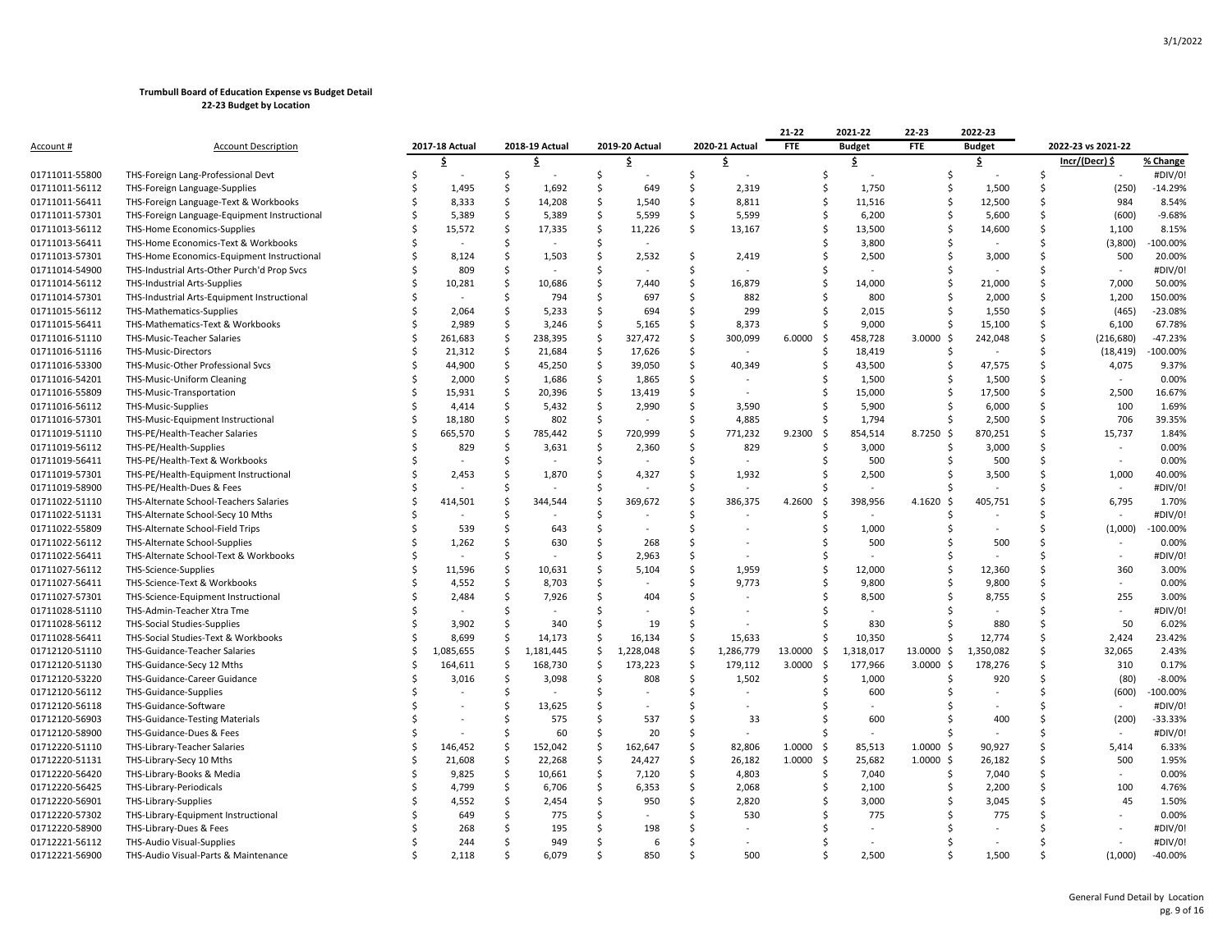|                  |                                              |   |                |    |                |                    |                |                    |                | 21-22          | 2021-22       | 22-23             | 2022-23       |    |                          |            |
|------------------|----------------------------------------------|---|----------------|----|----------------|--------------------|----------------|--------------------|----------------|----------------|---------------|-------------------|---------------|----|--------------------------|------------|
| <u>Account #</u> | <b>Account Description</b>                   |   | 2017-18 Actual |    | 2018-19 Actual |                    | 2019-20 Actual |                    | 2020-21 Actual | <b>FTE</b>     | <b>Budget</b> | FTE               | <b>Budget</b> |    | 2022-23 vs 2021-22       |            |
|                  |                                              |   | Ś              |    | Ś.             |                    | Ŝ              |                    | S              |                | \$            |                   | \$            |    | Incr/(Decr) \$           | % Change   |
| 01711011-55800   | THS-Foreign Lang-Professional Devt           | Ś |                | \$ |                | \$                 |                | \$                 |                |                | Ŝ.            | Ś                 |               | \$ |                          | #DIV/0!    |
| 01711011-56112   | THS-Foreign Language-Supplies                |   | 1,495          | \$ | 1,692          | \$                 | 649            | Ś                  | 2,319          |                | Ŝ.<br>1,750   | Ś                 | 1,500         | Ś  | (250)                    | $-14.29%$  |
| 01711011-56411   | THS-Foreign Language-Text & Workbooks        |   | 8,333          | Ś  | 14,208         | Ś                  | 1,540          | Ś                  | 8,811          |                | 11,516<br>Ŝ.  | Ś                 | 12,500        | Ś  | 984                      | 8.54%      |
| 01711011-57301   | THS-Foreign Language-Equipment Instructional |   | 5,389          | Ś  | 5,389          | Ś                  | 5,599          | Ś.                 | 5,599          |                | 6,200<br>-S   | Ś                 | 5,600         | Ś  | (600)                    | $-9.68%$   |
| 01711013-56112   | THS-Home Economics-Supplies                  |   | 15,572         | Ś  | 17,335         | Ś                  | 11,226         | Ś                  | 13,167         |                | 13,500<br>Ŝ.  | Ś                 | 14,600        | Ś  | 1,100                    | 8.15%      |
| 01711013-56411   | THS-Home Economics-Text & Workbooks          |   |                | Ś  |                | \$                 |                |                    |                |                | 3,800         | Ś                 |               | Ś  | (3,800)                  | 100.00%    |
| 01711013-57301   | THS-Home Economics-Equipment Instructional   |   | 8,124          | Ś  | 1,503          | Ś                  | 2,532          | Ś                  | 2,419          |                | 2,500         | Ś                 | 3,000         | Ś  | 500                      | 20.00%     |
| 01711014-54900   | THS-Industrial Arts-Other Purch'd Prop Svcs  |   | 809            | Ś  |                | Ś                  |                | Ś                  |                |                |               |                   |               | Ś  | ÷,                       | #DIV/0!    |
| 01711014-56112   | THS-Industrial Arts-Supplies                 |   | 10,281         | Ś  | 10,686         | Ś                  | 7,440          | Ś                  | 16,879         |                | 14,000        | Ś                 | 21,000        | Ś  | 7,000                    | 50.00%     |
| 01711014-57301   | THS-Industrial Arts-Equipment Instructional  |   |                | Ś  | 794            | Ś                  | 697            | Ŝ                  | 882            |                | 800           |                   | 2,000         | Ś  | 1,200                    | 150.00%    |
| 01711015-56112   | THS-Mathematics-Supplies                     |   | 2,064          | Ś  | 5,233          | Ś                  | 694            | Ś                  | 299            |                | 2,015         |                   | 1,550         | Ś  | (465)                    | $-23.08%$  |
| 01711015-56411   | THS-Mathematics-Text & Workbooks             |   | 2,989          | Ś  | 3,246          | Ś                  | 5,165          | Ś                  | 8,373          |                | Ŝ.<br>9,000   | Ś                 | 15,100        | Ś  | 6,100                    | 67.78%     |
| 01711016-51110   | THS-Music-Teacher Salaries                   |   | 261,683        | Ś  | 238,395        | \$                 | 327,472        | Ś                  | 300,099        | 6.0000<br>-\$  | 458,728       | $3.0000$ \$       | 242,048       | Ś  | (216, 680)               | $-47.23%$  |
| 01711016-51116   | THS-Music-Directors                          |   | 21,312         | \$ | 21,684         | \$                 | 17,626         | \$                 |                |                | 18,419<br>Ŝ.  | Ś                 |               | Ś  | (18, 419)                | $-100.00%$ |
| 01711016-53300   | THS-Music-Other Professional Svcs            |   | 44,900         | Ŝ  | 45,250         | \$                 | 39,050         | Ś                  | 40,349         |                | 43,500<br>Ŝ   | Ś                 | 47,575        | Ś  | 4,075                    | 9.37%      |
| 01711016-54201   | THS-Music-Uniform Cleaning                   |   | 2,000          | \$ | 1,686          | $\mathsf{\hat{S}}$ | 1,865          | Ś                  |                |                | 1,500         | Ś                 | 1,500         | Ś  |                          | 0.00%      |
| 01711016-55809   | THS-Music-Transportation                     | Ś | 15,931         | Ś  | 20,396         | \$                 | 13,419         | Ś                  |                |                | Ŝ.<br>15,000  | Ś                 | 17,500        | Ś  | 2,500                    | 16.67%     |
| 01711016-56112   | <b>THS-Music-Supplies</b>                    |   | 4,414          | Ś  | 5,432          | Ś                  | 2,990          | Ś                  | 3,590          |                | 5,900         |                   | 6,000         | Ś  | 100                      | 1.69%      |
| 01711016-57301   | THS-Music-Equipment Instructional            |   | 18,180         | Ś  | 802            | \$                 |                | Ś                  | 4,885          |                | 1,794<br>S.   | ς                 | 2,500         | Ś  | 706                      | 39.35%     |
| 01711019-51110   | THS-PE/Health-Teacher Salaries               |   | 665,570        | \$ | 785,442        | \$                 | 720,999        | \$                 | 771,232        | 9.2300<br>-\$  | 854,514       | -\$<br>8.7250     | 870,251       | Ś  | 15,737                   | 1.84%      |
| 01711019-56112   | THS-PE/Health-Supplies                       |   | 829            | Ś  | 3,631          | Ś                  | 2,360          | Ś                  | 829            |                | 3,000         | Ś                 | 3,000         | Ś  | $\overline{\phantom{a}}$ | 0.00%      |
| 01711019-56411   | THS-PE/Health-Text & Workbooks               |   |                | Ś  |                | Ś                  |                | Ś                  |                |                | 500           |                   | 500           | Ś  | ÷,                       | 0.00%      |
| 01711019-57301   | THS-PE/Health-Equipment Instructional        |   | 2,453          | Ś  | 1,870          | Ś                  | 4,327          | Ś                  | 1,932          |                | 2,500         | Ś                 | 3,500         | Ś  | 1,000                    | 40.00%     |
| 01711019-58900   | THS-PE/Health-Dues & Fees                    |   |                | Ś  |                | Ś                  |                | Ś                  |                |                |               |                   |               | Ś  | $\sim$                   | #DIV/0!    |
| 01711022-51110   | THS-Alternate School-Teachers Salaries       | Ś | 414,501        | Ś  | 344,544        | Ś                  | 369,672        | Ś                  | 386,375        | 4.2600<br>Ŝ.   | 398,956       | $4.1620 \text{ }$ | 405,751       | Ś  | 6,795                    | 1.70%      |
| 01711022-51131   | THS-Alternate School-Secy 10 Mths            |   |                | Ś  |                | Ś                  |                | Ś                  |                |                |               |                   |               | ς  |                          | #DIV/0!    |
| 01711022-55809   | THS-Alternate School-Field Trips             |   | 539            | Ś  | 643            | Ś                  |                | Ś                  |                |                | 1,000         |                   | $\sim$        | Ś  | (1,000)                  | 100.00%    |
| 01711022-56112   | THS-Alternate School-Supplies                |   | 1,262          | Ś  | 630            | \$                 | 268            | \$                 |                |                | 500           |                   | 500           | Ś  |                          | 0.00%      |
| 01711022-56411   | THS-Alternate School-Text & Workbooks        |   |                | Ś  |                | Ś                  | 2,963          | \$                 |                |                |               |                   |               | Ś  | $\overline{\phantom{a}}$ | #DIV/0!    |
| 01711027-56112   | THS-Science-Supplies                         |   | 11,596         | Ś  | 10,631         | Ś                  | 5,104          | Ś                  | 1,959          |                | Ŝ.<br>12,000  | Ś                 | 12,360        | Ś  | 360                      | 3.00%      |
| 01711027-56411   | THS-Science-Text & Workbooks                 |   | 4,552          | Ś  | 8,703          | Ś                  |                | \$                 | 9,773          |                | 9,800         |                   | 9,800         | Ś  |                          | 0.00%      |
| 01711027-57301   | THS-Science-Equipment Instructional          |   | 2,484          | Ś  | 7,926          | Ś                  | 404            | Ś                  |                |                | 8,500         | Ś                 | 8,755         | Ś  | 255                      | 3.00%      |
| 01711028-51110   | THS-Admin-Teacher Xtra Tme                   |   |                | Ś  |                | Ś                  |                | Ś                  |                |                |               | ς                 |               | Ś  | ÷,                       | #DIV/0!    |
| 01711028-56112   | THS-Social Studies-Supplies                  |   | 3,902          | Ś  | 340            | Ś                  | 19             | Ś                  |                |                | 830           | Ś                 | 880           | Ś  | 50                       | 6.02%      |
| 01711028-56411   | THS-Social Studies-Text & Workbooks          | Ś | 8,699          | \$ | 14,173         | \$                 | 16,134         | $\mathsf{\hat{S}}$ | 15,633         |                | 10,350<br>Ŝ.  | Ś                 | 12,774        | Ś  | 2,424                    | 23.42%     |
| 01712120-51110   | THS-Guidance-Teacher Salaries                | Ś | 1,085,655      | Ś  | 1,181,445      | Ś                  | 1,228,048      | Ś                  | 1,286,779      | 13.0000<br>-\$ | 1,318,017     | 13.0000 \$        | 1,350,082     | Ś  | 32,065                   | 2.43%      |
| 01712120-51130   | THS-Guidance-Secy 12 Mths                    |   | 164,611        | \$ | 168,730        | \$                 | 173,223        | $\mathsf{\hat{S}}$ | 179,112        | 3.0000<br>-\$  | 177,966       | 3.0000<br>-\$     | 178,276       | Ś  | 310                      | 0.17%      |
| 01712120-53220   | THS-Guidance-Career Guidance                 |   | 3,016          | Ś  | 3,098          | Ś                  | 808            | Ś                  | 1,502          |                | 1,000         | Ś                 | 920           | Ś  | (80)                     | $-8.00%$   |
| 01712120-56112   | THS-Guidance-Supplies                        |   |                | Ś  |                | Ś                  |                | Ś                  |                |                | 600           |                   |               | Ś  | (600)                    | $-100.00%$ |
| 01712120-56118   | THS-Guidance-Software                        |   |                | Ś  | 13,625         | Ś                  |                | Ś                  |                |                |               |                   |               | Ś  |                          | #DIV/0!    |
| 01712120-56903   | <b>THS-Guidance-Testing Materials</b>        |   |                | Ŝ  | 575            | \$                 | 537            | \$                 | 33             |                | 600           |                   | 400           | Ś  | (200)                    | -33.33%    |
| 01712120-58900   | THS-Guidance-Dues & Fees                     |   |                | Ś  | 60             | \$                 | 20             | \$                 |                |                |               | Ś                 |               | Ś  |                          | #DIV/0!    |
| 01712220-51110   | THS-Library-Teacher Salaries                 | Ś | 146,452        | Ś  | 152,042        | Ś                  | 162,647        | Ś                  | 82,806         | 1.0000<br>-\$  | 85,513        | $1.0000 \,$ \$    | 90,927        | Ś  | 5,414                    | 6.33%      |
| 01712220-51131   | THS-Library-Secy 10 Mths                     | S | 21,608         | Ŝ  | 22,268         | Ś                  | 24,427         | Ś                  | 26,182         | 1.0000<br>-Ŝ   | 25,682        | $1.0000 \;$ \$    | 26,182        | Ś  | 500                      | 1.95%      |
| 01712220-56420   | THS-Library-Books & Media                    |   | 9,825          | Ś  | 10,661         | Ŝ.                 | 7,120          | Ś                  | 4,803          |                | 7,040<br>Ŝ.   | Ś                 | 7,040         | Ś  | $\overline{a}$           | 0.00%      |
| 01712220-56425   | THS-Library-Periodicals                      |   | 4,799          | Ś  | 6,706          | Ś                  | 6,353          | Ś                  | 2,068          |                | 2,100<br>S    | Ś                 | 2,200         | Ś  | 100                      | 4.76%      |
| 01712220-56901   | THS-Library-Supplies                         |   | 4,552          | Ś  | 2,454          | Ś                  | 950            | Ś                  | 2,820          |                | 3,000         |                   | 3,045         | Ś  | 45                       | 1.50%      |
| 01712220-57302   | THS-Library-Equipment Instructional          |   | 649            | Ś  | 775            | Ś                  |                | Ś                  | 530            |                | 775           |                   | 775           |    |                          | 0.00%      |
| 01712220-58900   | THS-Library-Dues & Fees                      |   | 268            |    | 195            | Ś                  | 198            |                    |                |                |               |                   |               |    |                          | #DIV/0!    |
| 01712221-56112   | THS-Audio Visual-Supplies                    |   | 244            | Ś  | 949            | Ś                  | 6              | Ś                  |                |                |               |                   |               |    |                          | #DIV/0!    |
| 01712221-56900   | THS-Audio Visual-Parts & Maintenance         |   | 2.118          |    | 6.079          | $\varsigma$        | 850            | \$                 | 500            |                | 2.500<br>Š.   | ς                 | 1.500         |    | (1.000)                  | $-40.00%$  |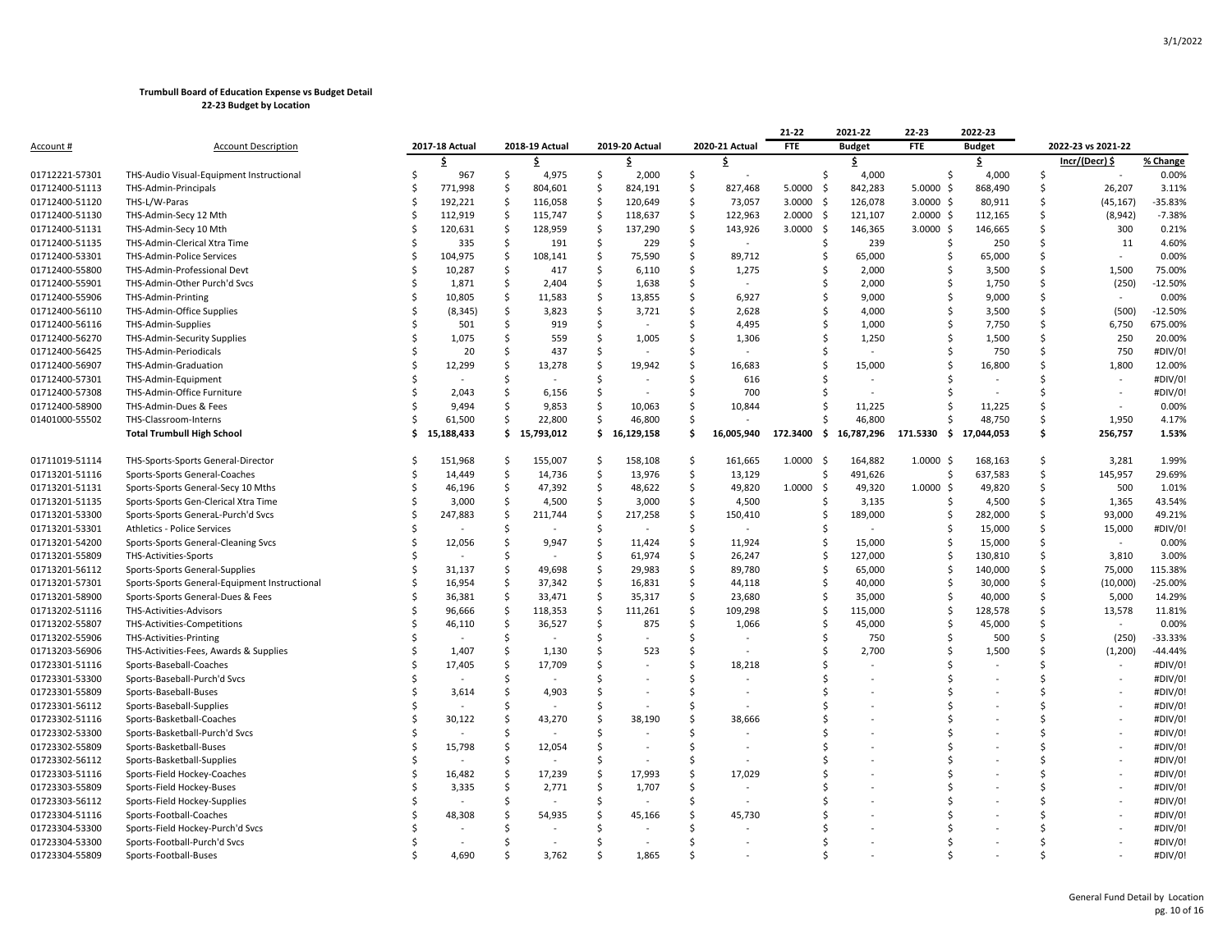|                  |                                               |     |                |     |                |     |                |     |                | 21-22          | 2021-22       | 22-23          | 2022-23       |    |                       |           |
|------------------|-----------------------------------------------|-----|----------------|-----|----------------|-----|----------------|-----|----------------|----------------|---------------|----------------|---------------|----|-----------------------|-----------|
| <u>Account #</u> | <b>Account Description</b>                    |     | 2017-18 Actual |     | 2018-19 Actual |     | 2019-20 Actual |     | 2020-21 Actual | FTE            | <b>Budget</b> | <b>FTE</b>     | <b>Budget</b> |    | 2022-23 vs 2021-22    |           |
|                  |                                               |     | \$             |     | .\$            |     | \$.            |     | -S             |                | \$            |                | \$            |    | Incr/(Decr) \$        | % Change  |
| 01712221-57301   | THS-Audio Visual-Equipment Instructional      |     | 967            | \$  | 4,975          | \$  | 2,000          | \$  |                | Ŝ.             | 4,000         | Ŝ.             | 4,000         | Ŝ. |                       | 0.00%     |
| 01712400-51113   | THS-Admin-Principals                          |     | 771,998        | \$  | 804,601        | \$  | 824,191        | \$  | 827,468        | 5.0000<br>- \$ | 842,283       | $5.0000$ \$    | 868,490       | Ś  | 26,207                | 3.11%     |
| 01712400-51120   | THS-L/W-Paras                                 |     | 192,221        | -\$ | 116,058        | \$  | 120,649        | S,  | 73,057         | 3.0000<br>-\$  | 126,078       | $3.0000$ \$    | 80,911        | Ś  | (45, 167)             | -35.83%   |
| 01712400-51130   | THS-Admin-Secy 12 Mth                         |     | 112,919        | -\$ | 115,747        | \$  | 118,637        | \$  | 122,963        | 2.0000<br>-\$  | 121,107       | $2.0000$ \$    | 112,165       | Ś  | (8, 942)              | $-7.38%$  |
| 01712400-51131   | THS-Admin-Secy 10 Mth                         |     | 120,631        | -S  | 128,959        | -Ś  | 137,290        | .s  | 143,926        | 3.0000<br>- S  | 146,365       | $3.0000 \,$ \$ | 146,665       | Ś  | 300                   | 0.21%     |
| 01712400-51135   | THS-Admin-Clerical Xtra Time                  |     | 335            | Ŝ.  | 191            | Ŝ.  | 229            | Ś.  |                | -S             | 239           | Ŝ              | 250           | Ś  | 11                    | 4.60%     |
| 01712400-53301   | <b>THS-Admin-Police Services</b>              | S   | 104,975        | -\$ | 108,141        | -Ś  | 75,590         | -Ś  | 89,712         | S              | 65,000        | Ś              | 65,000        | Ś  |                       | 0.00%     |
| 01712400-55800   | THS-Admin-Professional Devt                   |     | 10,287         | -\$ | 417            | \$. | 6,110          | \$. | 1,275          | .S             | 2,000         | Ś              | 3,500         | \$ | 1,500                 | 75.00%    |
| 01712400-55901   | THS-Admin-Other Purch'd Svcs                  |     | 1,871          | \$  | 2,404          | \$  | 1,638          | Ś   |                | .s             | 2,000         | Ś              | 1,750         | \$ | (250)                 | $-12.50%$ |
| 01712400-55906   | THS-Admin-Printing                            |     | 10,805         | S   | 11,583         | .S  | 13,855         | Ś   | 6,927          |                | 9,000         |                | 9,000         | Ś  |                       | 0.00%     |
| 01712400-56110   | THS-Admin-Office Supplies                     |     | (8, 345)       | -\$ | 3,823          | \$  | 3,721          | \$  | 2,628          |                | 4,000         | Ś              | 3,500         | \$ | (500)                 | $-12.50%$ |
| 01712400-56116   | THS-Admin-Supplies                            |     | 501            |     | 919            | Ś   |                |     | 4,495          |                | 1,000         | Ś              | 7,750         | Ś  | 6,750                 | 675.00%   |
| 01712400-56270   | THS-Admin-Security Supplies                   |     | 1,075          | S   | 559            | .S  | 1,005          | S   | 1,306          |                | 1,250         | Ś              | 1,500         | Ś  | 250                   | 20.00%    |
| 01712400-56425   | THS-Admin-Periodicals                         |     | 20             |     | 437            | -Ś  |                | Ś   |                | -S             |               |                | 750           | Ś  | 750                   | #DIV/0!   |
| 01712400-56907   | THS-Admin-Graduation                          |     | 12,299         |     | 13,278         | .S  | 19,942         | S   | 16,683         | -S             | 15,000        | Ś              | 16,800        | Ś  | 1,800                 | 12.00%    |
| 01712400-57301   | THS-Admin-Equipment                           |     |                | S   |                | -S  |                | S   | 616            |                |               |                |               |    |                       | #DIV/0!   |
| 01712400-57308   | THS-Admin-Office Furniture                    |     | 2,043          | Ŝ   | 6,156          | \$. |                | Ś   | 700            |                |               |                |               | Ś  | $\tilde{\phantom{a}}$ | #DIV/0!   |
| 01712400-58900   | THS-Admin-Dues & Fees                         |     | 9,494          |     | 9,853          | Ś   | 10,063         |     | 10,844         |                | 11,225        |                | 11,225        | Ś  |                       | 0.00%     |
| 01401000-55502   | THS-Classroom-Interns                         |     | 61,500         | Ŝ   | 22,800         | Ŝ.  | 46,800         | Ś   |                |                | 46,800        |                | 48,750        | Ś  | 1,950                 | 4.17%     |
|                  | <b>Total Trumbull High School</b>             | \$. | 15,188,433     |     | \$15,793,012   |     | \$16,129,158   | Ś   | 16,005,940     | 172.3400<br>\$ | 16,787,296    | 171.5330<br>S. | 17,044,053    | \$ | 256,757               | 1.53%     |
| 01711019-51114   | THS-Sports-Sports General-Director            |     | 151,968        | -S  | 155,007        | -S  | 158,108        | -S  | 161,665        | 1.0000<br>-\$  | 164,882       | $1.0000 \,$ \$ | 168,163       | Ŝ. | 3,281                 | 1.99%     |
| 01713201-51116   | Sports-Sports General-Coaches                 |     | 14,449         | \$  | 14,736         | -\$ | 13,976         | -\$ | 13,129         | S              | 491,626       | Ś              | 637,583       | Ś  | 145,957               | 29.69%    |
| 01713201-51131   | Sports-Sports General-Secy 10 Mths            |     | 46,196         | -\$ | 47,392         | \$  | 48,622         | Ś.  | 49,820         | 1.0000<br>-S   | 49,320        | 1.0000<br>-\$  | 49,820        | Ś  | 500                   | 1.01%     |
| 01713201-51135   | Sports-Sports Gen-Clerical Xtra Time          |     | 3,000          | -Ś  | 4,500          | -\$ | 3,000          | -Ś  | 4,500          |                | 3,135         | .S             | 4,500         | Ś  | 1,365                 | 43.54%    |
| 01713201-53300   | Sports-Sports GeneraL-Purch'd Svcs            |     | 247,883        | S.  | 211,744        | \$  | 217,258        | \$. | 150,410        |                | 189,000       | Ŝ              | 282,000       | Ś  | 93,000                | 49.21%    |
| 01713201-53301   | Athletics - Police Services                   |     |                | Ś   |                | Ŝ   |                | Ś   |                |                |               | S              | 15,000        | \$ | 15,000                | #DIV/0!   |
| 01713201-54200   | Sports-Sports General-Cleaning Svcs           |     | 12,056         | Ś   | 9,947          | Ś   | 11,424         | Ŝ.  | 11,924         | S              | 15,000        |                | 15,000        | Ś  | ÷,                    | 0.00%     |
| 01713201-55809   | THS-Activities-Sports                         |     |                | \$  |                | \$  | 61,974         | \$  | 26,247         | -S             | 127,000       | Ŝ              | 130,810       | Ś  | 3,810                 | 3.00%     |
| 01713201-56112   | Sports-Sports General-Supplies                |     | 31,137         | \$  | 49,698         | \$. | 29,983         | \$  | 89,780         | S              | 65,000        | Ŝ              | 140,000       | Ś  | 75,000                | 115.38%   |
| 01713201-57301   | Sports-Sports General-Equipment Instructional |     | 16,954         | .s  | 37,342         | \$. | 16,831         | -Ś  | 44,118         |                | 40,000        | Ŝ.             | 30,000        | Ś  | (10,000)              | $-25.00%$ |
| 01713201-58900   | Sports-Sports General-Dues & Fees             |     | 36,381         | -Ś  | 33,471         | -\$ | 35,317         | Ŝ.  | 23,680         | .S             | 35,000        | .S             | 40,000        | Ś  | 5,000                 | 14.29%    |
| 01713202-51116   | THS-Activities-Advisors                       |     | 96,666         | -Ś  | 118,353        | -Ś  | 111,261        | .s  | 109,298        | S              | 115,000       | Ŝ              | 128,578       | Ś  | 13,578                | 11.81%    |
| 01713202-55807   | THS-Activities-Competitions                   |     | 46,110         | -\$ | 36,527         | -Ś  | 875            | -Ś  | 1,066          |                | 45,000        | Ŝ.             | 45,000        | Ś  | $\sim$                | 0.00%     |
| 01713202-55906   | THS-Activities-Printing                       |     |                | Ś   |                |     |                | Ś   |                |                | 750           |                | 500           | Ś  | (250)                 | $-33.33%$ |
| 01713203-56906   | THS-Activities-Fees, Awards & Supplies        |     | 1,407          | S   | 1,130          | Ś   | 523            | Ŝ.  |                |                | 2,700         |                | 1,500         | Ś  | (1, 200)              | -44.44%   |
| 01723301-51116   | Sports-Baseball-Coaches                       |     | 17,405         | .s  | 17,709         | Ś   |                | Ś   | 18,218         |                |               |                |               |    |                       | #DIV/0!   |
| 01723301-53300   | Sports-Baseball-Purch'd Svcs                  |     |                |     |                |     |                | Ś   |                |                |               |                |               | Ś  |                       | #DIV/0!   |
| 01723301-55809   | Sports-Baseball-Buses                         |     | 3,614          | Ŝ   | 4,903          |     |                | Ś   |                |                |               |                |               |    |                       | #DIV/0!   |
| 01723301-56112   | Sports-Baseball-Supplies                      |     |                |     |                |     |                |     |                |                |               |                |               | Ś  |                       | #DIV/0!   |
| 01723302-51116   | Sports-Basketball-Coaches                     |     | 30,122         |     | 43,270         |     | 38,190         | S   | 38,666         |                |               |                |               |    |                       | #DIV/0!   |
| 01723302-53300   | Sports-Basketball-Purch'd Svcs                |     |                | S   |                |     |                | Ś   |                |                |               |                |               |    |                       | #DIV/0!   |
| 01723302-55809   | Sports-Basketball-Buses                       |     | 15,798         | S   | 12,054         |     |                | S   |                |                |               |                |               | Ś  |                       | #DIV/0!   |
| 01723302-56112   | Sports-Basketball-Supplies                    |     |                | Ś   |                |     |                |     |                |                |               |                |               | Ś  |                       | #DIV/0!   |
| 01723303-51116   | Sports-Field Hockey-Coaches                   |     | 16,482         |     | 17,239         | Ś   | 17,993         | Ś   | 17,029         |                |               |                |               | ς  |                       | #DIV/0!   |
| 01723303-55809   | Sports-Field Hockey-Buses                     |     | 3,335          | .s  | 2,771          | Ŝ.  | 1,707          | Ś   |                |                |               |                |               |    |                       | #DIV/0!   |
| 01723303-56112   | Sports-Field Hockey-Supplies                  |     |                | Ś   |                | Ŝ   |                | Ś   |                |                |               |                |               |    |                       | #DIV/0!   |
| 01723304-51116   | Sports-Football-Coaches                       |     | 48,308         |     | 54,935         |     | 45,166         |     | 45,730         |                |               |                |               |    |                       | #DIV/0!   |
| 01723304-53300   | Sports-Field Hockey-Purch'd Svcs              |     |                |     |                |     |                |     |                |                |               |                |               |    |                       | #DIV/0!   |
| 01723304-53300   | Sports-Football-Purch'd Svcs                  |     |                |     |                |     |                |     |                |                |               |                |               |    |                       | #DIV/0!   |
| 01723304-55809   | Sports-Football-Buses                         |     | 4.690          |     | 3,762          |     | 1.865          |     |                |                |               |                |               |    |                       | #DIV/0!   |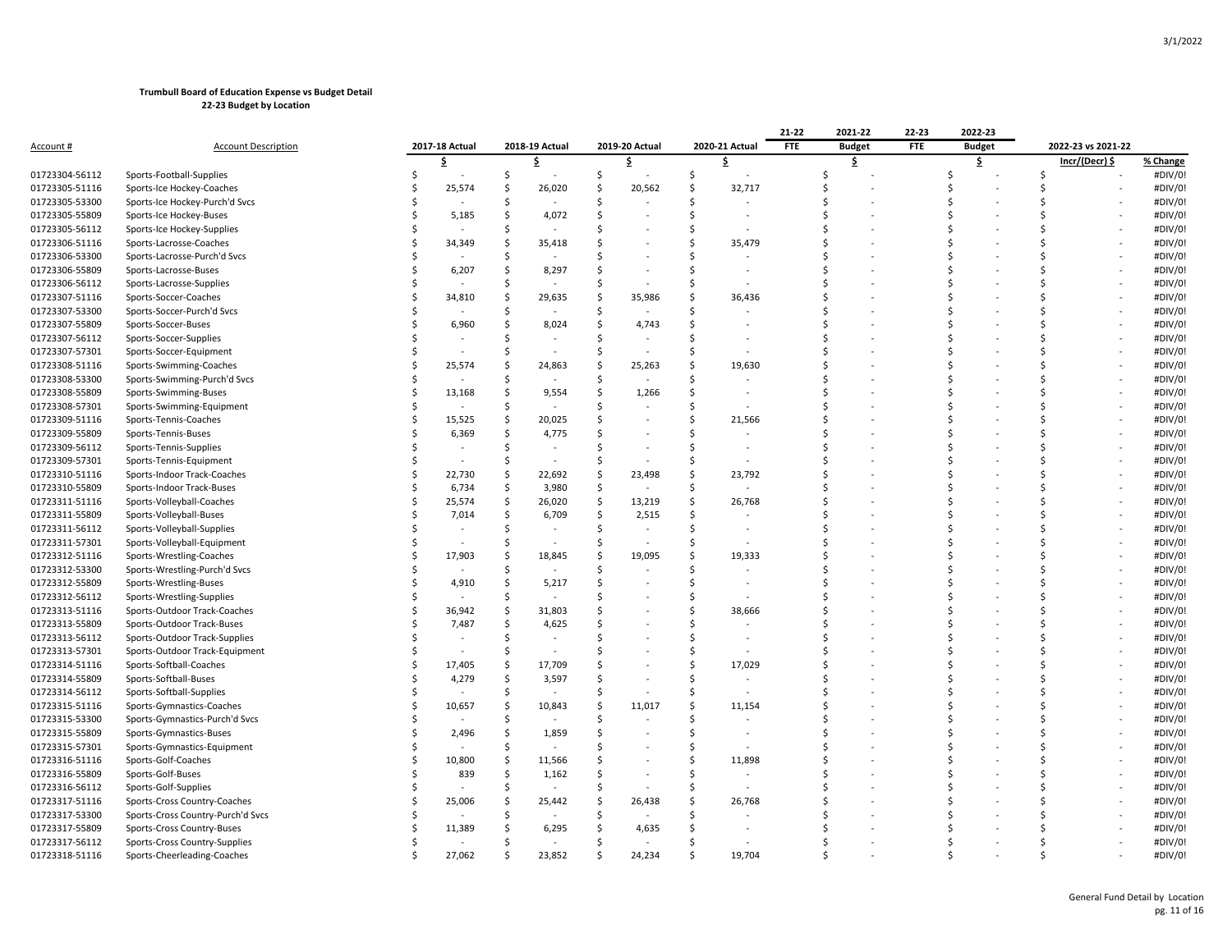|                  |                                   |                |              |                |                    |                |                                | 21-22      | 2021-22       | 22-23      | 2022-23       |    |                    |          |
|------------------|-----------------------------------|----------------|--------------|----------------|--------------------|----------------|--------------------------------|------------|---------------|------------|---------------|----|--------------------|----------|
| <u>Account #</u> | <b>Account Description</b>        | 2017-18 Actual |              | 2018-19 Actual |                    | 2019-20 Actual | 2020-21 Actual                 | <b>FTE</b> | <b>Budget</b> | <b>FTE</b> | <b>Budget</b> |    | 2022-23 vs 2021-22 |          |
|                  |                                   | \$             |              | \$.            |                    | \$             | \$                             |            | \$            |            | \$            |    | Incr/(Decr) \$     | % Change |
| 01723304-56112   | Sports-Football-Supplies          |                | \$           |                | S.                 |                | S.                             | Ś          |               |            | Ś             | \$ |                    | #DIV/0!  |
| 01723305-51116   | Sports-Ice Hockey-Coaches         | 25,574         | \$           | 26,020         | $\mathsf{\hat{S}}$ | 20,562         | $\mathsf{\hat{S}}$<br>32,717   |            |               |            |               |    |                    | #DIV/0!  |
| 01723305-53300   | Sports-Ice Hockey-Purch'd Svcs    |                | Ś            |                | Ŝ.                 |                | Ŝ.                             |            |               |            |               |    |                    | #DIV/0!  |
| 01723305-55809   | Sports-Ice Hockey-Buses           | 5,185          | Ś            | 4,072          | -Ś                 |                | Ŝ.                             |            |               |            |               | S  |                    | #DIV/0!  |
| 01723305-56112   | Sports-Ice Hockey-Supplies        |                | .S           |                |                    |                | -Ś                             |            |               |            |               |    |                    | #DIV/0!  |
| 01723306-51116   | Sports-Lacrosse-Coaches           | 34,349         | .S           | 35,418         |                    |                | Ŝ.<br>35,479                   |            |               |            |               |    |                    | #DIV/0!  |
| 01723306-53300   | Sports-Lacrosse-Purch'd Svcs      |                | Ś            |                |                    |                | \$                             |            |               |            |               |    |                    | #DIV/0!  |
| 01723306-55809   | Sports-Lacrosse-Buses             | 6,207          | S            | 8,297          |                    |                | -Ś<br>$\overline{\phantom{a}}$ |            |               |            |               |    |                    | #DIV/0!  |
| 01723306-56112   | Sports-Lacrosse-Supplies          |                | Ś            |                | Ŝ.                 |                | Ś                              |            |               |            |               |    |                    | #DIV/0!  |
| 01723307-51116   | Sports-Soccer-Coaches             | 34,810         | \$.          | 29,635         | S.                 | 35,986         | S.<br>36,436                   |            |               |            |               |    |                    | #DIV/0!  |
| 01723307-53300   | Sports-Soccer-Purch'd Svcs        |                | Ś            |                | Ŝ.                 |                | Ŝ.                             |            |               |            |               |    |                    | #DIV/0!  |
| 01723307-55809   | Sports-Soccer-Buses               | 6,960          | Ś            | 8,024          | Ŝ.                 | 4,743          | \$                             |            |               |            |               |    |                    | #DIV/0!  |
| 01723307-56112   | Sports-Soccer-Supplies            |                | -Ś           |                | -Ś                 |                |                                |            |               |            |               |    |                    | #DIV/0!  |
| 01723307-57301   | Sports-Soccer-Equipment           |                | <sup>5</sup> |                | -Ś                 |                | -Ś                             |            |               |            |               |    |                    | #DIV/0!  |
| 01723308-51116   | Sports-Swimming-Coaches           | 25,574         | S            | 24,863         | .s                 | 25,263         | -Ś<br>19,630                   |            |               |            |               |    |                    | #DIV/0!  |
| 01723308-53300   | Sports-Swimming-Purch'd Svcs      |                | Ś            |                | Ŝ.                 |                | Ŝ.                             |            |               |            |               |    |                    | #DIV/0!  |
| 01723308-55809   | Sports-Swimming-Buses             | 13,168         | \$           | 9,554          | -Ś                 | 1,266          | -Ś                             |            |               |            |               |    |                    | #DIV/0!  |
| 01723308-57301   | Sports-Swimming-Equipment         |                | .S           |                | .s                 |                | -Ś                             |            |               |            |               |    |                    | #DIV/0!  |
| 01723309-51116   | Sports-Tennis-Coaches             | 15,525         | \$           | 20,025         | Ŝ.                 |                | Ŝ.<br>21,566                   |            |               |            |               |    |                    | #DIV/0!  |
| 01723309-55809   | Sports-Tennis-Buses               | 6,369          | \$           | 4,775          | .s                 |                | Ŝ.                             |            |               |            |               |    |                    | #DIV/0!  |
| 01723309-56112   | Sports-Tennis-Supplies            |                | Ś            |                | -Ś                 |                | -Ś<br>$\ddot{\phantom{1}}$     |            |               |            |               | Ś  |                    | #DIV/0!  |
| 01723309-57301   | Sports-Tennis-Equipment           |                | Ś            |                | Ŝ.                 |                | Ŝ.                             |            |               |            |               | S  |                    | #DIV/0!  |
| 01723310-51116   | Sports-Indoor Track-Coaches       | 22,730         | -Ś           | 22,692         | -Ś                 | 23,498         | 23,792<br>-Ś                   |            |               |            |               |    |                    | #DIV/0!  |
| 01723310-55809   | Sports-Indoor Track-Buses         | 6,734          | -\$          | 3,980          | S.                 |                | -Ś                             |            |               |            |               | S  |                    | #DIV/0!  |
| 01723311-51116   | Sports-Volleyball-Coaches         | 25,574         | Ś            | 26,020         | S.                 | 13,219         | Ŝ.<br>26,768                   |            |               |            |               |    |                    | #DIV/0!  |
| 01723311-55809   | Sports-Volleyball-Buses           | 7,014          | \$           | 6,709          | -\$                | 2,515          | S.                             |            |               |            |               |    |                    | #DIV/0!  |
| 01723311-56112   | Sports-Volleyball-Supplies        |                | <sup>5</sup> |                | -Ś                 |                | -Ś                             |            |               |            |               |    |                    | #DIV/0!  |
| 01723311-57301   | Sports-Volleyball-Equipment       |                |              |                |                    |                |                                |            |               |            |               |    |                    | #DIV/0!  |
| 01723312-51116   | Sports-Wrestling-Coaches          | 17,903         | Ś            | 18,845         | S.                 | 19,095         | S.<br>19,333                   |            |               |            |               |    |                    | #DIV/0!  |
| 01723312-53300   | Sports-Wrestling-Purch'd Svcs     |                | <sup>5</sup> |                | Ŝ.                 |                | -Ś                             |            |               |            |               |    |                    | #DIV/0!  |
| 01723312-55809   | Sports-Wrestling-Buses            | 4,910          | S            | 5,217          |                    |                | Ŝ.<br>$\overline{\phantom{a}}$ |            |               |            |               |    |                    | #DIV/0!  |
| 01723312-56112   | Sports-Wrestling-Supplies         |                | -Ś           |                |                    |                | -Ś                             |            |               |            |               |    |                    | #DIV/0!  |
| 01723313-51116   | Sports-Outdoor Track-Coaches      | 36,942         | .S           | 31,803         |                    |                | Ŝ.<br>38,666                   |            |               |            |               |    |                    | #DIV/0!  |
| 01723313-55809   | Sports-Outdoor Track-Buses        | 7,487          | Ś            | 4,625          |                    |                | -Ś                             |            |               |            |               |    |                    | #DIV/0!  |
| 01723313-56112   | Sports-Outdoor Track-Supplies     |                | <sup>5</sup> |                | Š.                 |                | \$                             |            |               |            |               |    |                    | #DIV/0!  |
| 01723313-57301   | Sports-Outdoor Track-Equipment    |                | .S           |                |                    |                | -Ś                             |            |               |            |               |    |                    | #DIV/0!  |
| 01723314-51116   | Sports-Softball-Coaches           | 17,405         | Ś            | 17,709         |                    |                | Ŝ.<br>17,029                   |            |               |            |               |    |                    | #DIV/0!  |
| 01723314-55809   | Sports-Softball-Buses             | 4,279          | \$           | 3,597          | .s                 |                | Ŝ.                             |            |               |            |               |    |                    | #DIV/0!  |
| 01723314-56112   | Sports-Softball-Supplies          |                | Ś            |                | Ŝ.                 |                | Ŝ.                             |            |               |            |               |    |                    | #DIV/0!  |
| 01723315-51116   | Sports-Gymnastics-Coaches         | 10,657         | Ś            | 10,843         | Ŝ.                 | 11,017         | Ŝ.<br>11,154                   |            |               |            |               |    |                    | #DIV/0!  |
| 01723315-53300   | Sports-Gymnastics-Purch'd Svcs    |                |              |                |                    |                | -Ś                             |            |               |            |               |    |                    | #DIV/0!  |
| 01723315-55809   | Sports-Gymnastics-Buses           | 2,496          | .S           | 1,859          | Ŝ.                 |                | -Ś                             |            |               |            |               |    |                    | #DIV/0!  |
| 01723315-57301   | Sports-Gymnastics-Equipment       |                | -Ś           |                |                    |                | -Ś                             |            |               |            |               |    |                    | #DIV/0!  |
| 01723316-51116   | Sports-Golf-Coaches               | 10,800         | -Ś           | 11,566         | S.                 |                | -Ś<br>11,898                   |            |               |            |               |    |                    | #DIV/0!  |
| 01723316-55809   | Sports-Golf-Buses                 | 839            | Ś            | 1,162          | -Ś                 |                | \$                             |            |               |            |               |    |                    | #DIV/0!  |
| 01723316-56112   | Sports-Golf-Supplies              |                |              |                |                    |                |                                |            |               |            |               |    |                    | #DIV/0!  |
| 01723317-51116   | Sports-Cross Country-Coaches      | 25,006         | .S           | 25,442         | .s                 | 26,438         | 26,768<br>-Ś                   |            |               |            |               |    |                    | #DIV/0!  |
| 01723317-53300   | Sports-Cross Country-Purch'd Svcs |                |              |                | Ŝ.                 |                | $\zeta$                        |            |               |            |               |    |                    | #DIV/0!  |
| 01723317-55809   | Sports-Cross Country-Buses        | 11,389         |              | 6,295          |                    | 4,635          |                                |            |               |            |               |    |                    | #DIV/0!  |
| 01723317-56112   | Sports-Cross Country-Supplies     |                |              |                |                    |                |                                |            |               |            |               |    |                    | #DIV/0!  |
| 01723318-51116   | Sports-Cheerleading-Coaches       | 27,062         | Ŝ            | 23,852         | Ś.                 | 24,234         | 19.704                         |            |               |            |               |    |                    | #DIV/0!  |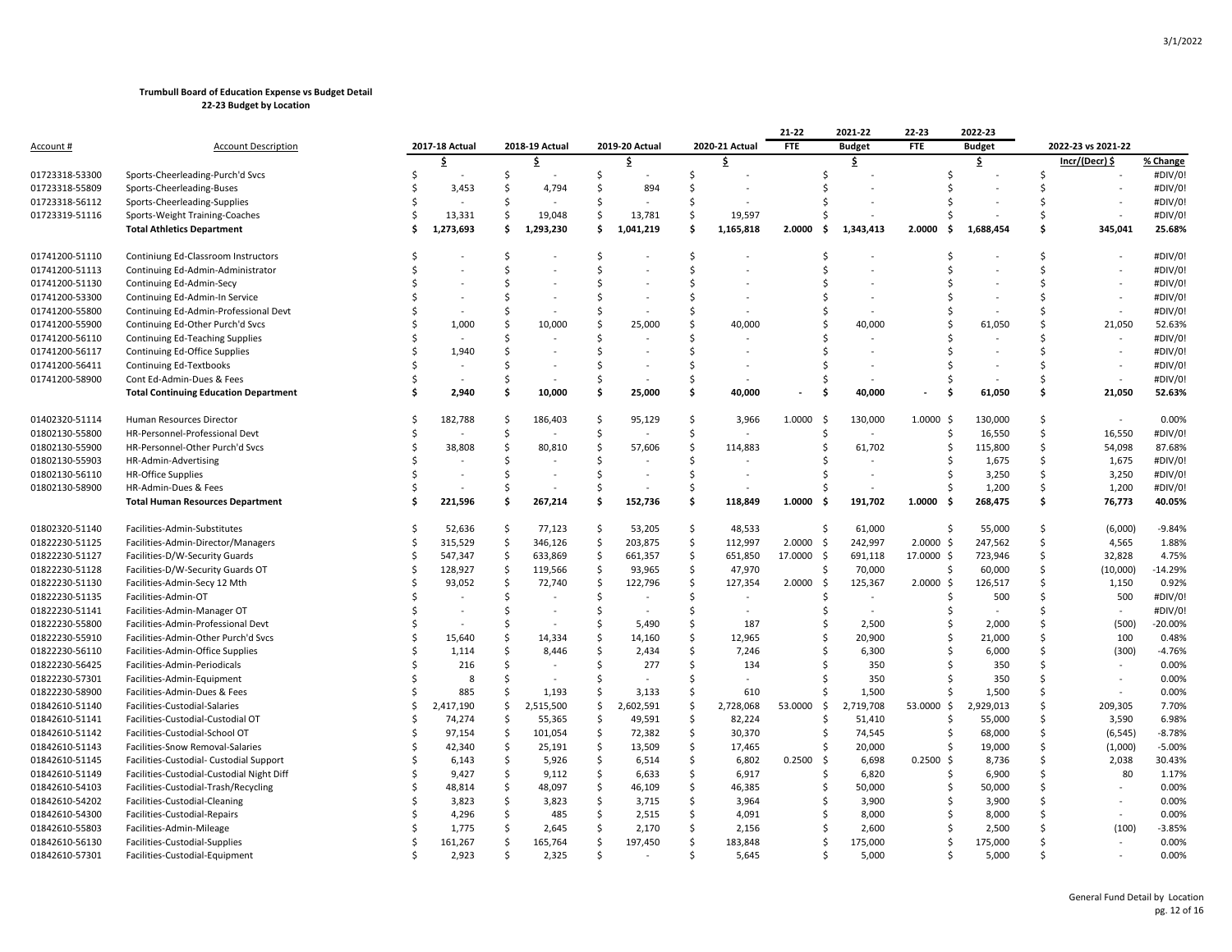|                |                                              |        |                |              |                |              |                |                    |                | 21-22          | 2021-22         | 22-23                      | 2022-23       |               |                          |           |
|----------------|----------------------------------------------|--------|----------------|--------------|----------------|--------------|----------------|--------------------|----------------|----------------|-----------------|----------------------------|---------------|---------------|--------------------------|-----------|
| Account #      | <b>Account Description</b>                   |        | 2017-18 Actual |              | 2018-19 Actual |              | 2019-20 Actual |                    | 2020-21 Actual | <b>FTE</b>     | <b>Budget</b>   | <b>FTE</b>                 | <b>Budget</b> |               | 2022-23 vs 2021-22       |           |
|                |                                              |        | Ś              |              | \$             |              | \$             |                    | \$             |                | \$              |                            | \$            |               | Incr/(Decr) \$           | % Change  |
| 01723318-53300 | Sports-Cheerleading-Purch'd Svcs             |        |                | Ś            |                | Ś            |                | Ś                  |                | S              |                 |                            |               |               |                          | #DIV/0!   |
| 01723318-55809 | Sports-Cheerleading-Buses                    |        | 3,453          | Ś            | 4,794          | Ś            | 894            | Ś                  |                |                |                 |                            |               |               |                          | #DIV/0!   |
| 01723318-56112 | Sports-Cheerleading-Supplies                 | S      |                | \$           |                | Ś            |                | Ś                  |                |                |                 |                            |               | S             |                          | #DIV/0!   |
| 01723319-51116 | Sports-Weight Training-Coaches               | Ś      | 13,331         | Ś            | 19,048         | Ŝ.           | 13,781         | Ś                  | 19,597         |                |                 |                            |               | <sup>\$</sup> |                          | #DIV/0!   |
|                | <b>Total Athletics Department</b>            | Ś      | 1,273,693      | Ś            | 1,293,230      | Ś            | 1,041,219      | Ś                  | 1,165,818      | 2.0000         | 1,343,413<br>Ŝ. | 2.0000<br>. Ś              | 1,688,454     | Ś             | 345,041                  | 25.68%    |
|                |                                              |        |                |              |                |              |                |                    |                |                |                 |                            |               |               |                          |           |
| 01741200-51110 | Continiung Ed-Classroom Instructors          |        |                | \$           |                | \$           |                | \$                 |                |                |                 | Ś                          |               | \$            |                          | #DIV/0!   |
| 01741200-51113 | Continuing Ed-Admin-Administrator            |        |                | Ś            |                | Ś            |                | Ś                  |                |                |                 |                            |               | <sup>\$</sup> |                          | #DIV/0!   |
| 01741200-51130 | Continuing Ed-Admin-Secy                     |        |                |              |                | Ś            |                | Ś                  |                |                |                 |                            |               | ς             |                          | #DIV/0!   |
| 01741200-53300 | Continuing Ed-Admin-In Service               |        |                |              |                | S            |                | S                  |                |                |                 |                            |               |               |                          | #DIV/0!   |
| 01741200-55800 | Continuing Ed-Admin-Professional Devt        |        |                | S            |                | S            |                | Ś                  |                |                |                 |                            |               | ς             |                          | #DIV/0!   |
| 01741200-55900 | Continuing Ed-Other Purch'd Svcs             |        | 1,000          |              | 10,000         | Ś            | 25,000         | Ś                  | 40,000         |                | 40,000          |                            | 61,050        | Ś             | 21,050                   | 52.63%    |
| 01741200-56110 | Continuing Ed-Teaching Supplies              |        |                | Ś            |                | Ś            |                | Ś                  |                |                |                 |                            |               |               |                          | #DIV/0!   |
| 01741200-56117 | Continuing Ed-Office Supplies                |        | 1,940          | Ś            |                | Ś            |                | Ś                  |                |                |                 |                            |               | ς             |                          | #DIV/0!   |
| 01741200-56411 | Continuing Ed-Textbooks                      |        |                | Ś            |                | Ś            |                | Ś                  |                |                |                 |                            |               | ς             |                          | #DIV/0!   |
| 01741200-58900 | Cont Ed-Admin-Dues & Fees                    |        |                | Ś            |                | Ś            |                | Ś                  |                |                |                 |                            |               | ς             |                          | #DIV/0!   |
|                | <b>Total Continuing Education Department</b> | Ś      | 2,940          | Ś            | 10,000         | Ś            | 25,000         | Ś.                 | 40,000         | Ś.             | 40,000          | . Ś                        | 61,050        | \$            | 21,050                   | 52.63%    |
| 01402320-51114 | Human Resources Director                     | S      | 182,788        | Ś            | 186,403        | Ś            | 95,129         | Ś                  | 3,966          | 1.0000<br>-S   | 130,000         | $1.0000$ \$                | 130,000       | <sup>\$</sup> | $\sim$                   | 0.00%     |
| 01802130-55800 | HR-Personnel-Professional Devt               |        |                | Ś            |                | Ś            |                | Ś                  |                |                |                 | Ŝ.                         | 16,550        | Ŝ.            | 16,550                   | #DIV/0!   |
| 01802130-55900 | HR-Personnel-Other Purch'd Svcs              | Ś      | 38,808         | \$           | 80,810         | \$           | 57,606         | \$                 | 114,883        |                | 61,702          | Ŝ.                         | 115,800       | Ś             | 54,098                   | 87.68%    |
| 01802130-55903 | HR-Admin-Advertising                         | Ś      |                | Ś            |                | Ś            |                | Ś                  |                |                |                 |                            | 1,675         | Ś             | 1,675                    | #DIV/0!   |
| 01802130-56110 | <b>HR-Office Supplies</b>                    |        |                | Ś            |                | Ś            |                | Ś                  |                |                |                 |                            | 3,250         | Ś             | 3,250                    | #DIV/0!   |
| 01802130-58900 | HR-Admin-Dues & Fees                         | S      |                | Ś            |                | Ś            |                | Ś                  |                |                |                 |                            | 1,200         | Ŝ.            | 1,200                    | #DIV/0!   |
|                | <b>Total Human Resources Department</b>      | Ś      | 221,596        | Ś            | 267,214        | Ś            | 152,736        | Ś                  | 118,849        | 1.0000<br>-\$  | 191,702         | 1.0000<br>Ŝ.               | 268,475       | Ŝ.            | 76,773                   | 40.05%    |
| 01802320-51140 | Facilities-Admin-Substitutes                 |        | 52,636         | \$           | 77,123         | Ś            | 53,205         | $\mathsf{\hat{S}}$ | 48,533         | Ś              | 61,000          | -Ś                         | 55,000        | Ś             | (6,000)                  | $-9.84%$  |
|                |                                              | Ś      |                | Ś            |                | Ś            |                | Ŝ.                 |                | 2.0000         |                 | $2.0000$ \$                |               | Ś             |                          | 1.88%     |
| 01822230-51125 | Facilities-Admin-Director/Managers           |        | 315,529        |              | 346,126        |              | 203,875        |                    | 112,997        | -\$            | 242,997         |                            | 247,562       | Ś             | 4,565                    |           |
| 01822230-51127 | Facilities-D/W-Security Guards               | S<br>Ś | 547,347        | \$           | 633,869        | \$           | 661,357        | -\$                | 651,850        | 17.0000<br>-\$ | 691,118         | 17.0000 \$<br><sup>5</sup> | 723,946       | <sup>\$</sup> | 32,828                   | 4.75%     |
| 01822230-51128 | Facilities-D/W-Security Guards OT            |        | 128,927        | \$           | 119,566        | \$           | 93,965         | -\$                | 47,970         |                | 70,000<br>Ŝ.    |                            | 60,000        |               | (10,000)                 | $-14.29%$ |
| 01822230-51130 | Facilities-Admin-Secy 12 Mth                 |        | 93,052         | Ś            | 72,740         | .\$          | 122,796        | Ś                  | 127,354        | 2.0000<br>-Ś   | 125,367         | 2.0000<br>-\$              | 126,517       | Ś             | 1,150                    | 0.92%     |
| 01822230-51135 | Facilities-Admin-OT                          | Ŝ      |                | Ś            |                | Ś            |                | Ś                  |                | S              |                 | Ś                          | 500           | <sup>\$</sup> | 500                      | #DIV/0!   |
| 01822230-51141 | Facilities-Admin-Manager OT                  | S      |                | Ś            |                | Ś            |                | Ŝ                  |                | .S             |                 |                            |               |               | $\overline{\phantom{a}}$ | #DIV/0!   |
| 01822230-55800 | Facilities-Admin-Professional Devt           |        |                | Ś            |                | Ś            | 5,490          | Ś                  | 187            |                | 2,500           |                            | 2,000         | Ś             | (500)                    | $-20.00%$ |
| 01822230-55910 | Facilities-Admin-Other Purch'd Svcs          | Ś      | 15,640         | Ś            | 14,334         | Ś            | 14,160         | Ś                  | 12,965         | Ŝ              | 20,900          |                            | 21,000        | Ś             | 100                      | 0.48%     |
| 01822230-56110 | Facilities-Admin-Office Supplies             |        | 1,114          | Ś            | 8,446          | Ś            | 2,434          | Ś                  | 7,246          |                | 6,300           |                            | 6,000         | <sup>\$</sup> | (300)                    | $-4.76%$  |
| 01822230-56425 | Facilities-Admin-Periodicals                 |        | 216            | Ś            |                | Ś            | 277            | Ś                  | 134            |                | 350             |                            | 350           | Ś             |                          | 0.00%     |
| 01822230-57301 | Facilities-Admin-Equipment                   | Ś      | 8              | Ś            |                | Ś            |                | Ś                  |                |                | 350             |                            | 350           | \$            |                          | 0.00%     |
| 01822230-58900 | Facilities-Admin-Dues & Fees                 |        | 885            | Ś            | 1,193          | Ś            | 3,133          | \$                 | 610            | S.             | 1,500           |                            | 1,500         | $\varsigma$   |                          | 0.00%     |
| 01842610-51140 | Facilities-Custodial-Salaries                | Ŝ      | 2,417,190      | \$           | 2,515,500      | \$           | 2,602,591      | \$                 | 2,728,068      | 53.0000<br>\$  | 2,719,708       | -\$<br>53.0000             | 2,929,013     | Ś             | 209,305                  | 7.70%     |
| 01842610-51141 | Facilities-Custodial-Custodial OT            |        | 74,274         | \$           | 55,365         | \$           | 49,591         | \$                 | 82,224         | Ŝ              | 51,410          | -Ś                         | 55,000        | Ś             | 3,590                    | 6.98%     |
| 01842610-51142 | Facilities-Custodial-School OT               | Ś      | 97,154         | $\mathsf{S}$ | 101,054        | $\mathsf{S}$ | 72,382         | $\dot{\mathsf{s}}$ | 30,370         | Ŝ              | 74,545          | Ś                          | 68,000        | Ś             | (6, 545)                 | $-8.78%$  |
| 01842610-51143 | Facilities-Snow Removal-Salaries             | Ś      | 42,340         | Ś            | 25,191         | Ś            | 13,509         | Ś                  | 17,465         |                | 20,000<br>Ŝ.    | -Ś                         | 19,000        | $\varsigma$   | (1,000)                  | $-5.00%$  |
| 01842610-51145 | Facilities-Custodial- Custodial Support      |        | 6,143          | \$.          | 5,926          | \$           | 6,514          | -\$                | 6,802          | 0.2500<br>-Ś   | 6,698           | 0.2500<br>-\$              | 8,736         | \$            | 2,038                    | 30.43%    |
| 01842610-51149 | Facilities-Custodial-Custodial Night Diff    | Ś      | 9,427          | Ś            | 9,112          | $\mathsf{S}$ | 6,633          | Ŝ.                 | 6,917          | Ŝ              | 6,820           | Ś                          | 6,900         | <sup>\$</sup> | 80                       | 1.17%     |
| 01842610-54103 | Facilities-Custodial-Trash/Recycling         | Ś      | 48,814         | \$           | 48,097         | \$           | 46,109         | Ś                  | 46,385         | Ŝ              | 50,000          | Ś                          | 50,000        | Ś             |                          | 0.00%     |
| 01842610-54202 | Facilities-Custodial-Cleaning                | Ś      | 3,823          | .S           | 3,823          | Ŝ.           | 3,715          | . Ś                | 3,964          | S              | 3,900           |                            | 3,900         | Ś             |                          | 0.00%     |
| 01842610-54300 | Facilities-Custodial-Repairs                 |        | 4,296          | Ś            | 485            | <sup>5</sup> | 2,515          | .\$                | 4,091          | ς              | 8,000           |                            | 8,000         | \$            |                          | 0.00%     |
| 01842610-55803 | Facilities-Admin-Mileage                     |        | 1,775          | Ś            | 2,645          | Ś            | 2,170          | Ś                  | 2,156          |                | 2,600           |                            | 2,500         |               | (100)                    | $-3.85%$  |
| 01842610-56130 | Facilities-Custodial-Supplies                |        | 161,267        | \$           | 165,764        | \$           | 197,450        | Ś                  | 183,848        | S              | 175,000         | Ś                          | 175,000       |               |                          | 0.00%     |
| 01842610-57301 | Facilities-Custodial-Equipment               |        | 2,923          | ς            | 2,325          | Ś            |                |                    | 5,645          |                | 5,000           |                            | 5,000         |               |                          | 0.00%     |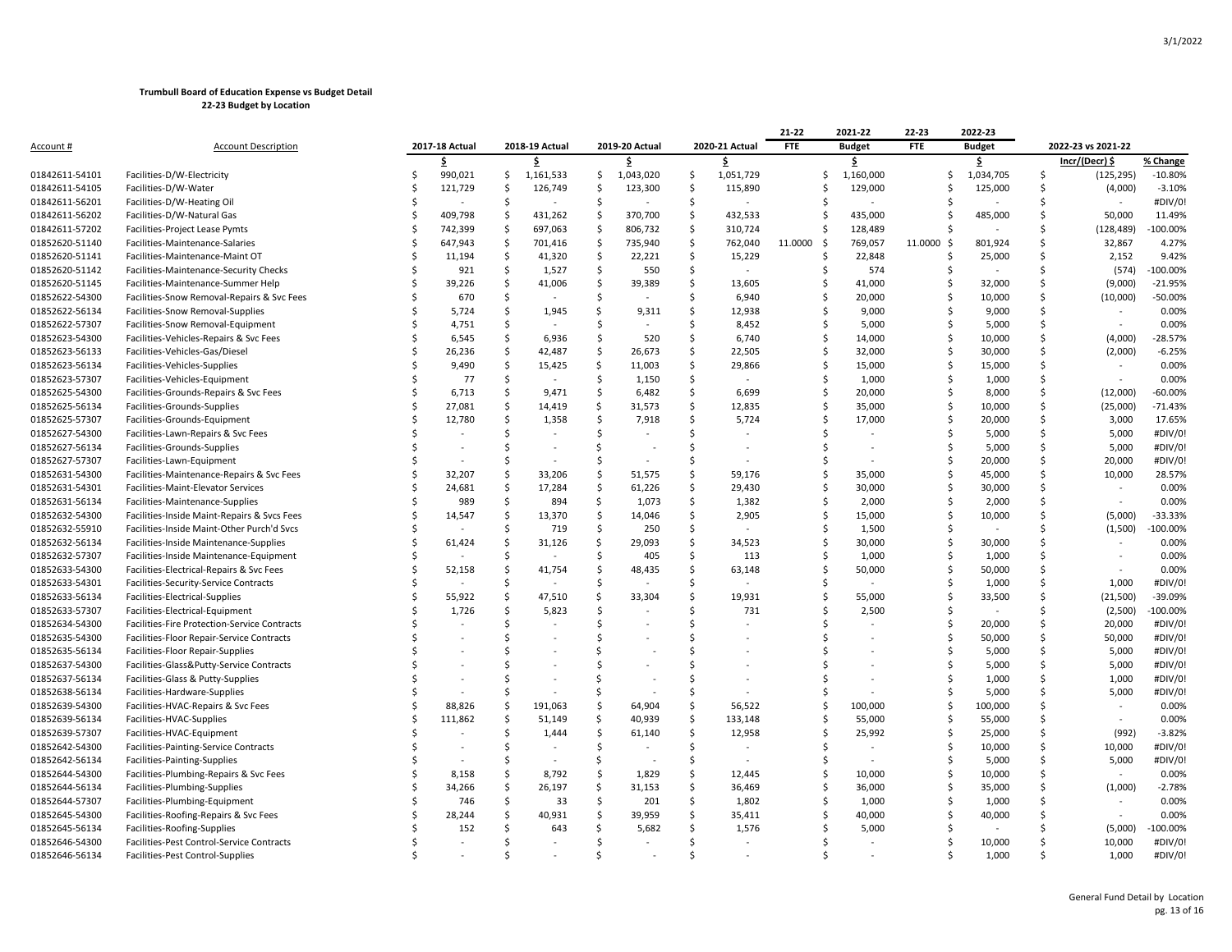|                  |                                              |   |                |                |                |                    |           |                    |                          | 21-22          | 2021-22                  | 22-23         | 2022-23   |                    |                |            |
|------------------|----------------------------------------------|---|----------------|----------------|----------------|--------------------|-----------|--------------------|--------------------------|----------------|--------------------------|---------------|-----------|--------------------|----------------|------------|
| <u>Account #</u> | <b>Account Description</b>                   |   | 2017-18 Actual | 2018-19 Actual | 2019-20 Actual |                    |           | 2020-21 Actual     | <b>FTE</b>               | <b>Budget</b>  | <b>FTE</b>               | <b>Budget</b> |           | 2022-23 vs 2021-22 |                |            |
|                  |                                              |   | \$             |                | \$             |                    | \$        |                    | \$                       |                | \$                       |               | \$        |                    | Incr/(Decr) \$ | % Change   |
| 01842611-54101   | Facilities-D/W-Electricity                   | Ś | 990,021        | Ŝ              | 1,161,533      | \$                 | 1,043,020 | $\mathsf{\hat{S}}$ | 1,051,729                | Ś              | 1,160,000                | Ś             | 1,034,705 | Ś                  | (125, 295)     | $-10.80%$  |
| 01842611-54105   | Facilities-D/W-Water                         | Ś | 121,729        | S.             | 126,749        | Ŝ.                 | 123,300   | S.                 | 115,890                  | Ś              | 129,000                  | S             | 125,000   | Ś                  | (4,000)        | $-3.10%$   |
| 01842611-56201   | Facilities-D/W-Heating Oil                   |   |                | -Ś             |                | -Ś                 |           | \$                 |                          | S              |                          |               |           | Ś                  |                | #DIV/0!    |
| 01842611-56202   | Facilities-D/W-Natural Gas                   | Ś | 409,798        | \$             | 431,262        | S.                 | 370,700   | \$                 | 432,533                  | Ś              | 435,000                  | Ś             | 485,000   | Ś                  | 50,000         | 11.49%     |
| 01842611-57202   | Facilities-Project Lease Pymts               |   | 742,399        | S.             | 697,063        | S.                 | 806,732   | $\mathsf{\hat{S}}$ | 310,724                  | Ś              | 128,489                  | Ś             |           | Ś                  | (128, 489)     | -100.00%   |
| 01852620-51140   | Facilities-Maintenance-Salaries              | Ś | 647,943        | $\mathsf{S}$   | 701,416        | $\mathsf{\hat{S}}$ | 735,940   | \$                 | 762,040                  | 11.0000<br>-\$ | 769,057                  | 11.0000 \$    | 801,924   | Ś                  | 32,867         | 4.27%      |
| 01852620-51141   | Facilities-Maintenance-Maint OT              |   | 11,194         | \$             | 41,320         | $\mathsf{\hat{S}}$ | 22,221    | $\mathsf{\hat{S}}$ | 15,229                   | Ś              | 22,848                   |               | 25,000    | Ś                  | 2,152          | 9.42%      |
| 01852620-51142   | Facilities-Maintenance-Security Checks       | Ś | 921            | \$             | 1,527          | \$                 | 550       | \$                 |                          | S              | 574                      | Ś             |           | \$                 | (574)          | $-100.00%$ |
| 01852620-51145   | Facilities-Maintenance-Summer Help           | Ś | 39,226         | Ś              | 41,006         | $\mathsf{\hat{S}}$ | 39,389    | $\mathsf{\hat{S}}$ | 13,605                   | Ś              | 41,000                   | Ś             | 32,000    | $\zeta$            | (9,000)        | $-21.95%$  |
| 01852622-54300   | Facilities-Snow Removal-Repairs & Svc Fees   |   | 670            | S.             |                | Ŝ.                 |           | Ŝ.                 | 6,940                    | Ś              | 20,000                   | Ś             | 10,000    | Ś                  | (10,000)       | $-50.00%$  |
| 01852622-56134   | Facilities-Snow Removal-Supplies             |   | 5,724          | Ś              | 1,945          | Ś.                 | 9,311     | Ŝ.                 | 12,938                   | Ś              | 9,000                    | Ś             | 9,000     | Ś                  |                | 0.00%      |
| 01852622-57307   | Facilities-Snow Removal-Equipment            |   | 4,751          | <sup>5</sup>   |                | -Ś                 |           | -Ś                 | 8,452                    | Ś              | 5,000                    | Ś             | 5,000     | Ś                  |                | 0.00%      |
| 01852623-54300   | Facilities-Vehicles-Repairs & Svc Fees       |   | 6,545          | -Ś             | 6,936          | -Ś                 | 520       | -Ś                 | 6,740                    | Ś              | 14,000                   | Ś             | 10,000    | Ś                  | (4,000)        | $-28.57%$  |
| 01852623-56133   | Facilities-Vehicles-Gas/Diesel               |   | 26,236         | Ś              | 42,487         | $\mathsf{\hat{S}}$ | 26,673    | Ŝ.                 | 22,505                   | Ś              | 32,000                   | Ś             | 30,000    | Ś                  | (2,000)        | $-6.25%$   |
| 01852623-56134   | Facilities-Vehicles-Supplies                 |   | 9,490          | S.             | 15,425         | \$                 | 11,003    | Ŝ.                 | 29,866                   | Ś              | 15,000                   | Ś             | 15,000    | Ś                  |                | 0.00%      |
| 01852623-57307   | Facilities-Vehicles-Equipment                |   | 77             | Ś              |                | Ŝ.                 | 1,150     | Ŝ.                 |                          |                | 1,000                    |               | 1,000     | Ś                  | $\sim$         | 0.00%      |
| 01852625-54300   | Facilities-Grounds-Repairs & Svc Fees        | Ś | 6,713          | S.             | 9,471          | Ŝ.                 | 6,482     | Ŝ.                 | 6,699                    | Ś              | 20,000                   | Ś             | 8,000     | Ś                  | (12,000)       | $-60.00%$  |
| 01852625-56134   | Facilities-Grounds-Supplies                  |   | 27,081         | <sup>5</sup>   | 14,419         | \$                 | 31,573    | S.                 | 12,835                   | Ś              | 35,000                   | Ś             | 10,000    | Ś                  | (25,000)       | $-71.43%$  |
| 01852625-57307   | Facilities-Grounds-Equipment                 |   | 12,780         | Ś              | 1,358          | $\mathsf{\hat{S}}$ | 7,918     | Ŝ.                 | 5,724                    | Ś              | 17,000                   | Ś             | 20,000    | \$                 | 3,000          | 17.65%     |
| 01852627-54300   | Facilities-Lawn-Repairs & Svc Fees           |   |                | Ś.             |                | Ś                  |           | <sup>\$</sup>      |                          |                |                          |               | 5,000     | Ś                  | 5,000          | #DIV/0!    |
| 01852627-56134   | Facilities-Grounds-Supplies                  |   |                | Ś.             |                | Ś.                 |           | <sup>\$</sup>      | $\overline{\phantom{a}}$ | S              | $\overline{\phantom{a}}$ | Ś             | 5,000     | Ś                  | 5,000          | #DIV/0!    |
| 01852627-57307   | Facilities-Lawn-Equipment                    |   |                | <sup>5</sup>   |                | -Ś                 |           | -Ś                 |                          | Ś              |                          | Ś             | 20,000    | Ŝ.                 | 20,000         | #DIV/0!    |
| 01852631-54300   | Facilities-Maintenance-Repairs & Svc Fees    |   | 32,207         | <sup>5</sup>   | 33,206         | -Ś                 | 51,575    | -Ś                 | 59,176                   | Ś              | 35,000                   | Ś             | 45,000    | Ś                  | 10,000         | 28.57%     |
| 01852631-54301   | Facilities-Maint-Elevator Services           |   | 24,681         | $\mathsf{S}$   | 17,284         | $\mathsf{\hat{S}}$ | 61,226    | $\mathsf{\hat{S}}$ | 29,430                   | Ś              | 30,000                   | Ś             | 30,000    | Ś                  |                | 0.00%      |
| 01852631-56134   | Facilities-Maintenance-Supplies              | Ś | 989            | \$             | 894            | \$                 | 1,073     | Ŝ.                 | 1,382                    | Ś              | 2,000                    | Ś             | 2,000     | Ś                  |                | 0.00%      |
| 01852632-54300   | Facilities-Inside Maint-Repairs & Svcs Fees  |   | 14,547         | Ś              | 13,370         | $\mathsf{\hat{S}}$ | 14,046    | Ŝ.                 | 2,905                    | Ś              | 15,000                   | Ś             | 10,000    | Ś                  | (5,000)        | -33.33%    |
| 01852632-55910   | Facilities-Inside Maint-Other Purch'd Svcs   |   |                | <sup>5</sup>   | 719            | Ŝ.                 | 250       | Ŝ.                 |                          | Ś              | 1,500                    |               |           | Ś                  | (1,500)        | -100.00%   |
| 01852632-56134   | Facilities-Inside Maintenance-Supplies       |   | 61,424         | <sup>5</sup>   | 31,126         | \$                 | 29,093    | S.                 | 34,523                   | \$             | 30,000                   | \$            | 30,000    | Ś                  |                | 0.00%      |
| 01852632-57307   | Facilities-Inside Maintenance-Equipment      |   |                | Ś              |                | Ŝ.                 | 405       | $\mathsf{\hat{S}}$ | 113                      | Ś              | 1,000                    | Ś             | 1,000     | Ś                  |                | 0.00%      |
| 01852633-54300   | Facilities-Electrical-Repairs & Svc Fees     | Ś | 52,158         | Ś              | 41,754         | Ŝ.                 | 48,435    | $\mathsf{\hat{S}}$ | 63,148                   | Ś              | 50,000                   | Ś             | 50,000    | Ś                  |                | 0.00%      |
| 01852633-54301   | Facilities-Security-Service Contracts        |   |                | <sup>5</sup>   |                | Ŝ.                 |           | Ŝ.                 |                          | Ś              |                          | Ś             | 1,000     | Ś                  | 1,000          | #DIV/0!    |
| 01852633-56134   | Facilities-Electrical-Supplies               | Ś | 55,922         | Ś              | 47,510         | Ś                  | 33,304    | Ŝ.                 | 19,931                   | Ś              | 55,000                   | Ś             | 33,500    | Ś                  | (21, 500)      | $-39.09%$  |
| 01852633-57307   | Facilities-Electrical-Equipment              |   | 1,726          | $\mathsf{S}$   | 5,823          | $\mathsf{\hat{S}}$ |           | <sup>\$</sup>      | 731                      | Ś              | 2,500                    | Ś             |           | Ś                  | (2,500)        | $-100.00%$ |
| 01852634-54300   | Facilities-Fire Protection-Service Contracts |   |                | Ś              |                | Ŝ.                 |           | <sup>\$</sup>      |                          |                |                          | Ś             | 20,000    | Ś                  | 20,000         | #DIV/0!    |
| 01852635-54300   | Facilities-Floor Repair-Service Contracts    |   |                | ς              |                | $\zeta$            |           | \$                 |                          |                |                          | Ś             | 50,000    | Ś                  | 50,000         | #DIV/0!    |
| 01852635-56134   | Facilities-Floor Repair-Supplies             |   |                | <sup>5</sup>   |                | Ŝ.                 |           | <sup>\$</sup>      |                          |                |                          | Ś             | 5,000     | Ś                  | 5,000          | #DIV/0!    |
| 01852637-54300   | Facilities-Glass&Putty-Service Contracts     |   |                | ς              |                | $\zeta$            |           | -Ś                 |                          |                |                          | Ś             | 5,000     | Ś                  | 5,000          | #DIV/0!    |
| 01852637-56134   | Facilities-Glass & Putty-Supplies            |   |                | <sup>5</sup>   |                | Ŝ.                 |           | -Ś                 |                          |                |                          |               | 1,000     | Ś                  | 1,000          | #DIV/0!    |
| 01852638-56134   | Facilities-Hardware-Supplies                 |   |                | <sup>5</sup>   |                | Ś                  |           | Ŝ.                 |                          |                |                          | Ś             | 5,000     | Ś                  | 5,000          | #DIV/0!    |
| 01852639-54300   | Facilities-HVAC-Repairs & Svc Fees           |   | 88,826         | Ś              | 191,063        | Ŝ.                 | 64,904    | Ŝ.                 | 56,522                   | Ś              | 100,000                  | Ś             | 100,000   | Ś                  |                | 0.00%      |
| 01852639-56134   | Facilities-HVAC-Supplies                     |   | 111,862        | $\mathsf{S}$   | 51,149         | \$                 | 40,939    | $\mathsf{\hat{S}}$ | 133,148                  | Ś              | 55,000                   | Ś             | 55,000    | Ś                  | $\sim$         | 0.00%      |
| 01852639-57307   | Facilities-HVAC-Equipment                    |   |                | Ś.             | 1,444          | $\mathsf{\hat{S}}$ | 61,140    | Ŝ.                 | 12,958                   | Ś              | 25,992                   | Ś             | 25,000    | Ś                  | (992)          | $-3.82%$   |
| 01852642-54300   | Facilities-Painting-Service Contracts        |   |                | <sup>5</sup>   |                | <sup>\$</sup>      |           | \$                 |                          |                |                          | Ś             | 10,000    | Ś                  | 10,000         | #DIV/0!    |
| 01852642-56134   | Facilities-Painting-Supplies                 |   |                | -Ś             |                | \$                 |           | Ŝ.                 |                          | Ś              |                          | Ś             | 5,000     | Ś                  | 5,000          | #DIV/0!    |
| 01852644-54300   | Facilities-Plumbing-Repairs & Svc Fees       | Ś | 8,158          | Ś              | 8,792          | Ŝ.                 | 1,829     | Ŝ.                 | 12,445                   | Ś              | 10,000                   | Ś             | 10,000    | Ś                  |                | 0.00%      |
| 01852644-56134   | Facilities-Plumbing-Supplies                 | Ś | 34,266         | $\mathsf{S}$   | 26,197         | \$                 | 31,153    | Ŝ.                 | 36,469                   | Ś              | 36,000                   | Ś             | 35,000    | Ś                  | (1,000)        | $-2.78%$   |
| 01852644-57307   | Facilities-Plumbing-Equipment                | Ś | 746            | \$.            | 33             | Ŝ.                 | 201       | Ŝ.                 | 1,802                    | Ś              | 1,000                    | Ś             | 1,000     | Ś                  |                | 0.00%      |
| 01852645-54300   | Facilities-Roofing-Repairs & Svc Fees        |   | 28,244         | <sup>5</sup>   | 40,931         | -Ś                 | 39,959    | Ŝ.                 | 35,411                   |                | 40,000                   | \$            | 40,000    | \$                 |                | 0.00%      |
| 01852645-56134   | Facilities-Roofing-Supplies                  |   | 152            | Ś              | 643            | Ś                  | 5,682     | Ŝ.                 | 1,576                    |                | 5,000                    |               |           |                    | (5,000)        | $-100.00%$ |
| 01852646-54300   | Facilities-Pest Control-Service Contracts    |   |                | ς              |                | <sup>\$</sup>      |           | \$                 |                          |                |                          | Ś             | 10,000    | Ś                  | 10,000         | #DIV/0!    |
| 01852646-56134   | Facilities-Pest Control-Supplies             |   |                |                |                |                    |           | ¢.                 |                          |                |                          |               | 1,000     | \$                 | 1,000          | #DIV/0!    |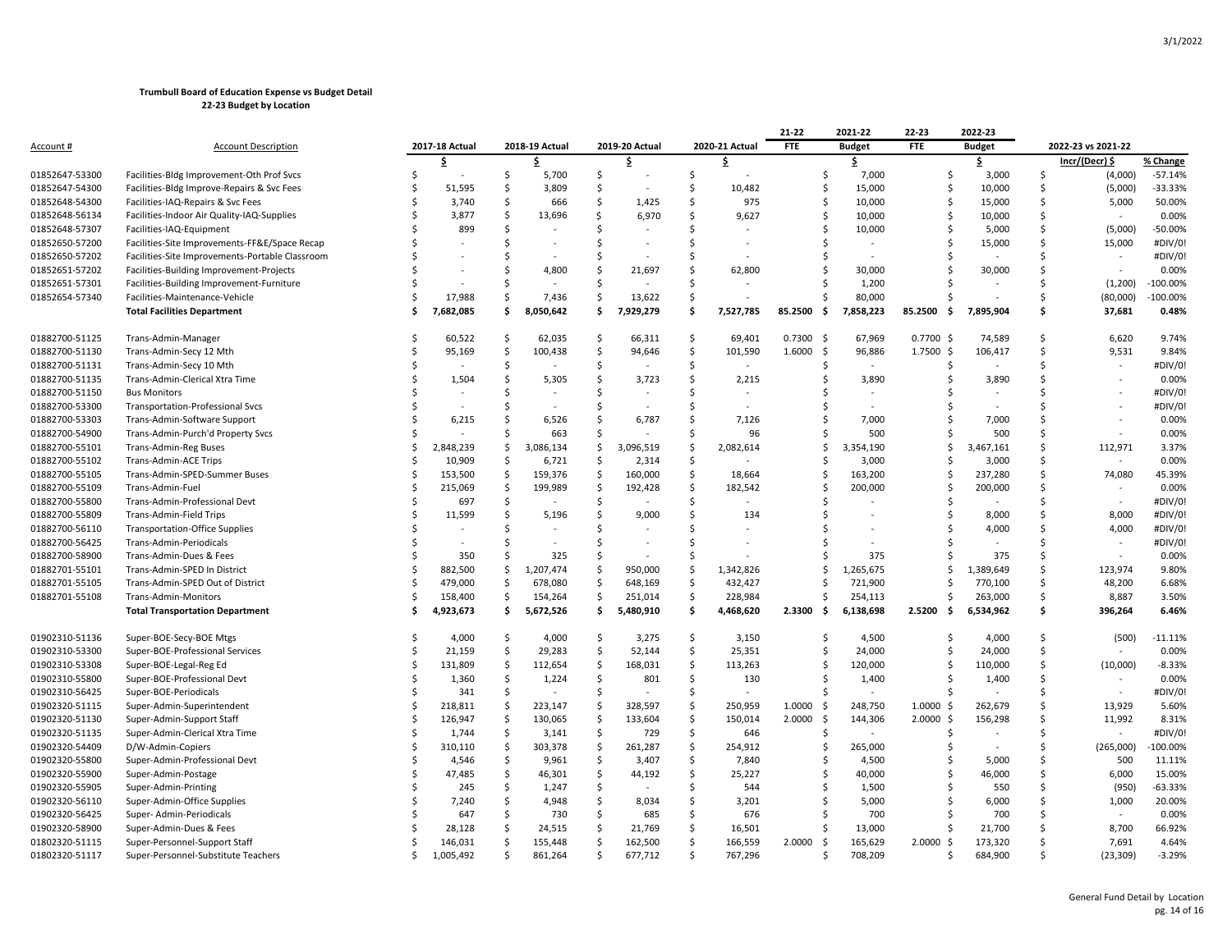|                  |                                                 |     |                |                     |                |                    |           |                     |                | 21-22          | 2021-22       | 22-23          | 2022-23                  |                    |                          |            |
|------------------|-------------------------------------------------|-----|----------------|---------------------|----------------|--------------------|-----------|---------------------|----------------|----------------|---------------|----------------|--------------------------|--------------------|--------------------------|------------|
| <u>Account #</u> | <b>Account Description</b>                      |     | 2017-18 Actual |                     | 2018-19 Actual | 2019-20 Actual     |           |                     | 2020-21 Actual | <b>FTE</b>     | <b>Budget</b> | FTE            | <b>Budget</b>            | 2022-23 vs 2021-22 |                          |            |
|                  |                                                 |     | \$.            |                     | Ś.             |                    | Ŝ         |                     | \$.            |                | \$            |                | \$                       |                    | Incr/(Decr) \$           | % Change   |
| 01852647-53300   | Facilities-Bldg Improvement-Oth Prof Svcs       | Ś   |                | Ś                   | 5,700          | Ŝ.                 |           | $\ddot{\mathsf{S}}$ |                | \$             | 7,000         | Ś              | 3,000                    | \$                 | (4,000)                  | $-57.14%$  |
| 01852647-54300   | Facilities-Bldg Improve-Repairs & Svc Fees      | S   | 51,595         | Ś                   | 3,809          | -Ś                 |           | $\mathsf{S}$        | 10,482         | \$             | 15,000        | Ŝ.             | 10,000                   | Ś                  | (5,000)                  | $-33.33%$  |
| 01852648-54300   | Facilities-IAQ-Repairs & Svc Fees               |     | 3,740          | Ś                   | 666            | Ś                  | 1,425     | Ŝ.                  | 975            | Ś              | 10,000        | \$             | 15,000                   | Ś                  | 5,000                    | 50.00%     |
| 01852648-56134   | Facilities-Indoor Air Quality-IAQ-Supplies      | ς   | 3,877          | \$                  | 13,696         | -Ś                 | 6,970     | -Ś                  | 9,627          | \$             | 10,000        | Ŝ.             | 10,000                   | Ś                  |                          | 0.00%      |
| 01852648-57307   | Facilities-IAQ-Equipment                        |     | 899            | Ś                   |                | .\$                |           | Ŝ.                  |                | Ś              | 10,000        | Ŝ              | 5,000                    | \$                 | (5,000)                  | $-50.00%$  |
| 01852650-57200   | Facilities-Site Improvements-FF&E/Space Recap   |     |                | Ś                   |                | Ś                  |           | Ŝ.                  |                | Ś              |               | Ŝ.             | 15,000                   | Ś                  | 15,000                   | #DIV/0!    |
| 01852650-57202   | Facilities-Site Improvements-Portable Classroom |     |                | Ś                   |                |                    |           | Ś                   |                | Ś              |               |                |                          |                    |                          | #DIV/0!    |
| 01852651-57202   | Facilities-Building Improvement-Projects        |     |                | Ś                   | 4,800          | \$                 | 21,697    | Ŝ                   | 62,800         | Ś              | 30,000        | Ŝ.             | 30,000                   | Ś                  | $\overline{\phantom{a}}$ | 0.00%      |
| 01852651-57301   | Facilities-Building Improvement-Furniture       |     |                | Ś                   |                | Ś                  |           | <sup>\$</sup>       |                | Ś              | 1,200         | S              |                          | Ś                  | (1,200)                  | $-100.00%$ |
| 01852654-57340   | Facilities-Maintenance-Vehicle                  | Ś   | 17,988         | \$                  | 7,436          | S.                 | 13,622    | -\$                 |                | Ś              | 80,000        | .S             |                          | \$                 | (80,000)                 | $-100.00%$ |
|                  | <b>Total Facilities Department</b>              |     | 7,682,085      | Ś                   | 8,050,642      | Ś.                 | 7,929,279 | Ś                   | 7,527,785      | 85.2500<br>-\$ | 7,858,223     | 85.2500<br>Ś   | 7,895,904                | Ś                  | 37,681                   | 0.48%      |
| 01882700-51125   | Trans-Admin-Manager                             | S   | 60,522         | .S                  | 62,035         | -Ś                 | 66,311    | Ŝ.                  | 69,401         | 0.7300<br>- \$ | 67,969        | $0.7700$ \$    | 74,589                   | Ś                  | 6,620                    | 9.74%      |
| 01882700-51130   | Trans-Admin-Secy 12 Mth                         | Ś   | 95,169         | Ś                   | 100,438        | Ŝ.                 | 94,646    | \$                  | 101,590        | 1.6000<br>-\$  | 96,886        | $1.7500$ \$    | 106,417                  | Ś                  | 9,531                    | 9.84%      |
| 01882700-51131   | Trans-Admin-Secy 10 Mth                         | Ś   |                | \$                  |                | -\$                |           | \$                  | $\sim$         | Ś              | $\sim$        | S.             |                          | Ś                  | $\sim$                   | #DIV/0!    |
| 01882700-51135   | Trans-Admin-Clerical Xtra Time                  | Ś   | 1,504          | \$                  | 5,305          | \$                 | 3,723     | $\mathsf{\hat{S}}$  | 2,215          | \$             | 3,890         | Ś              | 3,890                    | Ś                  |                          | 0.00%      |
| 01882700-51150   | <b>Bus Monitors</b>                             | Ś   |                | Ś                   |                | Ś                  |           | -Ś                  |                | Ś              |               |                |                          | \$                 |                          | #DIV/0!    |
| 01882700-53300   | <b>Transportation-Professional Svcs</b>         |     |                | Ś                   |                | Ś                  |           | -Ś                  |                | S              |               |                |                          | Ś                  |                          | #DIV/0!    |
| 01882700-53303   | Trans-Admin-Software Support                    | Ś   | 6,215          | Ś                   | 6,526          | Ś                  | 6,787     | Ŝ.                  | 7,126          | Ś              | 7,000         | .S             | 7,000                    | Ś                  |                          | 0.00%      |
| 01882700-54900   | Trans-Admin-Purch'd Property Svcs               |     |                | Ś                   | 663            | Ś                  |           | . Ś                 | 96             | Ś              | 500           | Ŝ.             | 500                      | Ś                  |                          | 0.00%      |
| 01882700-55101   | <b>Trans-Admin-Reg Buses</b>                    | Ś   | 2,848,239      | \$                  | 3,086,134      | \$                 | 3,096,519 | \$                  | 2,082,614      | Ś              | 3,354,190     | Ś              | 3,467,161                | Ś                  | 112,971                  | 3.37%      |
| 01882700-55102   | Trans-Admin-ACE Trips                           | Ś   | 10,909         | $\mathsf{S}$        | 6,721          | -\$                | 2,314     | Ŝ.                  |                | Ś              | 3,000         | Ŝ              | 3,000                    | Ś                  |                          | 0.00%      |
| 01882700-55105   | Trans-Admin-SPED-Summer Buses                   | Ś   | 153,500        | Ś                   | 159,376        | Ś                  | 160,000   | Ŝ.                  | 18,664         | Ś              | 163,200       | Ŝ              | 237,280                  | Ś                  | 74,080                   | 45.39%     |
| 01882700-55109   | Trans-Admin-Fuel                                | S   | 215,069        | $\mathsf{S}$        | 199,989        | \$                 | 192,428   | $\mathsf{S}$        | 182,542        | Ś              | 200,000       | .S             | 200,000                  | Ś                  |                          | 0.00%      |
| 01882700-55800   | Trans-Admin-Professional Devt                   | .\$ | 697            | Ś                   |                | .\$                |           | Ŝ.                  |                | Ś              |               | Ŝ.             |                          | Ś                  | $\sim$                   | #DIV/0!    |
| 01882700-55809   | Trans-Admin-Field Trips                         | Ś   | 11,599         | Ś                   | 5,196          | Ś                  | 9,000     | -\$                 | 134            | \$             |               | Ŝ              | 8,000                    | Ś                  | 8,000                    | #DIV/0!    |
| 01882700-56110   | <b>Transportation-Office Supplies</b>           | Ś   |                | Ś                   |                | Ś                  |           | Ś                   |                | S              |               |                | 4,000                    | Ś                  | 4,000                    | #DIV/0!    |
| 01882700-56425   | Trans-Admin-Periodicals                         | Ś   |                | Ś                   |                | Ś                  |           | Ŝ.                  |                | S              |               |                |                          | Ś                  | $\sim$                   | #DIV/0!    |
| 01882700-58900   | Trans-Admin-Dues & Fees                         | Ś   | 350            | Ś                   | 325            | Ś                  |           | Ś                   |                | S              | 375           | S              | 375                      | Ś                  | $\sim$                   | 0.00%      |
| 01882701-55101   | Trans-Admin-SPED In District                    | Ŝ   | 882,500        | Ś                   | 1,207,474      | -\$                | 950,000   | \$                  | 1,342,826      | Ŝ              | 1,265,675     | Ŝ.             | 1,389,649                | Ś                  | 123,974                  | 9.80%      |
| 01882701-55105   | Trans-Admin-SPED Out of District                | Ś   | 479,000        | Ś                   | 678,080        | .\$                | 648,169   | Ŝ.                  | 432,427        | Ś              | 721,900       | Ŝ.             | 770,100                  | Ś                  | 48,200                   | 6.68%      |
| 01882701-55108   | Trans-Admin-Monitors                            | Ś   | 158,400        | \$                  | 154,264        | \$                 | 251,014   | $\ddot{\mathsf{S}}$ | 228,984        | Ś              | 254,113       | S              | 263,000                  | \$                 | 8,887                    | 3.50%      |
|                  | <b>Total Transportation Department</b>          | Ś   | 4,923,673      | Ŝ                   | 5,672,526      | -\$                | 5,480,910 | \$.                 | 4,468,620      | 2.3300<br>-\$  | 6,138,698     | 2.5200<br>-\$  | 6,534,962                | Ś.                 | 396,264                  | 6.46%      |
| 01902310-51136   | Super-BOE-Secy-BOE Mtgs                         | S   | 4.000          | .S                  | 4,000          | -Ś                 | 3,275     | \$                  | 3,150          | Ś              | 4,500         | Ŝ.             | 4,000                    | Ś                  | (500)                    | $-11.11%$  |
| 01902310-53300   | Super-BOE-Professional Services                 | Ś   | 21,159         | Ś                   | 29,283         | Ŝ.                 | 52,144    | -\$                 | 25,351         | Ś              | 24,000        | Ŝ              | 24,000                   | Ś                  |                          | 0.00%      |
| 01902310-53308   | Super-BOE-Legal-Reg Ed                          | \$. | 131,809        | $\ddot{\mathsf{S}}$ | 112,654        | \$                 | 168,031   | \$                  | 113,263        | \$             | 120,000       | Ŝ              | 110,000                  | \$                 | (10,000)                 | $-8.33%$   |
| 01902310-55800   | Super-BOE-Professional Devt                     | Ś   | 1,360          | \$                  | 1,224          | S,                 | 801       | \$                  | 130            | Ś              | 1,400         | Ś              | 1,400                    | Ś                  |                          | 0.00%      |
| 01902310-56425   | Super-BOE-Periodicals                           | Ś   | 341            | \$                  |                | Ś.                 |           | . Ś                 |                | Ś              |               | Ŝ.             |                          | Ś                  | $\sim$                   | #DIV/0!    |
| 01902320-51115   | Super-Admin-Superintendent                      | Ś   | 218,811        | $\mathsf{S}$        | 223,147        | \$                 | 328,597   | Ŝ.                  | 250,959        | 1.0000<br>-\$  | 248,750       | 1.0000<br>-S   | 262,679                  | Ś                  | 13,929                   | 5.60%      |
| 01902320-51130   | Super-Admin-Support Staff                       | Ŝ   | 126,947        | \$                  | 130,065        | -\$                | 133,604   | \$                  | 150,014        | 2.0000<br>-\$  | 144,306       | $2.0000 \,$ \$ | 156,298                  | Ś                  | 11,992                   | 8.31%      |
| 01902320-51135   | Super-Admin-Clerical Xtra Time                  | Ś   | 1,744          | $\zeta$             | 3,141          | \$                 | 729       | \$                  | 646            | \$             |               | Ŝ.             |                          | Ś                  |                          | #DIV/0!    |
| 01902320-54409   | D/W-Admin-Copiers                               | Ś   | 310,110        | <sub>\$</sub>       | 303,378        | \$                 | 261,287   | $\ddot{\mathsf{S}}$ | 254,912        | Ś              | 265,000       | Ŝ              | $\overline{\phantom{a}}$ | Ś                  | (265,000)                | -100.00%   |
| 01902320-55800   | Super-Admin-Professional Devt                   | Ś   | 4,546          | \$                  | 9,961          | \$                 | 3,407     | $\ddot{\mathsf{S}}$ | 7,840          | Ś              | 4,500         | S              | 5,000                    | Ś                  | 500                      | 11.11%     |
| 01902320-55900   | Super-Admin-Postage                             | Ś   | 47,485         | Ś                   | 46,301         | -\$                | 44,192    | $\mathsf{\$}$       | 25,227         | Ś              | 40,000        | Ś              | 46,000                   | Ś                  | 6,000                    | 15.00%     |
| 01902320-55905   | Super-Admin-Printing                            | Ś   | 245            | Ś                   | 1,247          | -Ś                 |           | -Ś                  | 544            | Ś              | 1,500         | .S             | 550                      | Ś                  | (950)                    | $-63.33%$  |
| 01902320-56110   | Super-Admin-Office Supplies                     | Ś   | 7,240          | Ś                   | 4,948          | Ŝ.                 | 8,034     | Ŝ.                  | 3,201          | Ś              | 5,000         | Ŝ.             | 6,000                    | Ś                  | 1,000                    | 20.00%     |
| 01902320-56425   | Super- Admin-Periodicals                        | .\$ | 647            | Ś                   | 730            | $\mathsf{\hat{S}}$ | 685       | $\ddot{\mathsf{S}}$ | 676            | Ś              | 700           | Ŝ              | 700                      | Ś                  | $\sim$                   | 0.00%      |
| 01902320-58900   | Super-Admin-Dues & Fees                         |     | 28,128         | Ś                   | 24,515         | .\$                | 21,769    | Ŝ.                  | 16,501         | Ś              | 13,000        | Ś              | 21,700                   | Ś                  | 8,700                    | 66.92%     |
| 01802320-51115   | Super-Personnel-Support Staff                   | Ś   | 146,031        | \$                  | 155,448        | S.                 | 162,500   | $\ddot{\mathsf{S}}$ | 166,559        | 2.0000<br>-\$  | 165,629       | $2.0000 \,$ \$ | 173,320                  | Ś                  | 7,691                    | 4.64%      |
| 01802320-51117   | Super-Personnel-Substitute Teachers             | \$. | 1,005,492      | Ś                   | 861,264        | Ś                  | 677,712   | $\mathsf{\hat{S}}$  | 767,296        | Ś              | 708,209       | Ś              | 684,900                  | Ś                  | (23, 309)                | $-3.29%$   |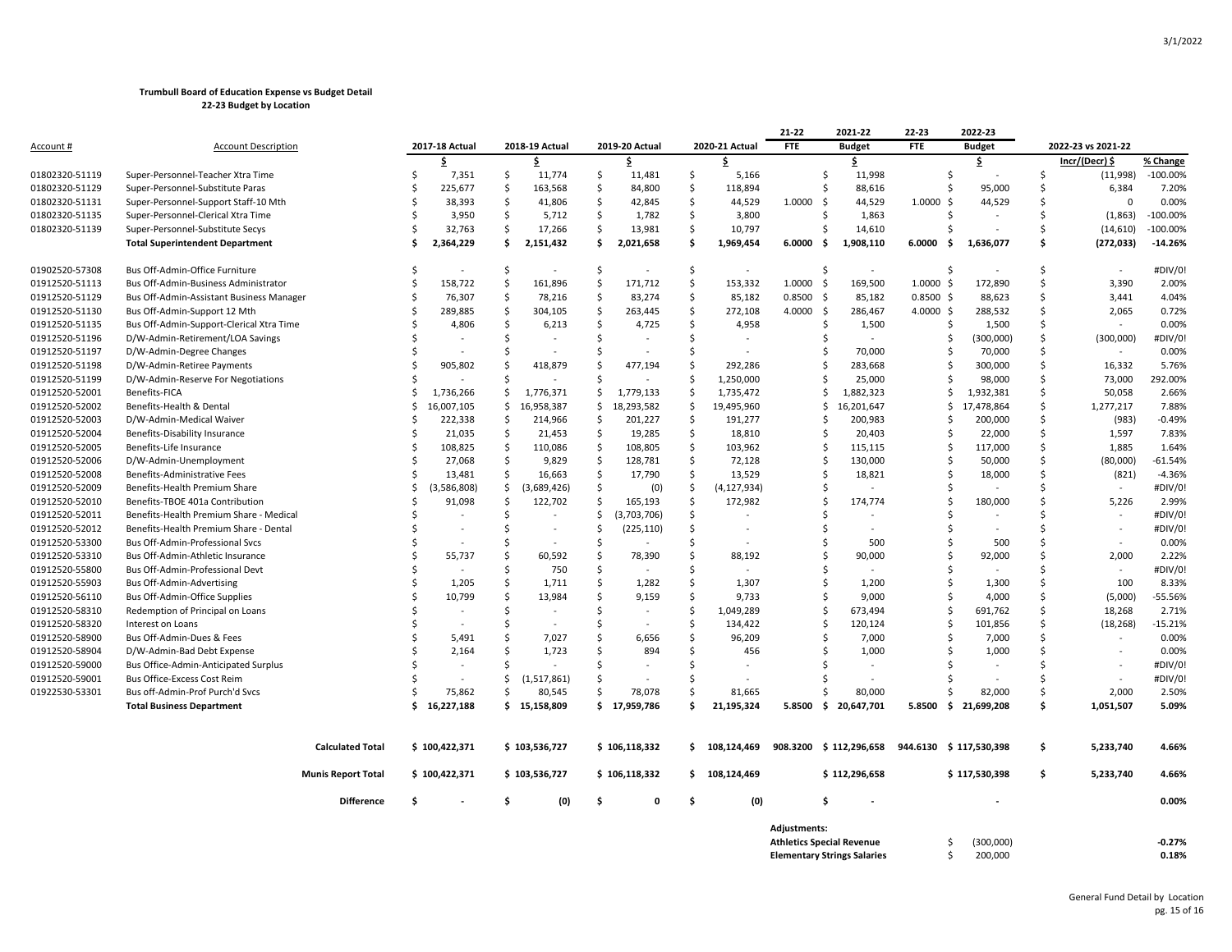|                  |                                          |                           |               |                |                    |                |                    |                |                    |                 | 21-22          | 2021-22                            | 22-23       | 2022-23           |     |                    |                    |
|------------------|------------------------------------------|---------------------------|---------------|----------------|--------------------|----------------|--------------------|----------------|--------------------|-----------------|----------------|------------------------------------|-------------|-------------------|-----|--------------------|--------------------|
| <u>Account #</u> | <b>Account Description</b>               |                           |               | 2017-18 Actual |                    | 2018-19 Actual |                    | 2019-20 Actual |                    | 2020-21 Actual  | <b>FTE</b>     | <b>Budget</b>                      | <b>FTE</b>  | <b>Budget</b>     |     | 2022-23 vs 2021-22 |                    |
|                  |                                          |                           |               | \$.            |                    | \$             |                    | \$.            |                    | S               |                | \$                                 |             | \$                |     | Incr/(Decr) \$     | % Change           |
| 01802320-51119   | Super-Personnel-Teacher Xtra Time        |                           | . Ś           | 7,351          | \$                 | 11,774         | \$                 | 11,481         | \$                 | 5,166           |                | \$<br>11,998                       |             | Ŝ                 | Ŝ   | (11,998)           | $-100.00%$         |
| 01802320-51129   | Super-Personnel-Substitute Paras         |                           | Ŝ.            | 225,677        | $\mathsf{\hat{S}}$ | 163,568        | Ŝ.                 | 84,800         | \$                 | 118,894         |                | Ś<br>88,616                        |             | 95,000<br>S       | Ŝ   | 6,384              | 7.20%              |
| 01802320-51131   | Super-Personnel-Support Staff-10 Mth     |                           | Ŝ             | 38,393         | \$.                | 41,806         | \$                 | 42,845         | \$                 | 44,529          | 1.0000<br>- \$ | 44,529                             | 1.0000      | 44,529<br>Ŝ.      | Ŝ   | $\Omega$           | 0.00%              |
| 01802320-51135   | Super-Personnel-Clerical Xtra Time       |                           | .S            | 3,950          | \$.                | 5,712          | S.                 | 1,782          | \$                 | 3,800           |                | 1,863<br>Ŝ                         |             | S                 | Ŝ   | (1,863)            | $-100.00%$         |
| 01802320-51139   | Super-Personnel-Substitute Secys         |                           | .S            | 32,763         | \$                 | 17,266         | \$                 | 13,981         | \$                 | 10,797          |                | 14,610<br>Ś                        |             | S                 | Ŝ   | (14, 610)          | $-100.00%$         |
|                  | <b>Total Superintendent Department</b>   |                           | Ś.            | 2,364,229      | \$                 | 2,151,432      | \$                 | 2,021,658      | \$                 | 1,969,454       | 6.0000         | - \$<br>1,908,110                  | 6.0000      | 1,636,077<br>-\$  | Ś   | (272, 033)         | $-14.26%$          |
| 01902520-57308   | Bus Off-Admin-Office Furniture           |                           | .S            | $\sim$         | -Ś                 | $\sim$         | -\$                | $\blacksquare$ | -S                 | $\sim$          |                | Ŝ<br>$\sim$                        |             | S                 | Ŝ   |                    | #DIV/0!            |
| 01912520-51113   | Bus Off-Admin-Business Administrator     |                           | Ś             | 158,722        | -\$                | 161,896        | S.                 | 171,712        | \$                 | 153,332         | 1.0000<br>- \$ | 169,500                            | 1.0000      | 172,890<br>-\$    | \$  | 3,390              | 2.00%              |
| 01912520-51129   | Bus Off-Admin-Assistant Business Manager |                           | Ŝ.            | 76,307         | -\$                | 78,216         | S.                 | 83,274         | \$                 | 85,182          | 0.8500<br>- \$ | 85,182                             | $0.8500$ \$ | 88,623            | Ś   | 3,441              | 4.04%              |
| 01912520-51130   | Bus Off-Admin-Support 12 Mth             |                           |               | 289,885        | $\mathsf{\hat{S}}$ | 304,105        | $\mathsf{\hat{S}}$ | 263,445        | \$                 | 272,108         | 4.0000         | -\$<br>286,467                     | $4.0000$ \$ | 288,532           | Ś   | 2,065              | 0.72%              |
| 01912520-51135   | Bus Off-Admin-Support-Clerical Xtra Time |                           | .S            | 4,806          | Ŝ.                 | 6,213          | S.                 | 4,725          | Ŝ.                 | 4,958           |                | Ŝ<br>1,500                         |             | 1,500<br>S        | Ś   |                    | 0.00%              |
| 01912520-51196   | D/W-Admin-Retirement/LOA Savings         |                           |               |                | Ŝ.                 |                | Ŝ.                 |                | Ŝ.                 |                 |                | Ś                                  |             | (300,000)<br>S    | Ŝ   | (300,000)          | #DIV/0!            |
| 01912520-51197   | D/W-Admin-Degree Changes                 |                           | Ŝ             |                | Ŝ.                 |                | Ŝ.                 |                | \$                 |                 |                | 70,000<br>\$                       |             | 70,000<br>S       | \$  | $\sim$             | 0.00%              |
| 01912520-51198   | D/W-Admin-Retiree Payments               |                           | <sup>\$</sup> | 905,802        | Ŝ.                 | 418,879        | Ŝ.                 | 477,194        | \$                 | 292,286         |                | Ś<br>283,668                       |             | 300,000<br>S      | Ś   | 16,332             | 5.76%              |
| 01912520-51199   | D/W-Admin-Reserve For Negotiations       |                           |               |                | -Ś                 |                | -Ś                 |                | \$                 | 1,250,000       |                | Ś<br>25,000                        |             | 98,000            | Ś   | 73,000             | 292.00%            |
| 01912520-52001   | Benefits-FICA                            |                           | .S            | 1,736,266      | \$                 | 1,776,371      | \$                 | 1,779,133      | \$                 | 1,735,472       |                | Ŝ.<br>1,882,323                    |             | Ŝ<br>1,932,381    | Ś   | 50,058             | 2.66%              |
| 01912520-52002   | Benefits-Health & Dental                 |                           | Ŝ.            | 16,007,105     | \$.                | 16,958,387     | \$                 | 18,293,582     | \$                 | 19,495,960      |                | 16,201,647<br>Ŝ.                   |             | 17,478,864<br>S   | Ŝ   | 1,277,217          | 7.88%              |
| 01912520-52003   | D/W-Admin-Medical Waiver                 |                           | Ŝ.            | 222,338        | $\zeta$            | 214,966        | \$                 | 201,227        | \$                 | 191,277         |                | \$<br>200,983                      |             | 200,000<br>S      | \$  | (983)              | $-0.49%$           |
| 01912520-52004   | Benefits-Disability Insurance            |                           | Ś             | 21,035         | $\mathsf{\hat{S}}$ | 21,453         | $\mathsf{\hat{S}}$ | 19,285         | \$                 | 18,810          |                | Ś<br>20,403                        |             | 22,000<br>Ŝ       | Ś.  | 1,597              | 7.83%              |
| 01912520-52005   | Benefits-Life Insurance                  |                           | Ŝ.            | 108,825        | -\$                | 110,086        | \$                 | 108,805        | \$                 | 103,962         |                | 115,115<br>Ŝ                       |             | 117,000<br>Ŝ      | Ś   | 1,885              | 1.64%              |
| 01912520-52006   | D/W-Admin-Unemployment                   |                           | Ŝ.            | 27,068         | \$                 | 9,829          | $\mathsf{\hat{S}}$ | 128,781        | Ŝ.                 | 72,128          |                | 130,000<br>Ŝ                       |             | 50,000<br>S       | Ŝ   | (80,000)           | $-61.54%$          |
| 01912520-52008   | Benefits-Administrative Fees             |                           | Ŝ.            | 13,481         | \$.                | 16,663         | S.                 | 17,790         | \$                 | 13,529          |                | Ŝ<br>18,821                        |             | 18,000<br>S       | Ŝ   | (821)              | $-4.36%$           |
| 01912520-52009   | Benefits-Health Premium Share            |                           | Ś             | ,586,808)      | \$                 | (3,689,426)    | \$                 | (0)            | S.                 | (4, 127, 934)   |                | Ŝ                                  |             |                   | Ś   |                    | #DIV/0!            |
| 01912520-52010   | Benefits-TBOE 401a Contribution          |                           | Ŝ             | 91,098         | -\$                | 122,702        | \$                 | 165,193        | S.                 | 172,982         |                | Ś<br>174,774                       |             | 180,000<br>Ŝ.     | Ś   | 5,226              | 2.99%              |
| 01912520-52011   | Benefits-Health Premium Share - Medical  |                           |               |                | <sub>S</sub>       |                | S.                 | (3,703,706)    | S.                 |                 |                |                                    |             |                   | Ś   |                    | #DIV/0!            |
| 01912520-52012   | Benefits-Health Premium Share - Dental   |                           | Ŝ.            |                | <sub>S</sub>       |                | Ŝ.                 | (225, 110)     | $\mathsf{\hat{S}}$ |                 |                | Ŝ                                  |             |                   | Ŝ   |                    | #DIV/0!            |
| 01912520-53300   | <b>Bus Off-Admin-Professional Sycs</b>   |                           | <sup>\$</sup> |                | -Ś                 |                | -Ś                 |                | Ŝ.                 |                 |                | Ŝ.<br>500                          |             | 500<br>S          | Ŝ   |                    | 0.00%              |
| 01912520-53310   | Bus Off-Admin-Athletic Insurance         |                           | Ś             | 55,737         | Ś                  | 60,592         | S.                 | 78,390         | \$                 | 88,192          |                | Ś<br>90,000                        |             | 92,000<br>Ŝ.      | Ŝ   | 2,000              | 2.22%              |
| 01912520-55800   | Bus Off-Admin-Professional Devt          |                           | Ś             |                | Ŝ.                 | 750            | $\mathsf{\hat{S}}$ |                | Ŝ.                 |                 |                | Ś                                  |             |                   | Ŝ   |                    | #DIV/0!            |
| 01912520-55903   | <b>Bus Off-Admin-Advertising</b>         |                           | Ś             | 1,205          | <sub>S</sub>       | 1,711          | Ŝ.                 | 1,282          | Ŝ.                 | 1,307           |                | 1,200<br>Ś                         |             | 1,300<br>Ŝ        | Ś   | 100                | 8.33%              |
| 01912520-56110   | <b>Bus Off-Admin-Office Supplies</b>     |                           | Ś             | 10,799         | $\mathsf{S}$       | 13,984         | $\mathsf{\hat{S}}$ | 9,159          | $\mathsf{\hat{S}}$ | 9,733           |                | Ŝ<br>9,000                         |             | 4,000<br>S        | Ŝ   | (5,000)            | $-55.56%$          |
| 01912520-58310   | Redemption of Principal on Loans         |                           | <sup>\$</sup> |                | Ŝ.                 |                | Ŝ.                 |                | Ŝ.                 | 1,049,289       |                | Ś<br>673,494                       |             | Ŝ<br>691,762      | Ŝ   | 18,268             | 2.71%              |
|                  |                                          |                           | Ŝ             |                |                    |                |                    |                |                    |                 |                | Ś                                  |             |                   | Ś   |                    |                    |
| 01912520-58320   | Interest on Loans                        |                           | <sup>\$</sup> |                | -Ś<br><sub>S</sub> |                | -\$<br>Ŝ.          |                | S.<br>Ŝ.           | 134,422         |                | 120,124<br>Ś                       |             | 101,856<br>Ŝ      | Ś   | (18, 268)          | $-15.21%$<br>0.00% |
| 01912520-58900   | Bus Off-Admin-Dues & Fees                |                           | <sup>\$</sup> | 5,491          | $\mathsf{S}$       | 7,027          | $\mathsf{\hat{S}}$ | 6,656          | $\mathsf{\hat{S}}$ | 96,209          |                | 7,000                              |             | 7,000             | Ś   |                    | 0.00%              |
| 01912520-58904   | D/W-Admin-Bad Debt Expense               |                           |               | 2,164          | -Ś                 | 1,723          | <sup>\$</sup>      | 894            |                    | 456             |                | 1,000<br>Ś                         |             | 1,000<br>S        |     |                    |                    |
| 01912520-59000   | Bus Office-Admin-Anticipated Surplus     |                           | Ŝ             |                |                    |                |                    |                | Ŝ.                 |                 |                | S                                  |             |                   | Ŝ   |                    | #DIV/0!            |
| 01912520-59001   | Bus Office-Excess Cost Reim              |                           |               |                | Ŝ                  | (1,517,861)    | -Ś                 |                | .s                 |                 |                | Ś                                  |             |                   | Ŝ   |                    | #DIV/0!            |
| 01922530-53301   | Bus off-Admin-Prof Purch'd Svcs          |                           |               | 75,862         | Ŝ.                 | 80,545         |                    | 78,078         | Ŝ.                 | 81,665          |                | 80,000                             |             | 82,000            | Ŝ   | 2,000              | 2.50%              |
|                  | <b>Total Business Department</b>         |                           | Ŝ             | 16,227,188     |                    | \$15,158,809   |                    | \$17,959,786   | \$                 | 21,195,324      | 5.8500         | \$<br>20,647,701                   | 5.8500      | 21,699,208<br>-\$ | \$. | 1,051,507          | 5.09%              |
|                  |                                          | <b>Calculated Total</b>   |               | \$100,422,371  |                    | \$103,536,727  |                    | \$106,118,332  |                    | $5$ 108.124.469 |                | 908.3200 \$ 112.296.658            | 944.6130    | \$117.530.398     | \$  | 5,233,740          | 4.66%              |
|                  |                                          |                           |               |                |                    |                |                    |                |                    |                 |                |                                    |             |                   |     |                    |                    |
|                  |                                          | <b>Munis Report Total</b> |               | \$100,422,371  |                    | \$103,536,727  |                    | \$106,118,332  |                    | \$108,124,469   |                | \$112,296,658                      |             | \$117,530,398     | \$  | 5,233,740          | 4.66%              |
|                  |                                          | <b>Difference</b>         | Ŝ.            |                | .s                 | (0)            | . Ś                | $\Omega$       | . Ś                | (0)             |                | Ś                                  |             |                   |     |                    | 0.00%              |
|                  |                                          |                           |               |                |                    |                |                    |                |                    |                 | Adjustments:   |                                    |             |                   |     |                    |                    |
|                  |                                          |                           |               |                |                    |                |                    |                |                    |                 |                | <b>Athletics Special Revenue</b>   |             | (300,000)<br>S    |     |                    | $-0.27%$           |
|                  |                                          |                           |               |                |                    |                |                    |                |                    |                 |                | <b>Elementary Strings Salaries</b> |             | 200,000<br>Ś.     |     |                    | 0.18%              |